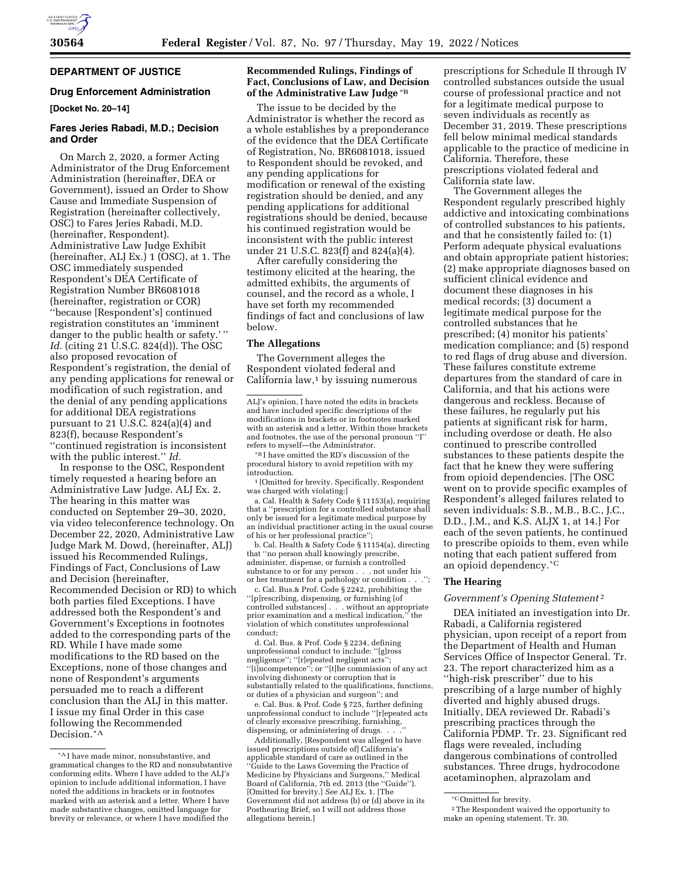

# **DEPARTMENT OF JUSTICE**

# **Drug Enforcement Administration**

**[Docket No. 20–14]** 

# **Fares Jeries Rabadi, M.D.; Decision and Order**

On March 2, 2020, a former Acting Administrator of the Drug Enforcement Administration (hereinafter, DEA or Government), issued an Order to Show Cause and Immediate Suspension of Registration (hereinafter collectively, OSC) to Fares Jeries Rabadi, M.D. (hereinafter, Respondent). Administrative Law Judge Exhibit (hereinafter, ALJ Ex.) 1 (OSC), at 1. The OSC immediately suspended Respondent's DEA Certificate of Registration Number BR6081018 (hereinafter, registration or COR) ''because [Respondent's] continued registration constitutes an 'imminent danger to the public health or safety.'' *Id.* (citing 21 U.S.C. 824(d)). The OSC also proposed revocation of Respondent's registration, the denial of any pending applications for renewal or modification of such registration, and the denial of any pending applications for additional DEA registrations pursuant to 21 U.S.C. 824(a)(4) and 823(f), because Respondent's ''continued registration is inconsistent with the public interest.'' *Id.* 

In response to the OSC, Respondent timely requested a hearing before an Administrative Law Judge. ALJ Ex. 2. The hearing in this matter was conducted on September 29–30, 2020, via video teleconference technology. On December 22, 2020, Administrative Law Judge Mark M. Dowd, (hereinafter, ALJ) issued his Recommended Rulings, Findings of Fact, Conclusions of Law and Decision (hereinafter, Recommended Decision or RD) to which both parties filed Exceptions. I have addressed both the Respondent's and Government's Exceptions in footnotes added to the corresponding parts of the RD. While I have made some modifications to the RD based on the Exceptions, none of those changes and none of Respondent's arguments persuaded me to reach a different conclusion than the ALJ in this matter. I issue my final Order in this case following the Recommended Decision.\*A

# **Recommended Rulings, Findings of Fact, Conclusions of Law, and Decision of the Administrative Law Judge** \*B

The issue to be decided by the Administrator is whether the record as a whole establishes by a preponderance of the evidence that the DEA Certificate of Registration, No. BR6081018, issued to Respondent should be revoked, and any pending applications for modification or renewal of the existing registration should be denied, and any pending applications for additional registrations should be denied, because his continued registration would be inconsistent with the public interest under 21 U.S.C. 823(f) and 824(a)(4).

After carefully considering the testimony elicited at the hearing, the admitted exhibits, the arguments of counsel, and the record as a whole, I have set forth my recommended findings of fact and conclusions of law below.

# **The Allegations**

The Government alleges the Respondent violated federal and California law, $1$  by issuing numerous

\*B I have omitted the RD's discussion of the procedural history to avoid repetition with my

 $^{\rm 1}$  [Omitted for brevity. Specifically, Respondent was charged with violating:]

a. Cal. Health & Safety Code § 11153(a), requiring that a ''prescription for a controlled substance shall only be issued for a legitimate medical purpose by an individual practitioner acting in the usual course of his or her professional practice'';

b. Cal. Health & Safety Code § 11154(a), directing that ''no person shall knowingly prescribe, administer, dispense, or furnish a controlled substance to or for any person . . . not under his or her treatment for a pathology or condition . . .

c. Cal. Bus.& Prof. Code § 2242, prohibiting the ''[p]rescribing, dispensing, or furnishing [of controlled substances] . . . without an appropriate prior examination and a medical indication,' violation of which constitutes unprofessional conduct;

d. Cal. Bus. & Prof. Code § 2234, defining unprofessional conduct to include: ''[g]ross negligence''; ''[r]epeated negligent acts''; ''[i]ncompetence''; or ''[t]he commission of any act involving dishonesty or corruption that is substantially related to the qualifications, functions, or duties of a physician and surgeon''; and

e. Cal. Bus. & Prof. Code § 725, further defining unprofessional conduct to include ''[r]epeated acts of clearly excessive prescribing, furnishing, dispensing, or administering of drugs. . .

Additionally, [Respondent was alleged to have issued prescriptions outside of California's applicable standard of care as outlined in the ''Guide to the Laws Governing the Practice of Medicine by Physicians and Surgeons,'' Medical Board of California, 7th ed. 2013 (the ''Guide''). [Omitted for brevity.] *See* ALJ Ex. 1. [The Government did not address (b) or (d) above in its Posthearing Brief, so I will not address those allegations herein.]

prescriptions for Schedule II through IV controlled substances outside the usual course of professional practice and not for a legitimate medical purpose to seven individuals as recently as December 31, 2019. These prescriptions fell below minimal medical standards applicable to the practice of medicine in California. Therefore, these prescriptions violated federal and California state law.

The Government alleges the Respondent regularly prescribed highly addictive and intoxicating combinations of controlled substances to his patients, and that he consistently failed to: (1) Perform adequate physical evaluations and obtain appropriate patient histories; (2) make appropriate diagnoses based on sufficient clinical evidence and document these diagnoses in his medical records; (3) document a legitimate medical purpose for the controlled substances that he prescribed; (4) monitor his patients' medication compliance; and (5) respond to red flags of drug abuse and diversion. These failures constitute extreme departures from the standard of care in California, and that his actions were dangerous and reckless. Because of these failures, he regularly put his patients at significant risk for harm, including overdose or death. He also continued to prescribe controlled substances to these patients despite the fact that he knew they were suffering from opioid dependencies. [The OSC went on to provide specific examples of Respondent's alleged failures related to seven individuals: S.B., M.B., B.C., J.C., D.D., J.M., and K.S. ALJX 1, at 14.] For each of the seven patients, he continued to prescribe opioids to them, even while noting that each patient suffered from an opioid dependency.\*C

### **The Hearing**

#### *Government's Opening Statement* 2

DEA initiated an investigation into Dr. Rabadi, a California registered physician, upon receipt of a report from the Department of Health and Human Services Office of Inspector General. Tr. 23. The report characterized him as a ''high-risk prescriber'' due to his prescribing of a large number of highly diverted and highly abused drugs. Initially, DEA reviewed Dr. Rabadi's prescribing practices through the California PDMP. Tr. 23. Significant red flags were revealed, including dangerous combinations of controlled substances. Three drugs, hydrocodone acetaminophen, alprazolam and

<sup>\*</sup>A I have made minor, nonsubstantive, and grammatical changes to the RD and nonsubstantive conforming edits. Where I have added to the ALJ's opinion to include additional information, I have noted the additions in brackets or in footnotes marked with an asterisk and a letter. Where I have made substantive changes, omitted language for brevity or relevance, or where I have modified the

ALJ's opinion, I have noted the edits in brackets and have included specific descriptions of the modifications in brackets or in footnotes marked with an asterisk and a letter. Within those brackets and footnotes, the use of the personal pronoun ''I''

<sup>\*</sup>COmitted for brevity. 2The Respondent waived the opportunity to make an opening statement. Tr. 30.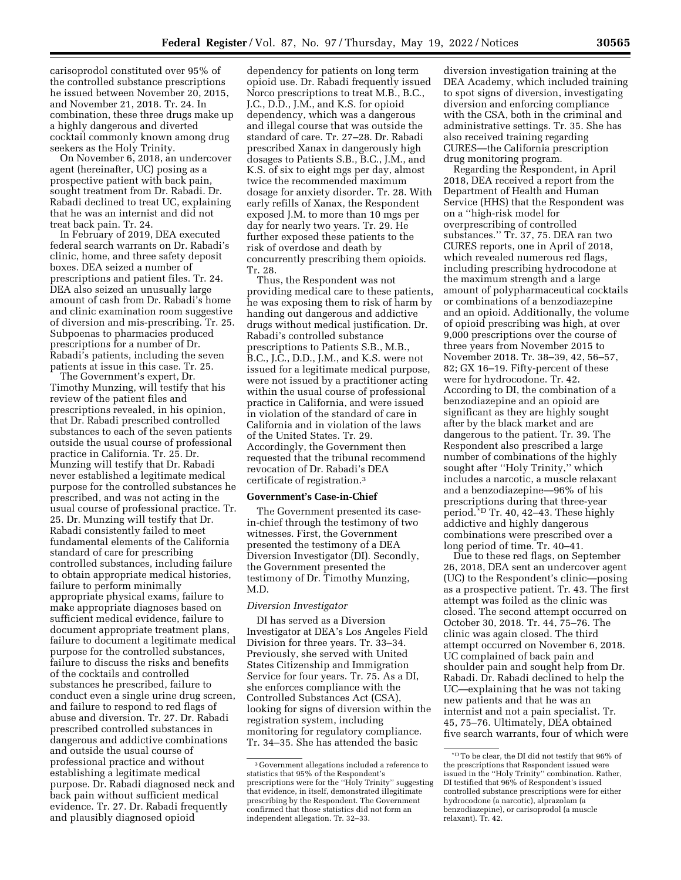carisoprodol constituted over 95% of the controlled substance prescriptions he issued between November 20, 2015, and November 21, 2018. Tr. 24. In combination, these three drugs make up a highly dangerous and diverted cocktail commonly known among drug seekers as the Holy Trinity.

On November 6, 2018, an undercover agent (hereinafter, UC) posing as a prospective patient with back pain, sought treatment from Dr. Rabadi. Dr. Rabadi declined to treat UC, explaining that he was an internist and did not treat back pain. Tr. 24.

In February of 2019, DEA executed federal search warrants on Dr. Rabadi's clinic, home, and three safety deposit boxes. DEA seized a number of prescriptions and patient files. Tr. 24. DEA also seized an unusually large amount of cash from Dr. Rabadi's home and clinic examination room suggestive of diversion and mis-prescribing. Tr. 25. Subpoenas to pharmacies produced prescriptions for a number of Dr. Rabadi's patients, including the seven patients at issue in this case. Tr. 25.

The Government's expert, Dr. Timothy Munzing, will testify that his review of the patient files and prescriptions revealed, in his opinion, that Dr. Rabadi prescribed controlled substances to each of the seven patients outside the usual course of professional practice in California. Tr. 25. Dr. Munzing will testify that Dr. Rabadi never established a legitimate medical purpose for the controlled substances he prescribed, and was not acting in the usual course of professional practice. Tr. 25. Dr. Munzing will testify that Dr. Rabadi consistently failed to meet fundamental elements of the California standard of care for prescribing controlled substances, including failure to obtain appropriate medical histories, failure to perform minimally appropriate physical exams, failure to make appropriate diagnoses based on sufficient medical evidence, failure to document appropriate treatment plans, failure to document a legitimate medical purpose for the controlled substances, failure to discuss the risks and benefits of the cocktails and controlled substances he prescribed, failure to conduct even a single urine drug screen, and failure to respond to red flags of abuse and diversion. Tr. 27. Dr. Rabadi prescribed controlled substances in dangerous and addictive combinations and outside the usual course of professional practice and without establishing a legitimate medical purpose. Dr. Rabadi diagnosed neck and back pain without sufficient medical evidence. Tr. 27. Dr. Rabadi frequently and plausibly diagnosed opioid

dependency for patients on long term opioid use. Dr. Rabadi frequently issued Norco prescriptions to treat M.B., B.C., J.C., D.D., J.M., and K.S. for opioid dependency, which was a dangerous and illegal course that was outside the standard of care. Tr. 27–28. Dr. Rabadi prescribed Xanax in dangerously high dosages to Patients S.B., B.C., J.M., and K.S. of six to eight mgs per day, almost twice the recommended maximum dosage for anxiety disorder. Tr. 28. With early refills of Xanax, the Respondent exposed J.M. to more than 10 mgs per day for nearly two years. Tr. 29. He further exposed these patients to the risk of overdose and death by concurrently prescribing them opioids. Tr. 28.

Thus, the Respondent was not providing medical care to these patients, he was exposing them to risk of harm by handing out dangerous and addictive drugs without medical justification. Dr. Rabadi's controlled substance prescriptions to Patients S.B., M.B., B.C., J.C., D.D., J.M., and K.S. were not issued for a legitimate medical purpose, were not issued by a practitioner acting within the usual course of professional practice in California, and were issued in violation of the standard of care in California and in violation of the laws of the United States. Tr. 29. Accordingly, the Government then requested that the tribunal recommend revocation of Dr. Rabadi's DEA certificate of registration.3

# **Government's Case-in-Chief**

The Government presented its casein-chief through the testimony of two witnesses. First, the Government presented the testimony of a DEA Diversion Investigator (DI). Secondly, the Government presented the testimony of Dr. Timothy Munzing, M.D.

### *Diversion Investigator*

DI has served as a Diversion Investigator at DEA's Los Angeles Field Division for three years. Tr. 33–34. Previously, she served with United States Citizenship and Immigration Service for four years. Tr. 75. As a DI, she enforces compliance with the Controlled Substances Act (CSA), looking for signs of diversion within the registration system, including monitoring for regulatory compliance. Tr. 34–35. She has attended the basic

diversion investigation training at the DEA Academy, which included training to spot signs of diversion, investigating diversion and enforcing compliance with the CSA, both in the criminal and administrative settings. Tr. 35. She has also received training regarding CURES—the California prescription drug monitoring program.

Regarding the Respondent, in April 2018, DEA received a report from the Department of Health and Human Service (HHS) that the Respondent was on a ''high-risk model for overprescribing of controlled substances.'' Tr. 37, 75. DEA ran two CURES reports, one in April of 2018, which revealed numerous red flags, including prescribing hydrocodone at the maximum strength and a large amount of polypharmaceutical cocktails or combinations of a benzodiazepine and an opioid. Additionally, the volume of opioid prescribing was high, at over 9,000 prescriptions over the course of three years from November 2015 to November 2018. Tr. 38–39, 42, 56–57, 82; GX 16–19. Fifty-percent of these were for hydrocodone. Tr. 42. According to DI, the combination of a benzodiazepine and an opioid are significant as they are highly sought after by the black market and are dangerous to the patient. Tr. 39. The Respondent also prescribed a large number of combinations of the highly sought after ''Holy Trinity,'' which includes a narcotic, a muscle relaxant and a benzodiazepine—96% of his prescriptions during that three-year period.\*D Tr. 40, 42–43. These highly addictive and highly dangerous combinations were prescribed over a long period of time. Tr. 40–41.

Due to these red flags, on September 26, 2018, DEA sent an undercover agent (UC) to the Respondent's clinic—posing as a prospective patient. Tr. 43. The first attempt was foiled as the clinic was closed. The second attempt occurred on October 30, 2018. Tr. 44, 75–76. The clinic was again closed. The third attempt occurred on November 6, 2018. UC complained of back pain and shoulder pain and sought help from Dr. Rabadi. Dr. Rabadi declined to help the UC—explaining that he was not taking new patients and that he was an internist and not a pain specialist. Tr. 45, 75–76. Ultimately, DEA obtained five search warrants, four of which were

<sup>3</sup> Government allegations included a reference to statistics that 95% of the Respondent's prescriptions were for the ''Holy Trinity'' suggesting that evidence, in itself, demonstrated illegitimate prescribing by the Respondent. The Government confirmed that those statistics did not form an independent allegation. Tr. 32–33.

 $^{\star_{\rm D}}$  To be clear, the DI did not testify that  $96\%$  of the prescriptions that Respondent issued were issued in the ''Holy Trinity'' combination. Rather, DI testified that 96% of Respondent's issued controlled substance prescriptions were for either hydrocodone (a narcotic), alprazolam (a benzodiazepine), or carisoprodol (a muscle relaxant). Tr. 42.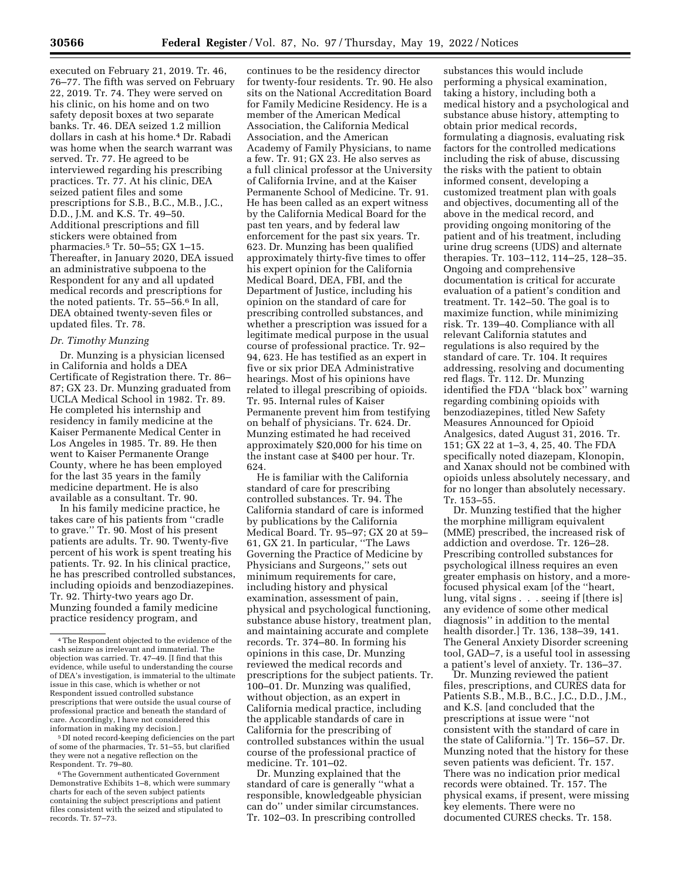executed on February 21, 2019. Tr. 46, 76–77. The fifth was served on February 22, 2019. Tr. 74. They were served on his clinic, on his home and on two safety deposit boxes at two separate banks. Tr. 46. DEA seized 1.2 million dollars in cash at his home.4 Dr. Rabadi was home when the search warrant was served. Tr. 77. He agreed to be interviewed regarding his prescribing practices. Tr. 77. At his clinic, DEA seized patient files and some prescriptions for S.B., B.C., M.B., J.C., D.D., J.M. and K.S. Tr. 49–50. Additional prescriptions and fill stickers were obtained from pharmacies.5 Tr. 50–55; GX 1–15. Thereafter, in January 2020, DEA issued an administrative subpoena to the Respondent for any and all updated medical records and prescriptions for the noted patients. Tr. 55–56.6 In all, DEA obtained twenty-seven files or updated files. Tr. 78.

#### *Dr. Timothy Munzing*

Dr. Munzing is a physician licensed in California and holds a DEA Certificate of Registration there. Tr. 86– 87; GX 23. Dr. Munzing graduated from UCLA Medical School in 1982. Tr. 89. He completed his internship and residency in family medicine at the Kaiser Permanente Medical Center in Los Angeles in 1985. Tr. 89. He then went to Kaiser Permanente Orange County, where he has been employed for the last 35 years in the family medicine department. He is also available as a consultant. Tr. 90.

In his family medicine practice, he takes care of his patients from ''cradle to grave.'' Tr. 90. Most of his present patients are adults. Tr. 90. Twenty-five percent of his work is spent treating his patients. Tr. 92. In his clinical practice, he has prescribed controlled substances, including opioids and benzodiazepines. Tr. 92. Thirty-two years ago Dr. Munzing founded a family medicine practice residency program, and

5 DI noted record-keeping deficiencies on the part of some of the pharmacies, Tr. 51–55, but clarified they were not a negative reflection on the Respondent. Tr. 79–80.

continues to be the residency director for twenty-four residents. Tr. 90. He also sits on the National Accreditation Board for Family Medicine Residency. He is a member of the American Medical Association, the California Medical Association, and the American Academy of Family Physicians, to name a few. Tr. 91; GX 23. He also serves as a full clinical professor at the University of California Irvine, and at the Kaiser Permanente School of Medicine. Tr. 91. He has been called as an expert witness by the California Medical Board for the past ten years, and by federal law enforcement for the past six years. Tr. 623. Dr. Munzing has been qualified approximately thirty-five times to offer his expert opinion for the California Medical Board, DEA, FBI, and the Department of Justice, including his opinion on the standard of care for prescribing controlled substances, and whether a prescription was issued for a legitimate medical purpose in the usual course of professional practice. Tr. 92– 94, 623. He has testified as an expert in five or six prior DEA Administrative hearings. Most of his opinions have related to illegal prescribing of opioids. Tr. 95. Internal rules of Kaiser Permanente prevent him from testifying on behalf of physicians. Tr. 624. Dr. Munzing estimated he had received approximately \$20,000 for his time on the instant case at \$400 per hour. Tr. 624.

He is familiar with the California standard of care for prescribing controlled substances. Tr. 94. The California standard of care is informed by publications by the California Medical Board. Tr. 95–97; GX 20 at 59– 61, GX 21. In particular, ''The Laws Governing the Practice of Medicine by Physicians and Surgeons,'' sets out minimum requirements for care, including history and physical examination, assessment of pain, physical and psychological functioning, substance abuse history, treatment plan, and maintaining accurate and complete records. Tr. 374–80. In forming his opinions in this case, Dr. Munzing reviewed the medical records and prescriptions for the subject patients. Tr. 100–01. Dr. Munzing was qualified, without objection, as an expert in California medical practice, including the applicable standards of care in California for the prescribing of controlled substances within the usual course of the professional practice of medicine. Tr. 101–02.

Dr. Munzing explained that the standard of care is generally ''what a responsible, knowledgeable physician can do'' under similar circumstances. Tr. 102–03. In prescribing controlled

substances this would include performing a physical examination, taking a history, including both a medical history and a psychological and substance abuse history, attempting to obtain prior medical records, formulating a diagnosis, evaluating risk factors for the controlled medications including the risk of abuse, discussing the risks with the patient to obtain informed consent, developing a customized treatment plan with goals and objectives, documenting all of the above in the medical record, and providing ongoing monitoring of the patient and of his treatment, including urine drug screens (UDS) and alternate therapies. Tr. 103–112, 114–25, 128–35. Ongoing and comprehensive documentation is critical for accurate evaluation of a patient's condition and treatment. Tr. 142–50. The goal is to maximize function, while minimizing risk. Tr. 139–40. Compliance with all relevant California statutes and regulations is also required by the standard of care. Tr. 104. It requires addressing, resolving and documenting red flags. Tr. 112. Dr. Munzing identified the FDA ''black box'' warning regarding combining opioids with benzodiazepines, titled New Safety Measures Announced for Opioid Analgesics, dated August 31, 2016. Tr. 151; GX 22 at 1–3, 4, 25, 40. The FDA specifically noted diazepam, Klonopin, and Xanax should not be combined with opioids unless absolutely necessary, and for no longer than absolutely necessary. Tr. 153–55.

Dr. Munzing testified that the higher the morphine milligram equivalent (MME) prescribed, the increased risk of addiction and overdose. Tr. 126–28. Prescribing controlled substances for psychological illness requires an even greater emphasis on history, and a morefocused physical exam [of the ''heart, lung, vital signs . . . seeing if [there is] any evidence of some other medical diagnosis'' in addition to the mental health disorder.] Tr. 136, 138–39, 141. The General Anxiety Disorder screening tool, GAD–7, is a useful tool in assessing a patient's level of anxiety. Tr. 136–37.

Dr. Munzing reviewed the patient files, prescriptions, and CURES data for Patients S.B., M.B., B.C., J.C., D.D., J.M., and K.S. [and concluded that the prescriptions at issue were ''not consistent with the standard of care in the state of California.''] Tr. 156–57. Dr. Munzing noted that the history for these seven patients was deficient. Tr. 157. There was no indication prior medical records were obtained. Tr. 157. The physical exams, if present, were missing key elements. There were no documented CURES checks. Tr. 158.

<sup>4</sup>The Respondent objected to the evidence of the cash seizure as irrelevant and immaterial. The objection was carried. Tr. 47–49. [I find that this evidence, while useful to understanding the course of DEA's investigation, is immaterial to the ultimate issue in this case, which is whether or not Respondent issued controlled substance prescriptions that were outside the usual course of professional practice and beneath the standard of care. Accordingly, I have not considered this information in making my decision.]

<sup>6</sup>The Government authenticated Government Demonstrative Exhibits 1–8, which were summary charts for each of the seven subject patients containing the subject prescriptions and patient files consistent with the seized and stipulated to records. Tr. 57–73.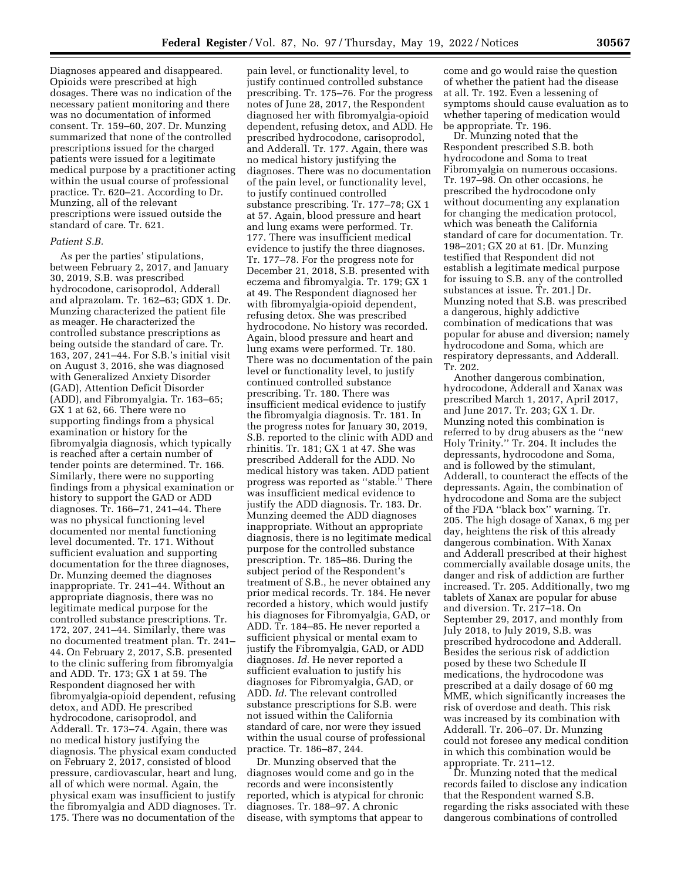Diagnoses appeared and disappeared. Opioids were prescribed at high dosages. There was no indication of the necessary patient monitoring and there was no documentation of informed consent. Tr. 159–60, 207. Dr. Munzing summarized that none of the controlled prescriptions issued for the charged patients were issued for a legitimate medical purpose by a practitioner acting within the usual course of professional practice. Tr. 620–21. According to Dr. Munzing, all of the relevant prescriptions were issued outside the standard of care. Tr. 621.

#### *Patient S.B.*

As per the parties' stipulations, between February 2, 2017, and January 30, 2019, S.B. was prescribed hydrocodone, carisoprodol, Adderall and alprazolam. Tr. 162–63; GDX 1. Dr. Munzing characterized the patient file as meager. He characterized the controlled substance prescriptions as being outside the standard of care. Tr. 163, 207, 241–44. For S.B.'s initial visit on August 3, 2016, she was diagnosed with Generalized Anxiety Disorder (GAD), Attention Deficit Disorder (ADD), and Fibromyalgia. Tr. 163–65; GX 1 at 62, 66. There were no supporting findings from a physical examination or history for the fibromyalgia diagnosis, which typically is reached after a certain number of tender points are determined. Tr. 166. Similarly, there were no supporting findings from a physical examination or history to support the GAD or ADD diagnoses. Tr. 166–71, 241–44. There was no physical functioning level documented nor mental functioning level documented. Tr. 171. Without sufficient evaluation and supporting documentation for the three diagnoses, Dr. Munzing deemed the diagnoses inappropriate. Tr. 241–44. Without an appropriate diagnosis, there was no legitimate medical purpose for the controlled substance prescriptions. Tr. 172, 207, 241–44. Similarly, there was no documented treatment plan. Tr. 241– 44. On February 2, 2017, S.B. presented to the clinic suffering from fibromyalgia and ADD. Tr. 173; GX 1 at 59. The Respondent diagnosed her with fibromyalgia-opioid dependent, refusing detox, and ADD. He prescribed hydrocodone, carisoprodol, and Adderall. Tr. 173–74. Again, there was no medical history justifying the diagnosis. The physical exam conducted on February 2, 2017, consisted of blood pressure, cardiovascular, heart and lung, all of which were normal. Again, the physical exam was insufficient to justify the fibromyalgia and ADD diagnoses. Tr. 175. There was no documentation of the

pain level, or functionality level, to justify continued controlled substance prescribing. Tr. 175–76. For the progress notes of June 28, 2017, the Respondent diagnosed her with fibromyalgia-opioid dependent, refusing detox, and ADD. He prescribed hydrocodone, carisoprodol, and Adderall. Tr. 177. Again, there was no medical history justifying the diagnoses. There was no documentation of the pain level, or functionality level, to justify continued controlled substance prescribing. Tr. 177–78; GX 1 at 57. Again, blood pressure and heart and lung exams were performed. Tr. 177. There was insufficient medical evidence to justify the three diagnoses. Tr. 177–78. For the progress note for December 21, 2018, S.B. presented with eczema and fibromyalgia. Tr. 179; GX 1 at 49. The Respondent diagnosed her with fibromyalgia-opioid dependent, refusing detox. She was prescribed hydrocodone. No history was recorded. Again, blood pressure and heart and lung exams were performed. Tr. 180. There was no documentation of the pain level or functionality level, to justify continued controlled substance prescribing. Tr. 180. There was insufficient medical evidence to justify the fibromyalgia diagnosis. Tr. 181. In the progress notes for January 30, 2019, S.B. reported to the clinic with ADD and rhinitis. Tr. 181; GX 1 at 47. She was prescribed Adderall for the ADD. No medical history was taken. ADD patient progress was reported as ''stable.'' There was insufficient medical evidence to justify the ADD diagnosis. Tr. 183. Dr. Munzing deemed the ADD diagnoses inappropriate. Without an appropriate diagnosis, there is no legitimate medical purpose for the controlled substance prescription. Tr. 185–86. During the subject period of the Respondent's treatment of S.B., he never obtained any prior medical records. Tr. 184. He never recorded a history, which would justify his diagnoses for Fibromyalgia, GAD, or ADD. Tr. 184–85. He never reported a sufficient physical or mental exam to justify the Fibromyalgia, GAD, or ADD diagnoses. *Id.* He never reported a sufficient evaluation to justify his diagnoses for Fibromyalgia, GAD, or ADD. *Id.* The relevant controlled substance prescriptions for S.B. were not issued within the California standard of care, nor were they issued within the usual course of professional practice. Tr. 186–87, 244.

Dr. Munzing observed that the diagnoses would come and go in the records and were inconsistently reported, which is atypical for chronic diagnoses. Tr. 188–97. A chronic disease, with symptoms that appear to

come and go would raise the question of whether the patient had the disease at all. Tr. 192. Even a lessening of symptoms should cause evaluation as to whether tapering of medication would be appropriate. Tr. 196.

Dr. Munzing noted that the Respondent prescribed S.B. both hydrocodone and Soma to treat Fibromyalgia on numerous occasions. Tr. 197–98. On other occasions, he prescribed the hydrocodone only without documenting any explanation for changing the medication protocol, which was beneath the California standard of care for documentation. Tr. 198–201; GX 20 at 61. [Dr. Munzing testified that Respondent did not establish a legitimate medical purpose for issuing to S.B. any of the controlled substances at issue. Tr. 201.] Dr. Munzing noted that S.B. was prescribed a dangerous, highly addictive combination of medications that was popular for abuse and diversion; namely hydrocodone and Soma, which are respiratory depressants, and Adderall. Tr. 202.

Another dangerous combination, hydrocodone, Adderall and Xanax was prescribed March 1, 2017, April 2017, and June 2017. Tr. 203; GX 1. Dr. Munzing noted this combination is referred to by drug abusers as the ''new Holy Trinity.'' Tr. 204. It includes the depressants, hydrocodone and Soma, and is followed by the stimulant, Adderall, to counteract the effects of the depressants. Again, the combination of hydrocodone and Soma are the subject of the FDA ''black box'' warning. Tr. 205. The high dosage of Xanax, 6 mg per day, heightens the risk of this already dangerous combination. With Xanax and Adderall prescribed at their highest commercially available dosage units, the danger and risk of addiction are further increased. Tr. 205. Additionally, two mg tablets of Xanax are popular for abuse and diversion. Tr. 217–18. On September 29, 2017, and monthly from July 2018, to July 2019, S.B. was prescribed hydrocodone and Adderall. Besides the serious risk of addiction posed by these two Schedule II medications, the hydrocodone was prescribed at a daily dosage of 60 mg MME, which significantly increases the risk of overdose and death. This risk was increased by its combination with Adderall. Tr. 206–07. Dr. Munzing could not foresee any medical condition in which this combination would be appropriate. Tr. 211–12.

Dr. Munzing noted that the medical records failed to disclose any indication that the Respondent warned S.B. regarding the risks associated with these dangerous combinations of controlled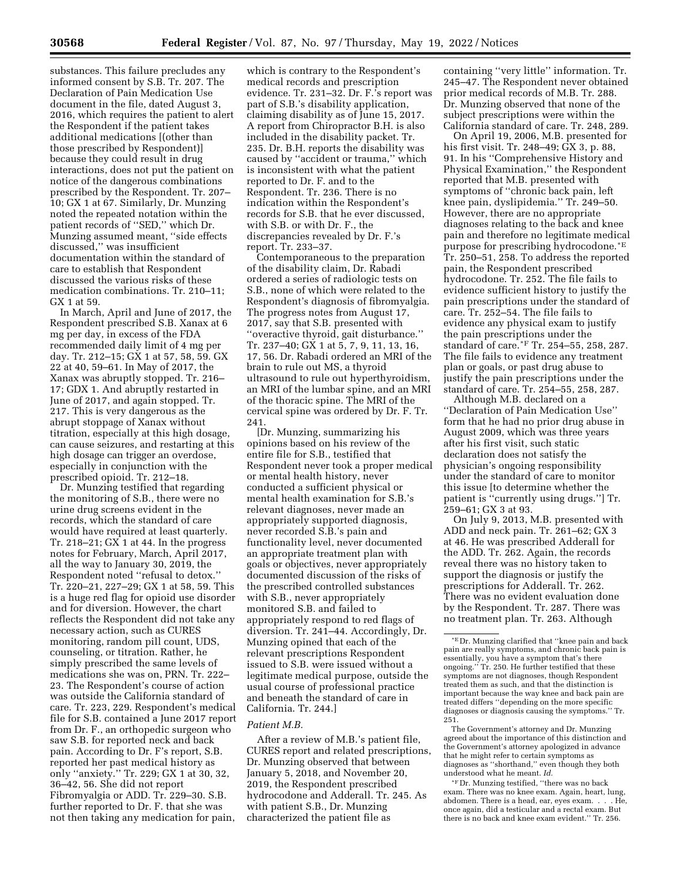substances. This failure precludes any informed consent by S.B. Tr. 207. The Declaration of Pain Medication Use document in the file, dated August 3, 2016, which requires the patient to alert the Respondent if the patient takes additional medications [(other than those prescribed by Respondent)] because they could result in drug interactions, does not put the patient on notice of the dangerous combinations prescribed by the Respondent. Tr. 207– 10; GX 1 at 67. Similarly, Dr. Munzing noted the repeated notation within the patient records of ''SED,'' which Dr. Munzing assumed meant, ''side effects discussed,'' was insufficient documentation within the standard of care to establish that Respondent discussed the various risks of these medication combinations. Tr. 210–11; GX 1 at 59.

In March, April and June of 2017, the Respondent prescribed S.B. Xanax at 6 mg per day, in excess of the FDA recommended daily limit of 4 mg per day. Tr. 212–15; GX 1 at 57, 58, 59. GX 22 at 40, 59–61. In May of 2017, the Xanax was abruptly stopped. Tr. 216– 17; GDX 1. And abruptly restarted in June of 2017, and again stopped. Tr. 217. This is very dangerous as the abrupt stoppage of Xanax without titration, especially at this high dosage, can cause seizures, and restarting at this high dosage can trigger an overdose, especially in conjunction with the prescribed opioid. Tr. 212–18.

Dr. Munzing testified that regarding the monitoring of S.B., there were no urine drug screens evident in the records, which the standard of care would have required at least quarterly. Tr. 218–21; GX 1 at 44. In the progress notes for February, March, April 2017, all the way to January 30, 2019, the Respondent noted ''refusal to detox.'' Tr. 220–21, 227–29; GX 1 at 58, 59. This is a huge red flag for opioid use disorder and for diversion. However, the chart reflects the Respondent did not take any necessary action, such as CURES monitoring, random pill count, UDS, counseling, or titration. Rather, he simply prescribed the same levels of medications she was on, PRN. Tr. 222– 23. The Respondent's course of action was outside the California standard of care. Tr. 223, 229. Respondent's medical file for S.B. contained a June 2017 report from Dr. F., an orthopedic surgeon who saw S.B. for reported neck and back pain. According to Dr. F's report, S.B. reported her past medical history as only ''anxiety.'' Tr. 229; GX 1 at 30, 32, 36–42, 56. She did not report Fibromyalgia or ADD. Tr. 229–30. S.B. further reported to Dr. F. that she was not then taking any medication for pain,

which is contrary to the Respondent's medical records and prescription evidence. Tr. 231–32. Dr. F.'s report was part of S.B.'s disability application, claiming disability as of June 15, 2017. A report from Chiropractor B.H. is also included in the disability packet. Tr. 235. Dr. B.H. reports the disability was caused by ''accident or trauma,'' which is inconsistent with what the patient reported to Dr. F. and to the Respondent. Tr. 236. There is no indication within the Respondent's records for S.B. that he ever discussed, with S.B. or with Dr. F., the discrepancies revealed by Dr. F.'s report. Tr. 233–37.

Contemporaneous to the preparation of the disability claim, Dr. Rabadi ordered a series of radiologic tests on S.B., none of which were related to the Respondent's diagnosis of fibromyalgia. The progress notes from August 17, 2017, say that S.B. presented with ''overactive thyroid, gait disturbance.'' Tr. 237–40; GX 1 at 5, 7, 9, 11, 13, 16, 17, 56. Dr. Rabadi ordered an MRI of the brain to rule out MS, a thyroid ultrasound to rule out hyperthyroidism, an MRI of the lumbar spine, and an MRI of the thoracic spine. The MRI of the cervical spine was ordered by Dr. F. Tr. 241.

[Dr. Munzing, summarizing his opinions based on his review of the entire file for S.B., testified that Respondent never took a proper medical or mental health history, never conducted a sufficient physical or mental health examination for S.B.'s relevant diagnoses, never made an appropriately supported diagnosis, never recorded S.B.'s pain and functionality level, never documented an appropriate treatment plan with goals or objectives, never appropriately documented discussion of the risks of the prescribed controlled substances with S.B., never appropriately monitored S.B. and failed to appropriately respond to red flags of diversion. Tr. 241–44. Accordingly, Dr. Munzing opined that each of the relevant prescriptions Respondent issued to S.B. were issued without a legitimate medical purpose, outside the usual course of professional practice and beneath the standard of care in California. Tr. 244.]

## *Patient M.B.*

After a review of M.B.'s patient file, CURES report and related prescriptions, Dr. Munzing observed that between January 5, 2018, and November 20, 2019, the Respondent prescribed hydrocodone and Adderall. Tr. 245. As with patient S.B., Dr. Munzing characterized the patient file as

containing ''very little'' information. Tr. 245–47. The Respondent never obtained prior medical records of M.B. Tr. 288. Dr. Munzing observed that none of the subject prescriptions were within the California standard of care. Tr. 248, 289.

On April 19, 2006, M.B. presented for his first visit. Tr. 248–49; GX 3, p. 88, 91. In his ''Comprehensive History and Physical Examination,'' the Respondent reported that M.B. presented with symptoms of ''chronic back pain, left knee pain, dyslipidemia.'' Tr. 249–50. However, there are no appropriate diagnoses relating to the back and knee pain and therefore no legitimate medical purpose for prescribing hydrocodone.\*E Tr. 250–51, 258. To address the reported pain, the Respondent prescribed hydrocodone. Tr. 252. The file fails to evidence sufficient history to justify the pain prescriptions under the standard of care. Tr. 252–54. The file fails to evidence any physical exam to justify the pain prescriptions under the standard of care.\*F Tr. 254–55, 258, 287. The file fails to evidence any treatment plan or goals, or past drug abuse to justify the pain prescriptions under the standard of care. Tr. 254–55, 258, 287.

Although M.B. declared on a ''Declaration of Pain Medication Use'' form that he had no prior drug abuse in August 2009, which was three years after his first visit, such static declaration does not satisfy the physician's ongoing responsibility under the standard of care to monitor this issue [to determine whether the patient is ''currently using drugs.''] Tr. 259–61; GX 3 at 93.

On July 9, 2013, M.B. presented with ADD and neck pain. Tr. 261–62; GX 3 at 46. He was prescribed Adderall for the ADD. Tr. 262. Again, the records reveal there was no history taken to support the diagnosis or justify the prescriptions for Adderall. Tr. 262. There was no evident evaluation done by the Respondent. Tr. 287. There was no treatment plan. Tr. 263. Although

The Government's attorney and Dr. Munzing agreed about the importance of this distinction and the Government's attorney apologized in advance that he might refer to certain symptoms as diagnoses as ''shorthand,'' even though they both understood what he meant. *Id.* 

\*F Dr. Munzing testified, ''there was no back exam. There was no knee exam. Again, heart, lung, abdomen. There is a head, ear, eyes exam. . . . He, once again, did a testicular and a rectal exam. But there is no back and knee exam evident.'' Tr. 256.

<sup>\*</sup>E Dr. Munzing clarified that ''knee pain and back pain are really symptoms, and chronic back pain is essentially, you have a symptom that's there ongoing.'' Tr. 250. He further testified that these symptoms are not diagnoses, though Respondent treated them as such, and that the distinction is important because the way knee and back pain are treated differs ''depending on the more specific diagnoses or diagnosis causing the symptoms.'' Tr. 251.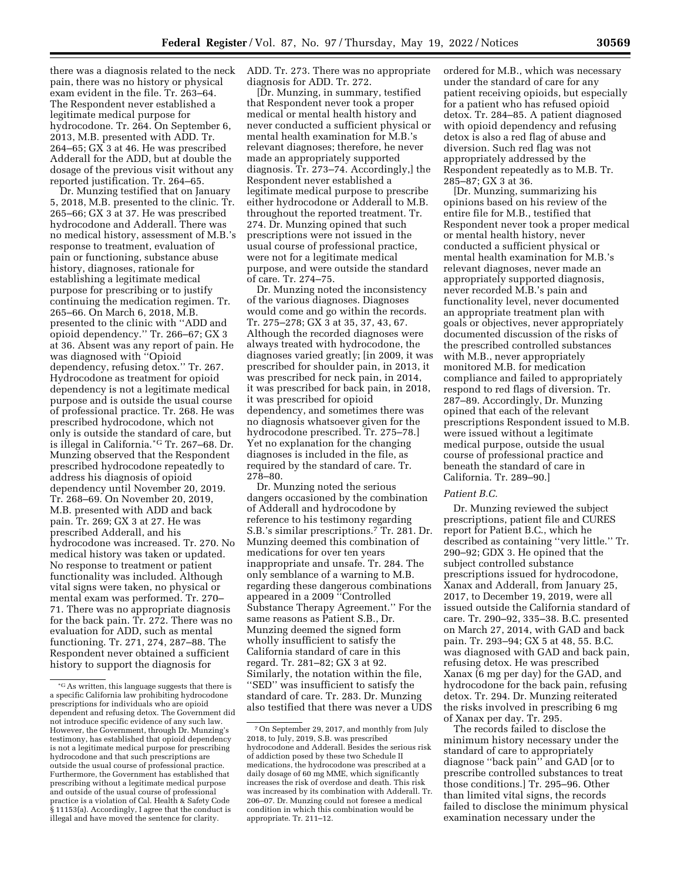there was a diagnosis related to the neck pain, there was no history or physical exam evident in the file. Tr. 263–64. The Respondent never established a legitimate medical purpose for hydrocodone. Tr. 264. On September 6, 2013, M.B. presented with ADD. Tr. 264–65; GX 3 at 46. He was prescribed Adderall for the ADD, but at double the dosage of the previous visit without any reported justification. Tr. 264–65.

Dr. Munzing testified that on January 5, 2018, M.B. presented to the clinic. Tr. 265–66; GX 3 at 37. He was prescribed hydrocodone and Adderall. There was no medical history, assessment of M.B.'s response to treatment, evaluation of pain or functioning, substance abuse history, diagnoses, rationale for establishing a legitimate medical purpose for prescribing or to justify continuing the medication regimen. Tr. 265–66. On March 6, 2018, M.B. presented to the clinic with ''ADD and opioid dependency.'' Tr. 266–67; GX 3 at 36. Absent was any report of pain. He was diagnosed with ''Opioid dependency, refusing detox.'' Tr. 267. Hydrocodone as treatment for opioid dependency is not a legitimate medical purpose and is outside the usual course of professional practice. Tr. 268. He was prescribed hydrocodone, which not only is outside the standard of care, but is illegal in California.\*G Tr. 267–68. Dr. Munzing observed that the Respondent prescribed hydrocodone repeatedly to address his diagnosis of opioid dependency until November 20, 2019. Tr. 268–69. On November 20, 2019, M.B. presented with ADD and back pain. Tr. 269; GX 3 at 27. He was prescribed Adderall, and his hydrocodone was increased. Tr. 270. No medical history was taken or updated. No response to treatment or patient functionality was included. Although vital signs were taken, no physical or mental exam was performed. Tr. 270– 71. There was no appropriate diagnosis for the back pain. Tr. 272. There was no evaluation for ADD, such as mental functioning. Tr. 271, 274, 287–88. The Respondent never obtained a sufficient history to support the diagnosis for

ADD. Tr. 273. There was no appropriate diagnosis for ADD. Tr. 272.

[Dr. Munzing, in summary, testified that Respondent never took a proper medical or mental health history and never conducted a sufficient physical or mental health examination for M.B.'s relevant diagnoses; therefore, he never made an appropriately supported diagnosis. Tr. 273–74. Accordingly,] the Respondent never established a legitimate medical purpose to prescribe either hydrocodone or Adderall to M.B. throughout the reported treatment. Tr. 274. Dr. Munzing opined that such prescriptions were not issued in the usual course of professional practice, were not for a legitimate medical purpose, and were outside the standard of care. Tr. 274–75.

Dr. Munzing noted the inconsistency of the various diagnoses. Diagnoses would come and go within the records. Tr. 275–278; GX 3 at 35, 37, 43, 67. Although the recorded diagnoses were always treated with hydrocodone, the diagnoses varied greatly; [in 2009, it was prescribed for shoulder pain, in 2013, it was prescribed for neck pain, in 2014, it was prescribed for back pain, in 2018, it was prescribed for opioid dependency, and sometimes there was no diagnosis whatsoever given for the hydrocodone prescribed. Tr. 275–78.] Yet no explanation for the changing diagnoses is included in the file, as required by the standard of care. Tr. 278–80.

Dr. Munzing noted the serious dangers occasioned by the combination of Adderall and hydrocodone by reference to his testimony regarding S.B.'s similar prescriptions.7 Tr. 281. Dr. Munzing deemed this combination of medications for over ten years inappropriate and unsafe. Tr. 284. The only semblance of a warning to M.B. regarding these dangerous combinations appeared in a 2009 ''Controlled Substance Therapy Agreement.'' For the same reasons as Patient S.B., Dr. Munzing deemed the signed form wholly insufficient to satisfy the California standard of care in this regard. Tr. 281–82; GX 3 at 92. Similarly, the notation within the file, ''SED'' was insufficient to satisfy the standard of care. Tr. 283. Dr. Munzing also testified that there was never a UDS ordered for M.B., which was necessary under the standard of care for any patient receiving opioids, but especially for a patient who has refused opioid detox. Tr. 284–85. A patient diagnosed with opioid dependency and refusing detox is also a red flag of abuse and diversion. Such red flag was not appropriately addressed by the Respondent repeatedly as to M.B. Tr. 285–87; GX 3 at 36.

[Dr. Munzing, summarizing his opinions based on his review of the entire file for M.B., testified that Respondent never took a proper medical or mental health history, never conducted a sufficient physical or mental health examination for M.B.'s relevant diagnoses, never made an appropriately supported diagnosis, never recorded M.B.'s pain and functionality level, never documented an appropriate treatment plan with goals or objectives, never appropriately documented discussion of the risks of the prescribed controlled substances with M.B., never appropriately monitored M.B. for medication compliance and failed to appropriately respond to red flags of diversion. Tr. 287–89. Accordingly, Dr. Munzing opined that each of the relevant prescriptions Respondent issued to M.B. were issued without a legitimate medical purpose, outside the usual course of professional practice and beneath the standard of care in California. Tr. 289–90.]

### *Patient B.C.*

Dr. Munzing reviewed the subject prescriptions, patient file and CURES report for Patient B.C., which he described as containing ''very little.'' Tr. 290–92; GDX 3. He opined that the subject controlled substance prescriptions issued for hydrocodone, Xanax and Adderall, from January 25, 2017, to December 19, 2019, were all issued outside the California standard of care. Tr. 290–92, 335–38. B.C. presented on March 27, 2014, with GAD and back pain. Tr. 293–94; GX 5 at 48, 55. B.C. was diagnosed with GAD and back pain, refusing detox. He was prescribed Xanax (6 mg per day) for the GAD, and hydrocodone for the back pain, refusing detox. Tr. 294. Dr. Munzing reiterated the risks involved in prescribing 6 mg of Xanax per day. Tr. 295.

The records failed to disclose the minimum history necessary under the standard of care to appropriately diagnose ''back pain'' and GAD [or to prescribe controlled substances to treat those conditions.] Tr. 295–96. Other than limited vital signs, the records failed to disclose the minimum physical examination necessary under the

<sup>\*</sup>GAs written, this language suggests that there is a specific California law prohibiting hydrocodone prescriptions for individuals who are opioid dependent and refusing detox. The Government did not introduce specific evidence of any such law. However, the Government, through Dr. Munzing's testimony, has established that opioid dependency is not a legitimate medical purpose for prescribing hydrocodone and that such prescriptions are outside the usual course of professional practice. Furthermore, the Government has established that prescribing without a legitimate medical purpose and outside of the usual course of professional practice is a violation of Cal. Health & Safety Code § 11153(a). Accordingly, I agree that the conduct is illegal and have moved the sentence for clarity.

<sup>7</sup>On September 29, 2017, and monthly from July 2018, to July, 2019, S.B. was prescribed hydrocodone and Adderall. Besides the serious risk of addiction posed by these two Schedule II medications, the hydrocodone was prescribed at a daily dosage of 60 mg MME, which significantly increases the risk of overdose and death. This risk was increased by its combination with Adderall. Tr. 206–07. Dr. Munzing could not foresee a medical condition in which this combination would be appropriate. Tr. 211–12.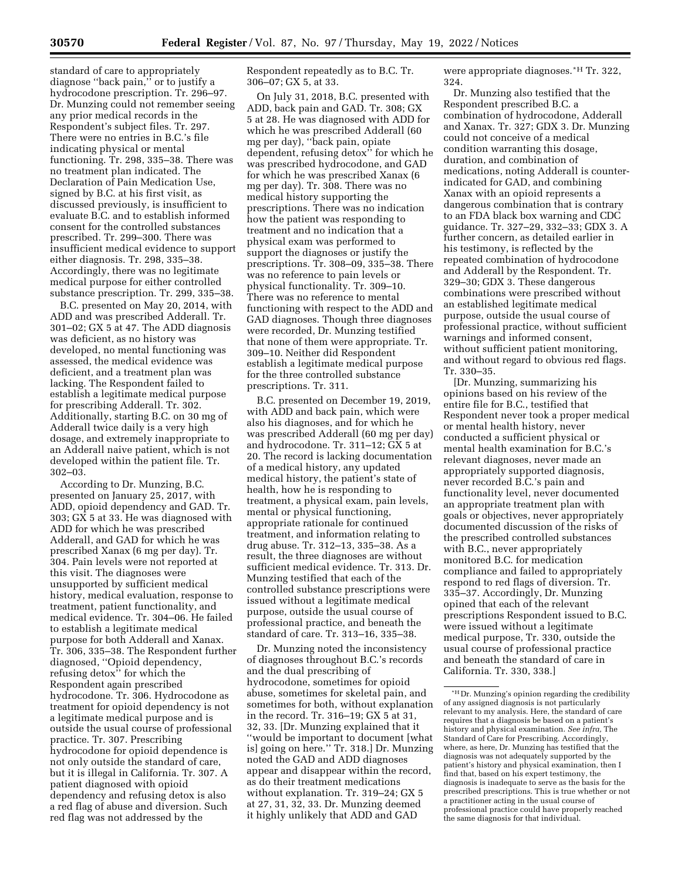standard of care to appropriately diagnose ''back pain,'' or to justify a hydrocodone prescription. Tr. 296–97. Dr. Munzing could not remember seeing any prior medical records in the Respondent's subject files. Tr. 297. There were no entries in B.C.'s file indicating physical or mental functioning. Tr. 298, 335–38. There was no treatment plan indicated. The Declaration of Pain Medication Use, signed by B.C. at his first visit, as discussed previously, is insufficient to evaluate B.C. and to establish informed consent for the controlled substances prescribed. Tr. 299–300. There was insufficient medical evidence to support either diagnosis. Tr. 298, 335–38. Accordingly, there was no legitimate medical purpose for either controlled substance prescription. Tr. 299, 335–38.

B.C. presented on May 20, 2014, with ADD and was prescribed Adderall. Tr. 301–02; GX 5 at 47. The ADD diagnosis was deficient, as no history was developed, no mental functioning was assessed, the medical evidence was deficient, and a treatment plan was lacking. The Respondent failed to establish a legitimate medical purpose for prescribing Adderall. Tr. 302. Additionally, starting B.C. on 30 mg of Adderall twice daily is a very high dosage, and extremely inappropriate to an Adderall naive patient, which is not developed within the patient file. Tr. 302–03.

According to Dr. Munzing, B.C. presented on January 25, 2017, with ADD, opioid dependency and GAD. Tr. 303; GX 5 at 33. He was diagnosed with ADD for which he was prescribed Adderall, and GAD for which he was prescribed Xanax (6 mg per day). Tr. 304. Pain levels were not reported at this visit. The diagnoses were unsupported by sufficient medical history, medical evaluation, response to treatment, patient functionality, and medical evidence. Tr. 304–06. He failed to establish a legitimate medical purpose for both Adderall and Xanax. Tr. 306, 335–38. The Respondent further diagnosed, ''Opioid dependency, refusing detox'' for which the Respondent again prescribed hydrocodone. Tr. 306. Hydrocodone as treatment for opioid dependency is not a legitimate medical purpose and is outside the usual course of professional practice. Tr. 307. Prescribing hydrocodone for opioid dependence is not only outside the standard of care, but it is illegal in California. Tr. 307. A patient diagnosed with opioid dependency and refusing detox is also a red flag of abuse and diversion. Such red flag was not addressed by the

Respondent repeatedly as to B.C. Tr. 306–07; GX 5, at 33.

On July 31, 2018, B.C. presented with ADD, back pain and GAD. Tr. 308; GX 5 at 28. He was diagnosed with ADD for which he was prescribed Adderall (60 mg per day), ''back pain, opiate dependent, refusing detox'' for which he was prescribed hydrocodone, and GAD for which he was prescribed Xanax (6 mg per day). Tr. 308. There was no medical history supporting the prescriptions. There was no indication how the patient was responding to treatment and no indication that a physical exam was performed to support the diagnoses or justify the prescriptions. Tr. 308–09, 335–38. There was no reference to pain levels or physical functionality. Tr. 309–10. There was no reference to mental functioning with respect to the ADD and GAD diagnoses. Though three diagnoses were recorded, Dr. Munzing testified that none of them were appropriate. Tr. 309–10. Neither did Respondent establish a legitimate medical purpose for the three controlled substance prescriptions. Tr. 311.

B.C. presented on December 19, 2019, with ADD and back pain, which were also his diagnoses, and for which he was prescribed Adderall (60 mg per day) and hydrocodone. Tr. 311–12; GX 5 at 20. The record is lacking documentation of a medical history, any updated medical history, the patient's state of health, how he is responding to treatment, a physical exam, pain levels, mental or physical functioning, appropriate rationale for continued treatment, and information relating to drug abuse. Tr. 312–13, 335–38. As a result, the three diagnoses are without sufficient medical evidence. Tr. 313. Dr. Munzing testified that each of the controlled substance prescriptions were issued without a legitimate medical purpose, outside the usual course of professional practice, and beneath the standard of care. Tr. 313–16, 335–38.

Dr. Munzing noted the inconsistency of diagnoses throughout B.C.'s records and the dual prescribing of hydrocodone, sometimes for opioid abuse, sometimes for skeletal pain, and sometimes for both, without explanation in the record. Tr. 316–19; GX 5 at 31, 32, 33. [Dr. Munzing explained that it ''would be important to document [what is] going on here.'' Tr. 318.] Dr. Munzing noted the GAD and ADD diagnoses appear and disappear within the record, as do their treatment medications without explanation. Tr. 319–24; GX 5 at 27, 31, 32, 33. Dr. Munzing deemed it highly unlikely that ADD and GAD

were appropriate diagnoses.\*H Tr. 322, 324.

Dr. Munzing also testified that the Respondent prescribed B.C. a combination of hydrocodone, Adderall and Xanax. Tr. 327; GDX 3. Dr. Munzing could not conceive of a medical condition warranting this dosage, duration, and combination of medications, noting Adderall is counterindicated for GAD, and combining Xanax with an opioid represents a dangerous combination that is contrary to an FDA black box warning and CDC guidance. Tr. 327–29, 332–33; GDX 3. A further concern, as detailed earlier in his testimony, is reflected by the repeated combination of hydrocodone and Adderall by the Respondent. Tr. 329–30; GDX 3. These dangerous combinations were prescribed without an established legitimate medical purpose, outside the usual course of professional practice, without sufficient warnings and informed consent, without sufficient patient monitoring, and without regard to obvious red flags. Tr. 330–35.

[Dr. Munzing, summarizing his opinions based on his review of the entire file for B.C., testified that Respondent never took a proper medical or mental health history, never conducted a sufficient physical or mental health examination for B.C.'s relevant diagnoses, never made an appropriately supported diagnosis, never recorded B.C.'s pain and functionality level, never documented an appropriate treatment plan with goals or objectives, never appropriately documented discussion of the risks of the prescribed controlled substances with B.C., never appropriately monitored B.C. for medication compliance and failed to appropriately respond to red flags of diversion. Tr. 335–37. Accordingly, Dr. Munzing opined that each of the relevant prescriptions Respondent issued to B.C. were issued without a legitimate medical purpose, Tr. 330, outside the usual course of professional practice and beneath the standard of care in California. Tr. 330, 338.]

 $\rm{^{\star}H}$  Dr. Munzing's opinion regarding the credibility of any assigned diagnosis is not particularly relevant to my analysis. Here, the standard of care requires that a diagnosis be based on a patient's history and physical examination. *See infra,* The Standard of Care for Prescribing. Accordingly, where, as here, Dr. Munzing has testified that the diagnosis was not adequately supported by the patient's history and physical examination, then I find that, based on his expert testimony, the diagnosis is inadequate to serve as the basis for the prescribed prescriptions. This is true whether or not a practitioner acting in the usual course of professional practice could have properly reached the same diagnosis for that individual.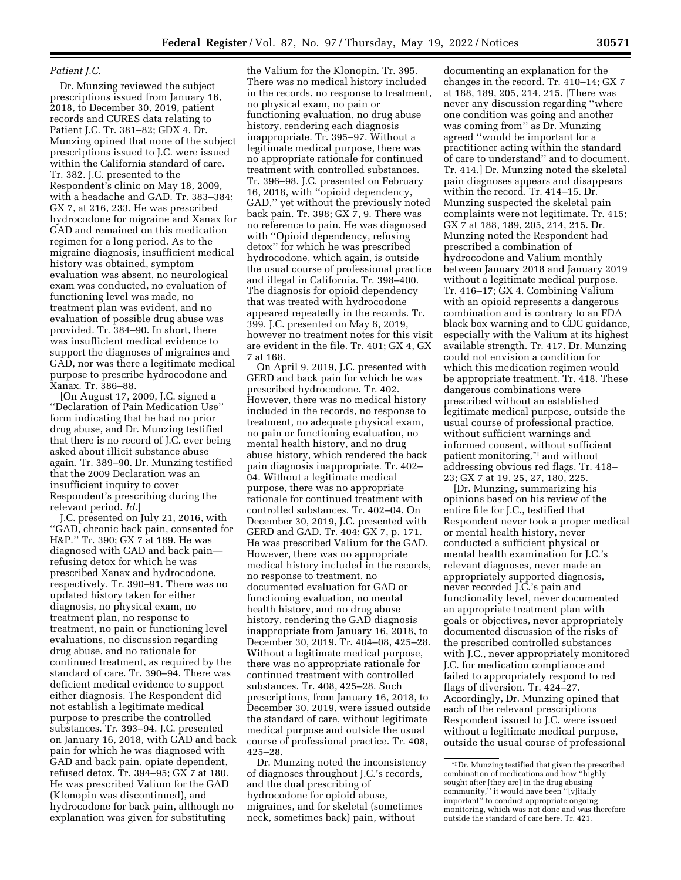# *Patient J.C.*

Dr. Munzing reviewed the subject prescriptions issued from January 16, 2018, to December 30, 2019, patient records and CURES data relating to Patient J.C. Tr. 381–82; GDX 4. Dr. Munzing opined that none of the subject prescriptions issued to J.C. were issued within the California standard of care. Tr. 382. J.C. presented to the Respondent's clinic on May 18, 2009, with a headache and GAD. Tr. 383–384; GX 7, at 216, 233. He was prescribed hydrocodone for migraine and Xanax for GAD and remained on this medication regimen for a long period. As to the migraine diagnosis, insufficient medical history was obtained, symptom evaluation was absent, no neurological exam was conducted, no evaluation of functioning level was made, no treatment plan was evident, and no evaluation of possible drug abuse was provided. Tr. 384–90. In short, there was insufficient medical evidence to support the diagnoses of migraines and GAD, nor was there a legitimate medical purpose to prescribe hydrocodone and Xanax. Tr. 386–88.

[On August 17, 2009, J.C. signed a ''Declaration of Pain Medication Use'' form indicating that he had no prior drug abuse, and Dr. Munzing testified that there is no record of J.C. ever being asked about illicit substance abuse again. Tr. 389–90. Dr. Munzing testified that the 2009 Declaration was an insufficient inquiry to cover Respondent's prescribing during the relevant period. *Id.*]

J.C. presented on July 21, 2016, with ''GAD, chronic back pain, consented for H&P.'' Tr. 390; GX 7 at 189. He was diagnosed with GAD and back pain refusing detox for which he was prescribed Xanax and hydrocodone, respectively. Tr. 390–91. There was no updated history taken for either diagnosis, no physical exam, no treatment plan, no response to treatment, no pain or functioning level evaluations, no discussion regarding drug abuse, and no rationale for continued treatment, as required by the standard of care. Tr. 390–94. There was deficient medical evidence to support either diagnosis. The Respondent did not establish a legitimate medical purpose to prescribe the controlled substances. Tr. 393–94. J.C. presented on January 16, 2018, with GAD and back pain for which he was diagnosed with GAD and back pain, opiate dependent, refused detox. Tr. 394–95; GX 7 at 180. He was prescribed Valium for the GAD (Klonopin was discontinued), and hydrocodone for back pain, although no explanation was given for substituting

the Valium for the Klonopin. Tr. 395. There was no medical history included in the records, no response to treatment, no physical exam, no pain or functioning evaluation, no drug abuse history, rendering each diagnosis inappropriate. Tr. 395–97. Without a legitimate medical purpose, there was no appropriate rationale for continued treatment with controlled substances. Tr. 396–98. J.C. presented on February 16, 2018, with ''opioid dependency, GAD,'' yet without the previously noted back pain. Tr. 398; GX 7, 9. There was no reference to pain. He was diagnosed with ''Opioid dependency, refusing detox'' for which he was prescribed hydrocodone, which again, is outside the usual course of professional practice and illegal in California. Tr. 398–400. The diagnosis for opioid dependency that was treated with hydrocodone appeared repeatedly in the records. Tr. 399. J.C. presented on May 6, 2019, however no treatment notes for this visit are evident in the file. Tr. 401; GX 4, GX 7 at 168.

On April 9, 2019, J.C. presented with GERD and back pain for which he was prescribed hydrocodone. Tr. 402. However, there was no medical history included in the records, no response to treatment, no adequate physical exam, no pain or functioning evaluation, no mental health history, and no drug abuse history, which rendered the back pain diagnosis inappropriate. Tr. 402– 04. Without a legitimate medical purpose, there was no appropriate rationale for continued treatment with controlled substances. Tr. 402–04. On December 30, 2019, J.C. presented with GERD and GAD. Tr. 404; GX 7, p. 171. He was prescribed Valium for the GAD. However, there was no appropriate medical history included in the records, no response to treatment, no documented evaluation for GAD or functioning evaluation, no mental health history, and no drug abuse history, rendering the GAD diagnosis inappropriate from January 16, 2018, to December 30, 2019. Tr. 404–08, 425–28. Without a legitimate medical purpose, there was no appropriate rationale for continued treatment with controlled substances. Tr. 408, 425–28. Such prescriptions, from January 16, 2018, to December 30, 2019, were issued outside the standard of care, without legitimate medical purpose and outside the usual course of professional practice. Tr. 408, 425–28.

Dr. Munzing noted the inconsistency of diagnoses throughout J.C.'s records, and the dual prescribing of hydrocodone for opioid abuse, migraines, and for skeletal (sometimes neck, sometimes back) pain, without

documenting an explanation for the changes in the record. Tr. 410–14; GX 7 at 188, 189, 205, 214, 215. [There was never any discussion regarding ''where one condition was going and another was coming from'' as Dr. Munzing agreed ''would be important for a practitioner acting within the standard of care to understand'' and to document. Tr. 414.] Dr. Munzing noted the skeletal pain diagnoses appears and disappears within the record. Tr. 414–15. Dr. Munzing suspected the skeletal pain complaints were not legitimate. Tr. 415; GX 7 at 188, 189, 205, 214, 215. Dr. Munzing noted the Respondent had prescribed a combination of hydrocodone and Valium monthly between January 2018 and January 2019 without a legitimate medical purpose. Tr. 416–17; GX 4. Combining Valium with an opioid represents a dangerous combination and is contrary to an FDA black box warning and to CDC guidance, especially with the Valium at its highest available strength. Tr. 417. Dr. Munzing could not envision a condition for which this medication regimen would be appropriate treatment. Tr. 418. These dangerous combinations were prescribed without an established legitimate medical purpose, outside the usual course of professional practice, without sufficient warnings and informed consent, without sufficient patient monitoring,\*I and without addressing obvious red flags. Tr. 418– 23; GX 7 at 19, 25, 27, 180, 225.

[Dr. Munzing, summarizing his opinions based on his review of the entire file for J.C., testified that Respondent never took a proper medical or mental health history, never conducted a sufficient physical or mental health examination for J.C.'s relevant diagnoses, never made an appropriately supported diagnosis, never recorded J.C.'s pain and functionality level, never documented an appropriate treatment plan with goals or objectives, never appropriately documented discussion of the risks of the prescribed controlled substances with J.C., never appropriately monitored J.C. for medication compliance and failed to appropriately respond to red flags of diversion. Tr. 424–27. Accordingly, Dr. Munzing opined that each of the relevant prescriptions Respondent issued to J.C. were issued without a legitimate medical purpose, outside the usual course of professional

<sup>\*</sup>I Dr. Munzing testified that given the prescribed combination of medications and how ''highly sought after [they are] in the drug abusing community," it would have been "[v]itally important'' to conduct appropriate ongoing monitoring, which was not done and was therefore outside the standard of care here. Tr. 421.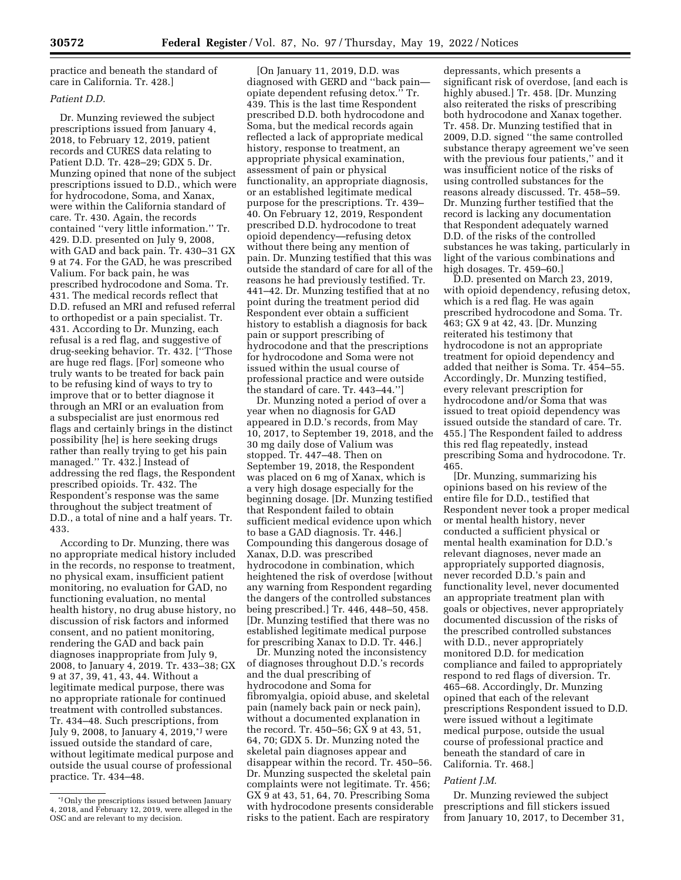practice and beneath the standard of care in California. Tr. 428.]

# *Patient D.D.*

Dr. Munzing reviewed the subject prescriptions issued from January 4, 2018, to February 12, 2019, patient records and CURES data relating to Patient D.D. Tr. 428–29; GDX 5. Dr. Munzing opined that none of the subject prescriptions issued to D.D., which were for hydrocodone, Soma, and Xanax, were within the California standard of care. Tr. 430. Again, the records contained ''very little information.'' Tr. 429. D.D. presented on July 9, 2008, with GAD and back pain. Tr. 430–31 GX 9 at 74. For the GAD, he was prescribed Valium. For back pain, he was prescribed hydrocodone and Soma. Tr. 431. The medical records reflect that D.D. refused an MRI and refused referral to orthopedist or a pain specialist. Tr. 431. According to Dr. Munzing, each refusal is a red flag, and suggestive of drug-seeking behavior. Tr. 432. [''Those are huge red flags. [For] someone who truly wants to be treated for back pain to be refusing kind of ways to try to improve that or to better diagnose it through an MRI or an evaluation from a subspecialist are just enormous red flags and certainly brings in the distinct possibility [he] is here seeking drugs rather than really trying to get his pain managed.'' Tr. 432.] Instead of addressing the red flags, the Respondent prescribed opioids. Tr. 432. The Respondent's response was the same throughout the subject treatment of D.D., a total of nine and a half years. Tr. 433.

According to Dr. Munzing, there was no appropriate medical history included in the records, no response to treatment, no physical exam, insufficient patient monitoring, no evaluation for GAD, no functioning evaluation, no mental health history, no drug abuse history, no discussion of risk factors and informed consent, and no patient monitoring, rendering the GAD and back pain diagnoses inappropriate from July 9, 2008, to January 4, 2019. Tr. 433–38; GX 9 at 37, 39, 41, 43, 44. Without a legitimate medical purpose, there was no appropriate rationale for continued treatment with controlled substances. Tr. 434–48. Such prescriptions, from July 9, 2008, to January 4, 2019,\*J were issued outside the standard of care, without legitimate medical purpose and outside the usual course of professional practice. Tr. 434–48.

[On January 11, 2019, D.D. was diagnosed with GERD and ''back pain opiate dependent refusing detox.'' Tr. 439. This is the last time Respondent prescribed D.D. both hydrocodone and Soma, but the medical records again reflected a lack of appropriate medical history, response to treatment, an appropriate physical examination, assessment of pain or physical functionality, an appropriate diagnosis, or an established legitimate medical purpose for the prescriptions. Tr. 439– 40. On February 12, 2019, Respondent prescribed D.D. hydrocodone to treat opioid dependency—refusing detox without there being any mention of pain. Dr. Munzing testified that this was outside the standard of care for all of the reasons he had previously testified. Tr. 441–42. Dr. Munzing testified that at no point during the treatment period did Respondent ever obtain a sufficient history to establish a diagnosis for back pain or support prescribing of hydrocodone and that the prescriptions for hydrocodone and Soma were not issued within the usual course of professional practice and were outside the standard of care. Tr. 443–44.'']

Dr. Munzing noted a period of over a year when no diagnosis for GAD appeared in D.D.'s records, from May 10, 2017, to September 19, 2018, and the 30 mg daily dose of Valium was stopped. Tr. 447–48. Then on September 19, 2018, the Respondent was placed on 6 mg of Xanax, which is a very high dosage especially for the beginning dosage. [Dr. Munzing testified that Respondent failed to obtain sufficient medical evidence upon which to base a GAD diagnosis. Tr. 446.] Compounding this dangerous dosage of Xanax, D.D. was prescribed hydrocodone in combination, which heightened the risk of overdose [without any warning from Respondent regarding the dangers of the controlled substances being prescribed.] Tr. 446, 448–50, 458. [Dr. Munzing testified that there was no established legitimate medical purpose for prescribing Xanax to D.D. Tr. 446.]

Dr. Munzing noted the inconsistency of diagnoses throughout D.D.'s records and the dual prescribing of hydrocodone and Soma for fibromyalgia, opioid abuse, and skeletal pain (namely back pain or neck pain), without a documented explanation in the record. Tr. 450–56; GX 9 at 43, 51, 64, 70; GDX 5. Dr. Munzing noted the skeletal pain diagnoses appear and disappear within the record. Tr. 450–56. Dr. Munzing suspected the skeletal pain complaints were not legitimate. Tr. 456; GX 9 at 43, 51, 64, 70. Prescribing Soma with hydrocodone presents considerable risks to the patient. Each are respiratory

depressants, which presents a significant risk of overdose, [and each is highly abused.] Tr. 458. [Dr. Munzing also reiterated the risks of prescribing both hydrocodone and Xanax together. Tr. 458. Dr. Munzing testified that in 2009, D.D. signed ''the same controlled substance therapy agreement we've seen with the previous four patients,'' and it was insufficient notice of the risks of using controlled substances for the reasons already discussed. Tr. 458–59. Dr. Munzing further testified that the record is lacking any documentation that Respondent adequately warned D.D. of the risks of the controlled substances he was taking, particularly in light of the various combinations and high dosages. Tr. 459–60.]

D.D. presented on March 23, 2019, with opioid dependency, refusing detox, which is a red flag. He was again prescribed hydrocodone and Soma. Tr. 463; GX 9 at 42, 43. [Dr. Munzing reiterated his testimony that hydrocodone is not an appropriate treatment for opioid dependency and added that neither is Soma. Tr. 454–55. Accordingly, Dr. Munzing testified, every relevant prescription for hydrocodone and/or Soma that was issued to treat opioid dependency was issued outside the standard of care. Tr. 455.] The Respondent failed to address this red flag repeatedly, instead prescribing Soma and hydrocodone. Tr. 465.

[Dr. Munzing, summarizing his opinions based on his review of the entire file for D.D., testified that Respondent never took a proper medical or mental health history, never conducted a sufficient physical or mental health examination for D.D.'s relevant diagnoses, never made an appropriately supported diagnosis, never recorded D.D.'s pain and functionality level, never documented an appropriate treatment plan with goals or objectives, never appropriately documented discussion of the risks of the prescribed controlled substances with D.D., never appropriately monitored D.D. for medication compliance and failed to appropriately respond to red flags of diversion. Tr. 465–68. Accordingly, Dr. Munzing opined that each of the relevant prescriptions Respondent issued to D.D. were issued without a legitimate medical purpose, outside the usual course of professional practice and beneath the standard of care in California. Tr. 468.]

### *Patient J.M.*

Dr. Munzing reviewed the subject prescriptions and fill stickers issued from January 10, 2017, to December 31,

<sup>\*</sup>JOnly the prescriptions issued between January 4, 2018, and February 12, 2019, were alleged in the OSC and are relevant to my decision.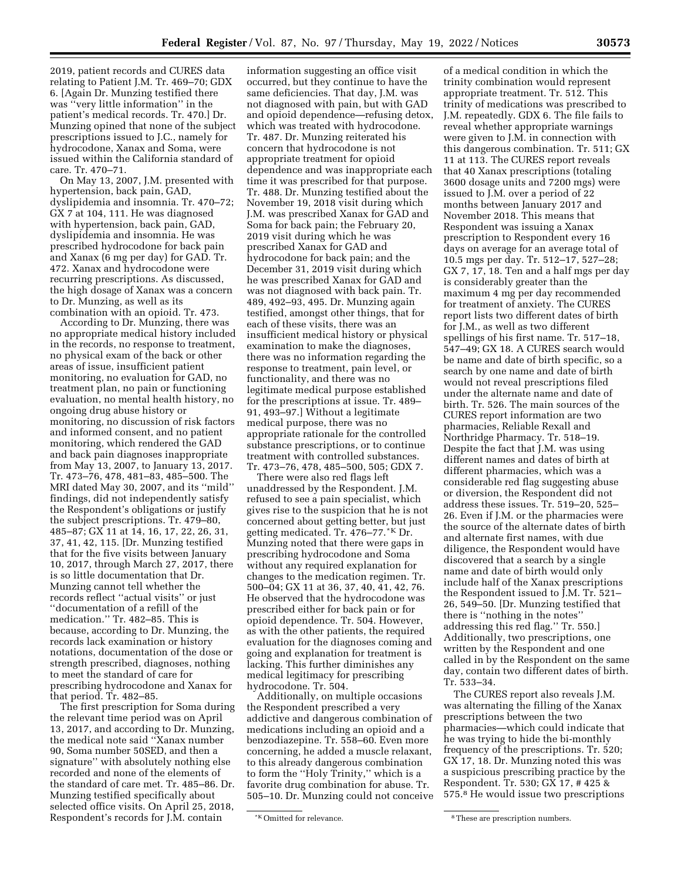2019, patient records and CURES data relating to Patient J.M. Tr. 469–70; GDX 6. [Again Dr. Munzing testified there was ''very little information'' in the patient's medical records. Tr. 470.] Dr. Munzing opined that none of the subject prescriptions issued to J.C., namely for hydrocodone, Xanax and Soma, were issued within the California standard of care. Tr. 470–71.

On May 13, 2007, J.M. presented with hypertension, back pain, GAD, dyslipidemia and insomnia. Tr. 470–72; GX 7 at 104, 111. He was diagnosed with hypertension, back pain, GAD, dyslipidemia and insomnia. He was prescribed hydrocodone for back pain and Xanax (6 mg per day) for GAD. Tr. 472. Xanax and hydrocodone were recurring prescriptions. As discussed, the high dosage of Xanax was a concern to Dr. Munzing, as well as its combination with an opioid. Tr. 473.

According to Dr. Munzing, there was no appropriate medical history included in the records, no response to treatment, no physical exam of the back or other areas of issue, insufficient patient monitoring, no evaluation for GAD, no treatment plan, no pain or functioning evaluation, no mental health history, no ongoing drug abuse history or monitoring, no discussion of risk factors and informed consent, and no patient monitoring, which rendered the GAD and back pain diagnoses inappropriate from May 13, 2007, to January 13, 2017. Tr. 473–76, 478, 481–83, 485–500. The MRI dated May 30, 2007, and its ''mild'' findings, did not independently satisfy the Respondent's obligations or justify the subject prescriptions. Tr. 479–80, 485–87; GX 11 at 14, 16, 17, 22, 26, 31, 37, 41, 42, 115. [Dr. Munzing testified that for the five visits between January 10, 2017, through March 27, 2017, there is so little documentation that Dr. Munzing cannot tell whether the records reflect ''actual visits'' or just ''documentation of a refill of the medication.'' Tr. 482–85. This is because, according to Dr. Munzing, the records lack examination or history notations, documentation of the dose or strength prescribed, diagnoses, nothing to meet the standard of care for prescribing hydrocodone and Xanax for that period. Tr. 482–85.

The first prescription for Soma during the relevant time period was on April 13, 2017, and according to Dr. Munzing, the medical note said ''Xanax number 90, Soma number 50SED, and then a signature'' with absolutely nothing else recorded and none of the elements of the standard of care met. Tr. 485–86. Dr. Munzing testified specifically about selected office visits. On April 25, 2018, Respondent's records for J.M. contain

information suggesting an office visit occurred, but they continue to have the same deficiencies. That day, J.M. was not diagnosed with pain, but with GAD and opioid dependence—refusing detox, which was treated with hydrocodone. Tr. 487. Dr. Munzing reiterated his concern that hydrocodone is not appropriate treatment for opioid dependence and was inappropriate each time it was prescribed for that purpose. Tr. 488. Dr. Munzing testified about the November 19, 2018 visit during which J.M. was prescribed Xanax for GAD and Soma for back pain; the February 20, 2019 visit during which he was prescribed Xanax for GAD and hydrocodone for back pain; and the December 31, 2019 visit during which he was prescribed Xanax for GAD and was not diagnosed with back pain. Tr. 489, 492–93, 495. Dr. Munzing again testified, amongst other things, that for each of these visits, there was an insufficient medical history or physical examination to make the diagnoses, there was no information regarding the response to treatment, pain level, or functionality, and there was no legitimate medical purpose established for the prescriptions at issue. Tr. 489– 91, 493–97.] Without a legitimate medical purpose, there was no appropriate rationale for the controlled substance prescriptions, or to continue treatment with controlled substances. Tr. 473–76, 478, 485–500, 505; GDX 7.

There were also red flags left unaddressed by the Respondent. J.M. refused to see a pain specialist, which gives rise to the suspicion that he is not concerned about getting better, but just getting medicated. Tr. 476–77.\*K Dr. Munzing noted that there were gaps in prescribing hydrocodone and Soma without any required explanation for changes to the medication regimen. Tr. 500–04; GX 11 at 36, 37, 40, 41, 42, 76. He observed that the hydrocodone was prescribed either for back pain or for opioid dependence. Tr. 504. However, as with the other patients, the required evaluation for the diagnoses coming and going and explanation for treatment is lacking. This further diminishes any medical legitimacy for prescribing hydrocodone. Tr. 504.

Additionally, on multiple occasions the Respondent prescribed a very addictive and dangerous combination of medications including an opioid and a benzodiazepine. Tr. 558–60. Even more concerning, he added a muscle relaxant, to this already dangerous combination to form the ''Holy Trinity,'' which is a favorite drug combination for abuse. Tr. 505–10. Dr. Munzing could not conceive

of a medical condition in which the trinity combination would represent appropriate treatment. Tr. 512. This trinity of medications was prescribed to J.M. repeatedly. GDX 6. The file fails to reveal whether appropriate warnings were given to J.M. in connection with this dangerous combination. Tr. 511; GX 11 at 113. The CURES report reveals that 40 Xanax prescriptions (totaling 3600 dosage units and 7200 mgs) were issued to J.M. over a period of 22 months between January 2017 and November 2018. This means that Respondent was issuing a Xanax prescription to Respondent every 16 days on average for an average total of 10.5 mgs per day. Tr. 512–17, 527–28; GX 7, 17, 18. Ten and a half mgs per day is considerably greater than the maximum 4 mg per day recommended for treatment of anxiety. The CURES report lists two different dates of birth for J.M., as well as two different spellings of his first name. Tr. 517–18, 547–49; GX 18. A CURES search would be name and date of birth specific, so a search by one name and date of birth would not reveal prescriptions filed under the alternate name and date of birth. Tr. 526. The main sources of the CURES report information are two pharmacies, Reliable Rexall and Northridge Pharmacy. Tr. 518–19. Despite the fact that J.M. was using different names and dates of birth at different pharmacies, which was a considerable red flag suggesting abuse or diversion, the Respondent did not address these issues. Tr. 519–20, 525– 26. Even if J.M. or the pharmacies were the source of the alternate dates of birth and alternate first names, with due diligence, the Respondent would have discovered that a search by a single name and date of birth would only include half of the Xanax prescriptions the Respondent issued to J.M. Tr. 521– 26, 549–50. [Dr. Munzing testified that there is ''nothing in the notes'' addressing this red flag.'' Tr. 550.] Additionally, two prescriptions, one written by the Respondent and one called in by the Respondent on the same day, contain two different dates of birth. Tr. 533–34.

The CURES report also reveals J.M. was alternating the filling of the Xanax prescriptions between the two pharmacies—which could indicate that he was trying to hide the bi-monthly frequency of the prescriptions. Tr. 520; GX 17, 18. Dr. Munzing noted this was a suspicious prescribing practice by the Respondent. Tr. 530; GX 17, # 425 & 575.8 He would issue two prescriptions

<sup>\*</sup>K Omitted for relevance.  $\blacksquare$ <sup>8</sup> These are prescription numbers.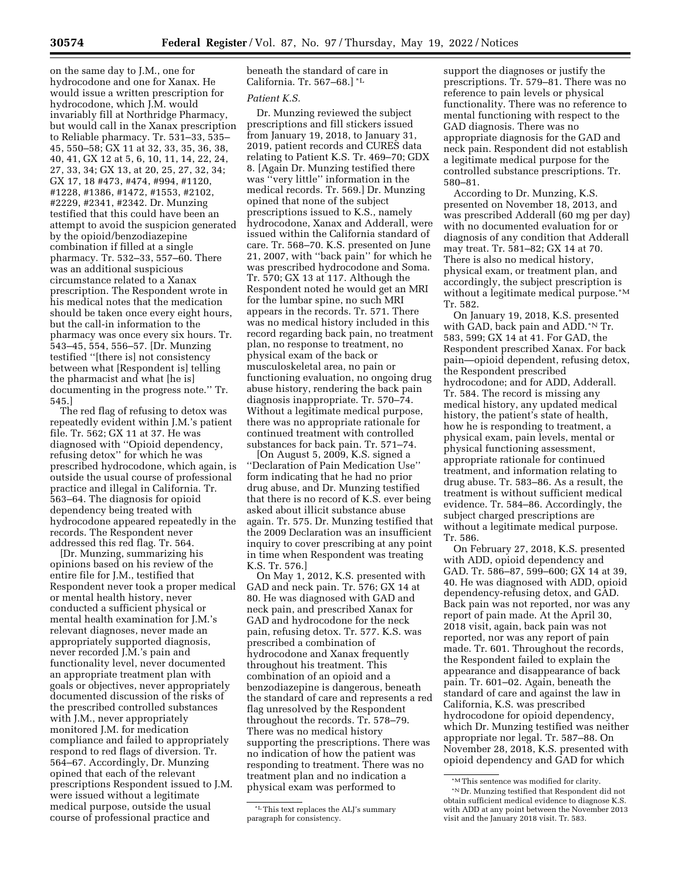on the same day to J.M., one for hydrocodone and one for Xanax. He would issue a written prescription for hydrocodone, which J.M. would invariably fill at Northridge Pharmacy, but would call in the Xanax prescription to Reliable pharmacy. Tr. 531–33, 535– 45, 550–58; GX 11 at 32, 33, 35, 36, 38, 40, 41, GX 12 at 5, 6, 10, 11, 14, 22, 24, 27, 33, 34; GX 13, at 20, 25, 27, 32, 34; GX 17, 18 #473, #474, #994, #1120, #1228, #1386, #1472, #1553, #2102, #2229, #2341, #2342. Dr. Munzing testified that this could have been an attempt to avoid the suspicion generated by the opioid/benzodiazepine combination if filled at a single pharmacy. Tr. 532–33, 557–60. There was an additional suspicious circumstance related to a Xanax prescription. The Respondent wrote in his medical notes that the medication should be taken once every eight hours, but the call-in information to the pharmacy was once every six hours. Tr. 543–45, 554, 556–57. [Dr. Munzing testified ''[there is] not consistency between what [Respondent is] telling the pharmacist and what [he is] documenting in the progress note.'' Tr. 545.]

The red flag of refusing to detox was repeatedly evident within J.M.'s patient file. Tr. 562; GX 11 at 37. He was diagnosed with ''Opioid dependency, refusing detox'' for which he was prescribed hydrocodone, which again, is outside the usual course of professional practice and illegal in California. Tr. 563–64. The diagnosis for opioid dependency being treated with hydrocodone appeared repeatedly in the records. The Respondent never addressed this red flag. Tr. 564.

[Dr. Munzing, summarizing his opinions based on his review of the entire file for J.M., testified that Respondent never took a proper medical or mental health history, never conducted a sufficient physical or mental health examination for J.M.'s relevant diagnoses, never made an appropriately supported diagnosis, never recorded J.M.'s pain and functionality level, never documented an appropriate treatment plan with goals or objectives, never appropriately documented discussion of the risks of the prescribed controlled substances with *J.M.*, never appropriately monitored J.M. for medication compliance and failed to appropriately respond to red flags of diversion. Tr. 564–67. Accordingly, Dr. Munzing opined that each of the relevant prescriptions Respondent issued to J.M. were issued without a legitimate medical purpose, outside the usual course of professional practice and

beneath the standard of care in California. Tr. 567–68.] \*L

# *Patient K.S.*

Dr. Munzing reviewed the subject prescriptions and fill stickers issued from January 19, 2018, to January 31, 2019, patient records and CURES data relating to Patient K.S. Tr. 469–70; GDX 8. [Again Dr. Munzing testified there was ''very little'' information in the medical records. Tr. 569.] Dr. Munzing opined that none of the subject prescriptions issued to K.S., namely hydrocodone, Xanax and Adderall, were issued within the California standard of care. Tr. 568–70. K.S. presented on June 21, 2007, with ''back pain'' for which he was prescribed hydrocodone and Soma. Tr. 570; GX 13 at 117. Although the Respondent noted he would get an MRI for the lumbar spine, no such MRI appears in the records. Tr. 571. There was no medical history included in this record regarding back pain, no treatment plan, no response to treatment, no physical exam of the back or musculoskeletal area, no pain or functioning evaluation, no ongoing drug abuse history, rendering the back pain diagnosis inappropriate. Tr. 570–74. Without a legitimate medical purpose, there was no appropriate rationale for continued treatment with controlled substances for back pain. Tr. 571–74.

[On August 5, 2009, K.S. signed a ''Declaration of Pain Medication Use'' form indicating that he had no prior drug abuse, and Dr. Munzing testified that there is no record of K.S. ever being asked about illicit substance abuse again. Tr. 575. Dr. Munzing testified that the 2009 Declaration was an insufficient inquiry to cover prescribing at any point in time when Respondent was treating K.S. Tr. 576.]

On May 1, 2012, K.S. presented with GAD and neck pain. Tr. 576; GX 14 at 80. He was diagnosed with GAD and neck pain, and prescribed Xanax for GAD and hydrocodone for the neck pain, refusing detox. Tr. 577. K.S. was prescribed a combination of hydrocodone and Xanax frequently throughout his treatment. This combination of an opioid and a benzodiazepine is dangerous, beneath the standard of care and represents a red flag unresolved by the Respondent throughout the records. Tr. 578–79. There was no medical history supporting the prescriptions. There was no indication of how the patient was responding to treatment. There was no treatment plan and no indication a physical exam was performed to

support the diagnoses or justify the prescriptions. Tr. 579–81. There was no reference to pain levels or physical functionality. There was no reference to mental functioning with respect to the GAD diagnosis. There was no appropriate diagnosis for the GAD and neck pain. Respondent did not establish a legitimate medical purpose for the controlled substance prescriptions. Tr. 580–81.

According to Dr. Munzing, K.S. presented on November 18, 2013, and was prescribed Adderall (60 mg per day) with no documented evaluation for or diagnosis of any condition that Adderall may treat. Tr. 581–82; GX 14 at 70. There is also no medical history, physical exam, or treatment plan, and accordingly, the subject prescription is without a legitimate medical purpose.\*M Tr. 582.

On January 19, 2018, K.S. presented with GAD, back pain and ADD.\*N Tr. 583, 599; GX 14 at 41. For GAD, the Respondent prescribed Xanax. For back pain—opioid dependent, refusing detox, the Respondent prescribed hydrocodone; and for ADD, Adderall. Tr. 584. The record is missing any medical history, any updated medical history, the patient's state of health, how he is responding to treatment, a physical exam, pain levels, mental or physical functioning assessment, appropriate rationale for continued treatment, and information relating to drug abuse. Tr. 583–86. As a result, the treatment is without sufficient medical evidence. Tr. 584–86. Accordingly, the subject charged prescriptions are without a legitimate medical purpose. Tr. 586.

On February 27, 2018, K.S. presented with ADD, opioid dependency and GAD. Tr. 586–87, 599–600; GX 14 at 39, 40. He was diagnosed with ADD, opioid dependency-refusing detox, and GAD. Back pain was not reported, nor was any report of pain made. At the April 30, 2018 visit, again, back pain was not reported, nor was any report of pain made. Tr. 601. Throughout the records, the Respondent failed to explain the appearance and disappearance of back pain. Tr. 601–02. Again, beneath the standard of care and against the law in California, K.S. was prescribed hydrocodone for opioid dependency, which Dr. Munzing testified was neither appropriate nor legal. Tr. 587–88. On November 28, 2018, K.S. presented with opioid dependency and GAD for which

<sup>\*</sup>LThis text replaces the ALJ's summary paragraph for consistency.

<sup>\*</sup>M This sentence was modified for clarity.

<sup>\*</sup>N Dr. Munzing testified that Respondent did not obtain sufficient medical evidence to diagnose K.S. with ADD at any point between the November 2013 visit and the January 2018 visit. Tr. 583.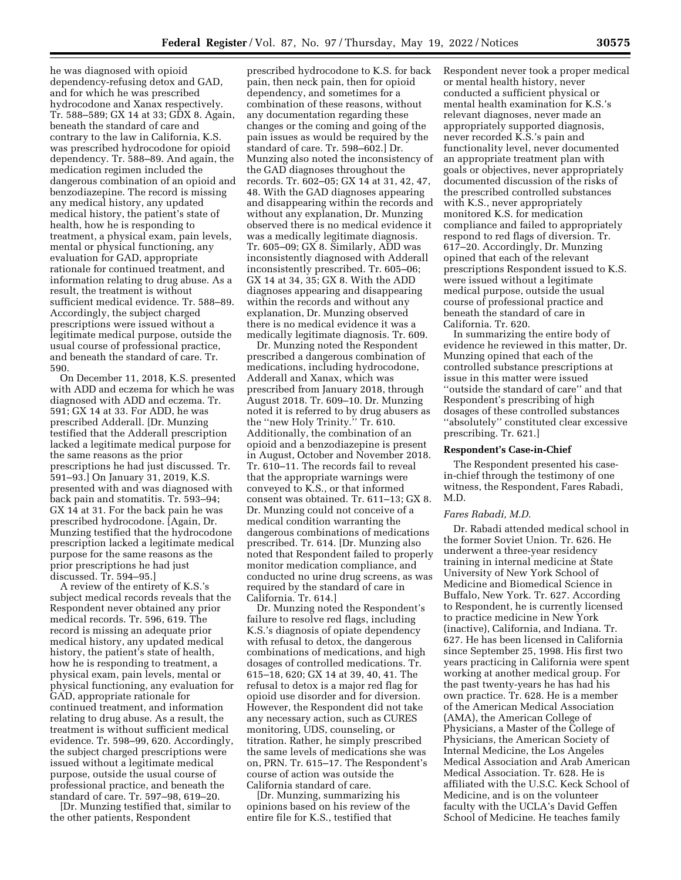he was diagnosed with opioid dependency-refusing detox and GAD, and for which he was prescribed hydrocodone and Xanax respectively. Tr. 588–589; GX 14 at 33; GDX 8. Again, beneath the standard of care and contrary to the law in California, K.S. was prescribed hydrocodone for opioid dependency. Tr. 588–89. And again, the medication regimen included the dangerous combination of an opioid and benzodiazepine. The record is missing any medical history, any updated medical history, the patient's state of health, how he is responding to treatment, a physical exam, pain levels, mental or physical functioning, any evaluation for GAD, appropriate rationale for continued treatment, and information relating to drug abuse. As a result, the treatment is without sufficient medical evidence. Tr. 588–89. Accordingly, the subject charged prescriptions were issued without a legitimate medical purpose, outside the usual course of professional practice, and beneath the standard of care. Tr. 590.

On December 11, 2018, K.S. presented with ADD and eczema for which he was diagnosed with ADD and eczema. Tr. 591; GX 14 at 33. For ADD, he was prescribed Adderall. [Dr. Munzing testified that the Adderall prescription lacked a legitimate medical purpose for the same reasons as the prior prescriptions he had just discussed. Tr. 591–93.] On January 31, 2019, K.S. presented with and was diagnosed with back pain and stomatitis. Tr. 593–94; GX 14 at 31. For the back pain he was prescribed hydrocodone. [Again, Dr. Munzing testified that the hydrocodone prescription lacked a legitimate medical purpose for the same reasons as the prior prescriptions he had just discussed. Tr. 594–95.]

A review of the entirety of K.S.'s subject medical records reveals that the Respondent never obtained any prior medical records. Tr. 596, 619. The record is missing an adequate prior medical history, any updated medical history, the patient's state of health, how he is responding to treatment, a physical exam, pain levels, mental or physical functioning, any evaluation for GAD, appropriate rationale for continued treatment, and information relating to drug abuse. As a result, the treatment is without sufficient medical evidence. Tr. 598–99, 620. Accordingly, the subject charged prescriptions were issued without a legitimate medical purpose, outside the usual course of professional practice, and beneath the standard of care. Tr. 597–98, 619–20.

[Dr. Munzing testified that, similar to the other patients, Respondent

prescribed hydrocodone to K.S. for back pain, then neck pain, then for opioid dependency, and sometimes for a combination of these reasons, without any documentation regarding these changes or the coming and going of the pain issues as would be required by the standard of care. Tr. 598–602.] Dr. Munzing also noted the inconsistency of the GAD diagnoses throughout the records. Tr. 602–05; GX 14 at 31, 42, 47, 48. With the GAD diagnoses appearing and disappearing within the records and without any explanation, Dr. Munzing observed there is no medical evidence it was a medically legitimate diagnosis. Tr. 605–09; GX 8. Similarly, ADD was inconsistently diagnosed with Adderall inconsistently prescribed. Tr. 605–06; GX 14 at 34, 35; GX 8. With the ADD diagnoses appearing and disappearing within the records and without any explanation, Dr. Munzing observed there is no medical evidence it was a medically legitimate diagnosis. Tr. 609.

Dr. Munzing noted the Respondent prescribed a dangerous combination of medications, including hydrocodone, Adderall and Xanax, which was prescribed from January 2018, through August 2018. Tr. 609–10. Dr. Munzing noted it is referred to by drug abusers as the ''new Holy Trinity.'' Tr. 610. Additionally, the combination of an opioid and a benzodiazepine is present in August, October and November 2018. Tr. 610–11. The records fail to reveal that the appropriate warnings were conveyed to K.S., or that informed consent was obtained. Tr. 611–13; GX 8. Dr. Munzing could not conceive of a medical condition warranting the dangerous combinations of medications prescribed. Tr. 614. [Dr. Munzing also noted that Respondent failed to properly monitor medication compliance, and conducted no urine drug screens, as was required by the standard of care in California. Tr. 614.]

Dr. Munzing noted the Respondent's failure to resolve red flags, including K.S.'s diagnosis of opiate dependency with refusal to detox, the dangerous combinations of medications, and high dosages of controlled medications. Tr. 615–18, 620; GX 14 at 39, 40, 41. The refusal to detox is a major red flag for opioid use disorder and for diversion. However, the Respondent did not take any necessary action, such as CURES monitoring, UDS, counseling, or titration. Rather, he simply prescribed the same levels of medications she was on, PRN. Tr. 615–17. The Respondent's course of action was outside the California standard of care.

[Dr. Munzing, summarizing his opinions based on his review of the entire file for K.S., testified that

Respondent never took a proper medical or mental health history, never conducted a sufficient physical or mental health examination for K.S.'s relevant diagnoses, never made an appropriately supported diagnosis, never recorded K.S.'s pain and functionality level, never documented an appropriate treatment plan with goals or objectives, never appropriately documented discussion of the risks of the prescribed controlled substances with K.S., never appropriately monitored K.S. for medication compliance and failed to appropriately respond to red flags of diversion. Tr. 617–20. Accordingly, Dr. Munzing opined that each of the relevant prescriptions Respondent issued to K.S. were issued without a legitimate medical purpose, outside the usual course of professional practice and beneath the standard of care in California. Tr. 620.

In summarizing the entire body of evidence he reviewed in this matter, Dr. Munzing opined that each of the controlled substance prescriptions at issue in this matter were issued ''outside the standard of care'' and that Respondent's prescribing of high dosages of these controlled substances ''absolutely'' constituted clear excessive prescribing. Tr. 621.]

## **Respondent's Case-in-Chief**

The Respondent presented his casein-chief through the testimony of one witness, the Respondent, Fares Rabadi, M.D.

#### *Fares Rabadi, M.D.*

Dr. Rabadi attended medical school in the former Soviet Union. Tr. 626. He underwent a three-year residency training in internal medicine at State University of New York School of Medicine and Biomedical Science in Buffalo, New York. Tr. 627. According to Respondent, he is currently licensed to practice medicine in New York (inactive), California, and Indiana. Tr. 627. He has been licensed in California since September 25, 1998. His first two years practicing in California were spent working at another medical group. For the past twenty-years he has had his own practice. Tr. 628. He is a member of the American Medical Association (AMA), the American College of Physicians, a Master of the College of Physicians, the American Society of Internal Medicine, the Los Angeles Medical Association and Arab American Medical Association. Tr. 628. He is affiliated with the U.S.C. Keck School of Medicine, and is on the volunteer faculty with the UCLA's David Geffen School of Medicine. He teaches family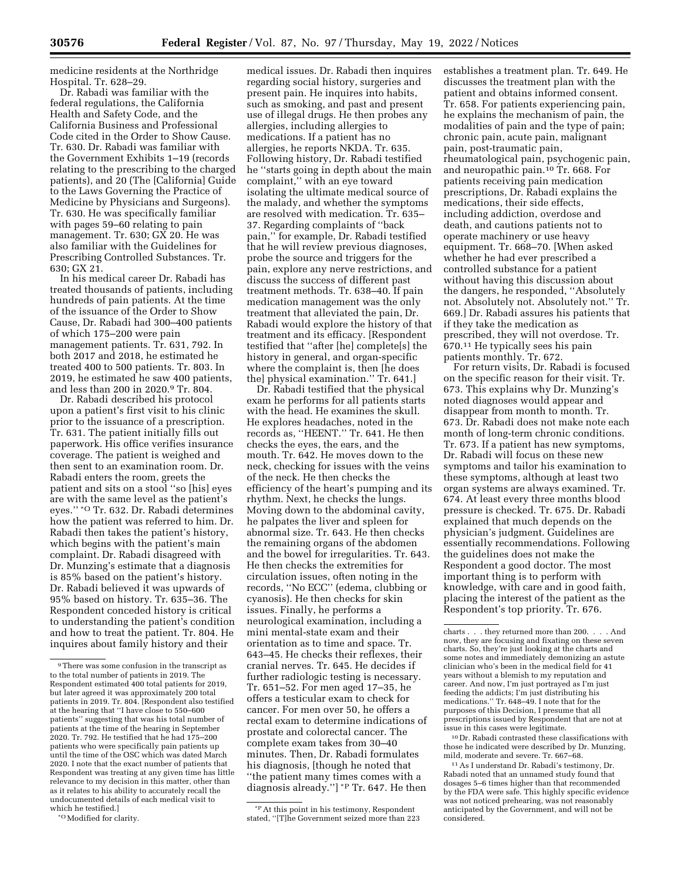medicine residents at the Northridge Hospital. Tr. 628–29.

Dr. Rabadi was familiar with the federal regulations, the California Health and Safety Code, and the California Business and Professional Code cited in the Order to Show Cause. Tr. 630. Dr. Rabadi was familiar with the Government Exhibits 1–19 (records relating to the prescribing to the charged patients), and 20 (The [California] Guide to the Laws Governing the Practice of Medicine by Physicians and Surgeons). Tr. 630. He was specifically familiar with pages 59–60 relating to pain management. Tr. 630; GX 20. He was also familiar with the Guidelines for Prescribing Controlled Substances. Tr. 630; GX 21.

In his medical career Dr. Rabadi has treated thousands of patients, including hundreds of pain patients. At the time of the issuance of the Order to Show Cause, Dr. Rabadi had 300–400 patients of which 175–200 were pain management patients. Tr. 631, 792. In both 2017 and 2018, he estimated he treated 400 to 500 patients. Tr. 803. In 2019, he estimated he saw 400 patients, and less than 200 in 2020.9 Tr. 804.

Dr. Rabadi described his protocol upon a patient's first visit to his clinic prior to the issuance of a prescription. Tr. 631. The patient initially fills out paperwork. His office verifies insurance coverage. The patient is weighed and then sent to an examination room. Dr. Rabadi enters the room, greets the patient and sits on a stool ''so [his] eyes are with the same level as the patient's eyes.'' \*O Tr. 632. Dr. Rabadi determines how the patient was referred to him. Dr. Rabadi then takes the patient's history, which begins with the patient's main complaint. Dr. Rabadi disagreed with Dr. Munzing's estimate that a diagnosis is 85% based on the patient's history. Dr. Rabadi believed it was upwards of 95% based on history. Tr. 635–36. The Respondent conceded history is critical to understanding the patient's condition and how to treat the patient. Tr. 804. He inquires about family history and their

\*OModified for clarity.

medical issues. Dr. Rabadi then inquires regarding social history, surgeries and present pain. He inquires into habits, such as smoking, and past and present use of illegal drugs. He then probes any allergies, including allergies to medications. If a patient has no allergies, he reports NKDA. Tr. 635. Following history, Dr. Rabadi testified he ''starts going in depth about the main complaint,'' with an eye toward isolating the ultimate medical source of the malady, and whether the symptoms are resolved with medication. Tr. 635– 37. Regarding complaints of ''back pain,'' for example, Dr. Rabadi testified that he will review previous diagnoses, probe the source and triggers for the pain, explore any nerve restrictions, and discuss the success of different past treatment methods. Tr. 638–40. If pain medication management was the only treatment that alleviated the pain, Dr. Rabadi would explore the history of that treatment and its efficacy. [Respondent testified that ''after [he] complete[s] the history in general, and organ-specific where the complaint is, then [he does the] physical examination.'' Tr. 641.]

Dr. Rabadi testified that the physical exam he performs for all patients starts with the head. He examines the skull. He explores headaches, noted in the records as, ''HEENT.'' Tr. 641. He then checks the eyes, the ears, and the mouth. Tr. 642. He moves down to the neck, checking for issues with the veins of the neck. He then checks the efficiency of the heart's pumping and its rhythm. Next, he checks the lungs. Moving down to the abdominal cavity, he palpates the liver and spleen for abnormal size. Tr. 643. He then checks the remaining organs of the abdomen and the bowel for irregularities. Tr. 643. He then checks the extremities for circulation issues, often noting in the records, ''No ECC'' (edema, clubbing or cyanosis). He then checks for skin issues. Finally, he performs a neurological examination, including a mini mental-state exam and their orientation as to time and space. Tr. 643–45. He checks their reflexes, their cranial nerves. Tr. 645. He decides if further radiologic testing is necessary. Tr. 651–52. For men aged 17–35, he offers a testicular exam to check for cancer. For men over 50, he offers a rectal exam to determine indications of prostate and colorectal cancer. The complete exam takes from 30–40 minutes. Then, Dr. Rabadi formulates his diagnosis, [though he noted that ''the patient many times comes with a diagnosis already.''] \*P Tr. 647. He then

\*PAt this point in his testimony, Respondent stated, ''[T]he Government seized more than 223 establishes a treatment plan. Tr. 649. He discusses the treatment plan with the patient and obtains informed consent. Tr. 658. For patients experiencing pain, he explains the mechanism of pain, the modalities of pain and the type of pain; chronic pain, acute pain, malignant pain, post-traumatic pain, rheumatological pain, psychogenic pain, and neuropathic pain.10 Tr. 668. For patients receiving pain medication prescriptions, Dr. Rabadi explains the medications, their side effects, including addiction, overdose and death, and cautions patients not to operate machinery or use heavy equipment. Tr. 668–70. [When asked whether he had ever prescribed a controlled substance for a patient without having this discussion about the dangers, he responded, ''Absolutely not. Absolutely not. Absolutely not.'' Tr. 669.] Dr. Rabadi assures his patients that if they take the medication as prescribed, they will not overdose. Tr. 670.11 He typically sees his pain patients monthly. Tr. 672.

For return visits, Dr. Rabadi is focused on the specific reason for their visit. Tr. 673. This explains why Dr. Munzing's noted diagnoses would appear and disappear from month to month. Tr. 673. Dr. Rabadi does not make note each month of long-term chronic conditions. Tr. 673. If a patient has new symptoms, Dr. Rabadi will focus on these new symptoms and tailor his examination to these symptoms, although at least two organ systems are always examined. Tr. 674. At least every three months blood pressure is checked. Tr. 675. Dr. Rabadi explained that much depends on the physician's judgment. Guidelines are essentially recommendations. Following the guidelines does not make the Respondent a good doctor. The most important thing is to perform with knowledge, with care and in good faith, placing the interest of the patient as the Respondent's top priority. Tr. 676.

10 Dr. Rabadi contrasted these classifications with those he indicated were described by Dr. Munzing, mild, moderate and severe. Tr. 667–68.

11As I understand Dr. Rabadi's testimony, Dr. Rabadi noted that an unnamed study found that dosages 5–6 times higher than that recommended by the FDA were safe. This highly specific evidence was not noticed prehearing, was not reasonably anticipated by the Government, and will not be considered.

<sup>9</sup>There was some confusion in the transcript as to the total number of patients in 2019. The Respondent estimated 400 total patients for 2019, but later agreed it was approximately 200 total patients in 2019. Tr. 804. [Respondent also testified at the hearing that ''I have close to 550–600 patients'' suggesting that was his total number of patients at the time of the hearing in September 2020. Tr. 792. He testified that he had 175–200 patients who were specifically pain patients up until the time of the OSC which was dated March 2020. I note that the exact number of patients that Respondent was treating at any given time has little relevance to my decision in this matter, other than as it relates to his ability to accurately recall the undocumented details of each medical visit to which he testified.]

charts . . . they returned more than 200. . . . And now, they are focusing and fixating on these seven charts. So, they're just looking at the charts and some notes and immediately demonizing an astute clinician who's been in the medical field for 41 years without a blemish to my reputation and career. And now, I'm just portrayed as I'm just feeding the addicts; I'm just distributing his medications.'' Tr. 648–49. I note that for the purposes of this Decision, I presume that all prescriptions issued by Respondent that are not at issue in this cases were legitimate.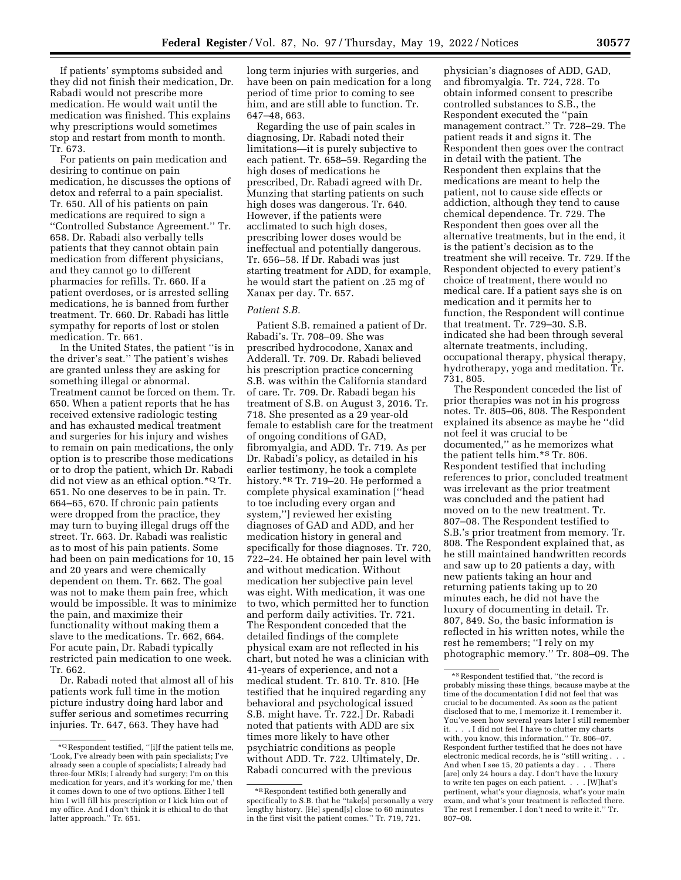If patients' symptoms subsided and they did not finish their medication, Dr. Rabadi would not prescribe more medication. He would wait until the medication was finished. This explains why prescriptions would sometimes stop and restart from month to month. Tr. 673.

For patients on pain medication and desiring to continue on pain medication, he discusses the options of detox and referral to a pain specialist. Tr. 650. All of his patients on pain medications are required to sign a ''Controlled Substance Agreement.'' Tr. 658. Dr. Rabadi also verbally tells patients that they cannot obtain pain medication from different physicians, and they cannot go to different pharmacies for refills. Tr. 660. If a patient overdoses, or is arrested selling medications, he is banned from further treatment. Tr. 660. Dr. Rabadi has little sympathy for reports of lost or stolen medication. Tr. 661.

In the United States, the patient ''is in the driver's seat.'' The patient's wishes are granted unless they are asking for something illegal or abnormal. Treatment cannot be forced on them. Tr. 650. When a patient reports that he has received extensive radiologic testing and has exhausted medical treatment and surgeries for his injury and wishes to remain on pain medications, the only option is to prescribe those medications or to drop the patient, which Dr. Rabadi did not view as an ethical option.\*Q Tr. 651. No one deserves to be in pain. Tr. 664–65, 670. If chronic pain patients were dropped from the practice, they may turn to buying illegal drugs off the street. Tr. 663. Dr. Rabadi was realistic as to most of his pain patients. Some had been on pain medications for 10, 15 and 20 years and were chemically dependent on them. Tr. 662. The goal was not to make them pain free, which would be impossible. It was to minimize the pain, and maximize their functionality without making them a slave to the medications. Tr. 662, 664. For acute pain, Dr. Rabadi typically restricted pain medication to one week. Tr. 662.

Dr. Rabadi noted that almost all of his patients work full time in the motion picture industry doing hard labor and suffer serious and sometimes recurring injuries. Tr. 647, 663. They have had

long term injuries with surgeries, and have been on pain medication for a long period of time prior to coming to see him, and are still able to function. Tr. 647–48, 663.

Regarding the use of pain scales in diagnosing, Dr. Rabadi noted their limitations—it is purely subjective to each patient. Tr. 658–59. Regarding the high doses of medications he prescribed, Dr. Rabadi agreed with Dr. Munzing that starting patients on such high doses was dangerous. Tr. 640. However, if the patients were acclimated to such high doses, prescribing lower doses would be ineffectual and potentially dangerous. Tr. 656–58. If Dr. Rabadi was just starting treatment for ADD, for example, he would start the patient on .25 mg of Xanax per day. Tr. 657.

# *Patient S.B.*

Patient S.B. remained a patient of Dr. Rabadi's. Tr. 708–09. She was prescribed hydrocodone, Xanax and Adderall. Tr. 709. Dr. Rabadi believed his prescription practice concerning S.B. was within the California standard of care. Tr. 709. Dr. Rabadi began his treatment of S.B. on August 3, 2016. Tr. 718. She presented as a 29 year-old female to establish care for the treatment of ongoing conditions of GAD, fibromyalgia, and ADD. Tr. 719. As per Dr. Rabadi's policy, as detailed in his earlier testimony, he took a complete history.<sup>\*R</sup> Tr. 719–20. He performed a complete physical examination [''head to toe including every organ and system,''] reviewed her existing diagnoses of GAD and ADD, and her medication history in general and specifically for those diagnoses. Tr. 720, 722–24. He obtained her pain level with and without medication. Without medication her subjective pain level was eight. With medication, it was one to two, which permitted her to function and perform daily activities. Tr. 721. The Respondent conceded that the detailed findings of the complete physical exam are not reflected in his chart, but noted he was a clinician with 41-years of experience, and not a medical student. Tr. 810. Tr. 810. [He testified that he inquired regarding any behavioral and psychological issued S.B. might have. Tr. 722.] Dr. Rabadi noted that patients with ADD are six times more likely to have other psychiatric conditions as people without ADD. Tr. 722. Ultimately, Dr. Rabadi concurred with the previous

physician's diagnoses of ADD, GAD, and fibromyalgia. Tr. 724, 728. To obtain informed consent to prescribe controlled substances to S.B., the Respondent executed the ''pain management contract.'' Tr. 728–29. The patient reads it and signs it. The Respondent then goes over the contract in detail with the patient. The Respondent then explains that the medications are meant to help the patient, not to cause side effects or addiction, although they tend to cause chemical dependence. Tr. 729. The Respondent then goes over all the alternative treatments, but in the end, it is the patient's decision as to the treatment she will receive. Tr. 729. If the Respondent objected to every patient's choice of treatment, there would no medical care. If a patient says she is on medication and it permits her to function, the Respondent will continue that treatment. Tr. 729–30. S.B. indicated she had been through several alternate treatments, including, occupational therapy, physical therapy, hydrotherapy, yoga and meditation. Tr. 731, 805.

The Respondent conceded the list of prior therapies was not in his progress notes. Tr. 805–06, 808. The Respondent explained its absence as maybe he ''did not feel it was crucial to be documented,'' as he memorizes what the patient tells him.\*S Tr. 806. Respondent testified that including references to prior, concluded treatment was irrelevant as the prior treatment was concluded and the patient had moved on to the new treatment. Tr. 807–08. The Respondent testified to S.B.'s prior treatment from memory. Tr. 808. The Respondent explained that, as he still maintained handwritten records and saw up to 20 patients a day, with new patients taking an hour and returning patients taking up to 20 minutes each, he did not have the luxury of documenting in detail. Tr. 807, 849. So, the basic information is reflected in his written notes, while the rest he remembers; ''I rely on my photographic memory.'' Tr. 808–09. The

<sup>\*</sup>Q Respondent testified, ''[i]f the patient tells me, 'Look, I've already been with pain specialists; I've already seen a couple of specialists; I already had three-four MRIs; I already had surgery; I'm on this medication for years, and it's working for me,' then it comes down to one of two options. Either I tell him I will fill his prescription or I kick him out of my office. And I don't think it is ethical to do that latter approach.'' Tr. 651.

<sup>\*</sup>R Respondent testified both generally and specifically to S.B. that he ''take[s] personally a very lengthy history. [He] spend[s] close to 60 minutes in the first visit the patient comes.'' Tr. 719, 721.

<sup>\*</sup>SRespondent testified that, ''the record is probably missing these things, because maybe at the time of the documentation I did not feel that was crucial to be documented. As soon as the patient disclosed that to me, I memorize it. I remember it. You've seen how several years later I still remember it. . . . I did not feel I have to clutter my charts with, you know, this information.'' Tr. 806–07. Respondent further testified that he does not have electronic medical records, he is ''still writing . . . And when I see 15, 20 patients a day . . . There [are] only 24 hours a day. I don't have the luxury to write ten pages on each patient. . . . [W]hat's pertinent, what's your diagnosis, what's your main exam, and what's your treatment is reflected there. The rest I remember. I don't need to write it.'' Tr. 807–08.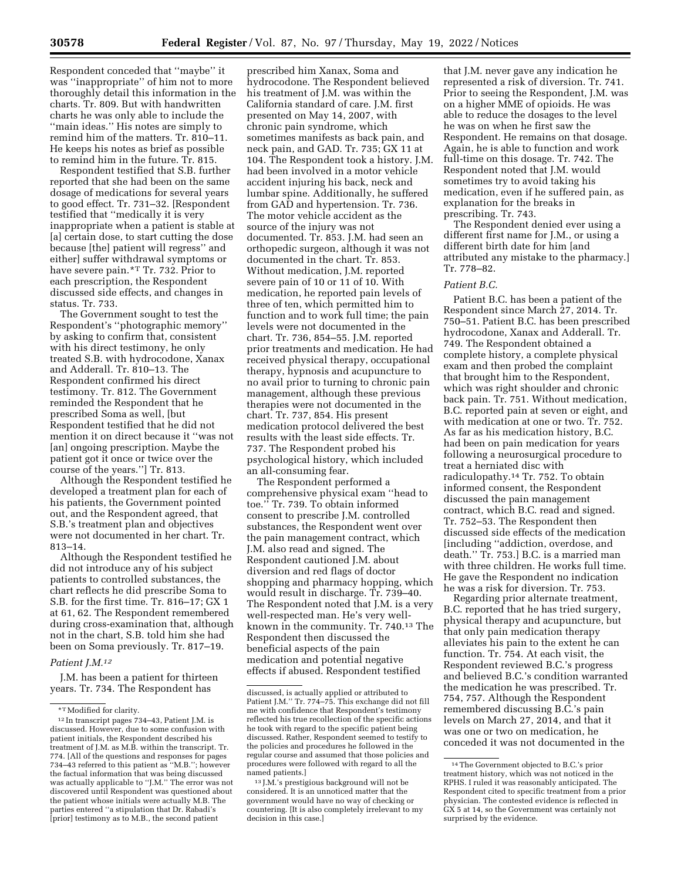Respondent conceded that ''maybe'' it was ''inappropriate'' of him not to more thoroughly detail this information in the charts. Tr. 809. But with handwritten charts he was only able to include the ''main ideas.'' His notes are simply to remind him of the matters. Tr. 810–11. He keeps his notes as brief as possible to remind him in the future. Tr. 815.

Respondent testified that S.B. further reported that she had been on the same dosage of medications for several years to good effect. Tr. 731–32. [Respondent testified that ''medically it is very inappropriate when a patient is stable at [a] certain dose, to start cutting the dose because [the] patient will regress'' and either] suffer withdrawal symptoms or have severe pain.\*T Tr. 732. Prior to each prescription, the Respondent discussed side effects, and changes in status. Tr. 733.

The Government sought to test the Respondent's ''photographic memory'' by asking to confirm that, consistent with his direct testimony, he only treated S.B. with hydrocodone, Xanax and Adderall. Tr. 810–13. The Respondent confirmed his direct testimony. Tr. 812. The Government reminded the Respondent that he prescribed Soma as well, [but Respondent testified that he did not mention it on direct because it ''was not [an] ongoing prescription. Maybe the patient got it once or twice over the course of the years.''] Tr. 813.

Although the Respondent testified he developed a treatment plan for each of his patients, the Government pointed out, and the Respondent agreed, that S.B.'s treatment plan and objectives were not documented in her chart. Tr. 813–14.

Although the Respondent testified he did not introduce any of his subject patients to controlled substances, the chart reflects he did prescribe Soma to S.B. for the first time. Tr. 816–17; GX 1 at 61, 62. The Respondent remembered during cross-examination that, although not in the chart, S.B. told him she had been on Soma previously. Tr. 817–19.

#### *Patient J.M.12*

J.M. has been a patient for thirteen years. Tr. 734. The Respondent has

prescribed him Xanax, Soma and hydrocodone. The Respondent believed his treatment of J.M. was within the California standard of care. J.M. first presented on May 14, 2007, with chronic pain syndrome, which sometimes manifests as back pain, and neck pain, and GAD. Tr. 735; GX 11 at 104. The Respondent took a history. J.M. had been involved in a motor vehicle accident injuring his back, neck and lumbar spine. Additionally, he suffered from GAD and hypertension. Tr. 736. The motor vehicle accident as the source of the injury was not documented. Tr. 853. J.M. had seen an orthopedic surgeon, although it was not documented in the chart. Tr. 853. Without medication, J.M. reported severe pain of 10 or 11 of 10. With medication, he reported pain levels of three of ten, which permitted him to function and to work full time; the pain levels were not documented in the chart. Tr. 736, 854–55. J.M. reported prior treatments and medication. He had received physical therapy, occupational therapy, hypnosis and acupuncture to no avail prior to turning to chronic pain management, although these previous therapies were not documented in the chart. Tr. 737, 854. His present medication protocol delivered the best results with the least side effects. Tr. 737. The Respondent probed his psychological history, which included an all-consuming fear.

The Respondent performed a comprehensive physical exam ''head to toe.'' Tr. 739. To obtain informed consent to prescribe J.M. controlled substances, the Respondent went over the pain management contract, which J.M. also read and signed. The Respondent cautioned J.M. about diversion and red flags of doctor shopping and pharmacy hopping, which would result in discharge. Tr. 739–40. The Respondent noted that J.M. is a very well-respected man. He's very wellknown in the community. Tr. 740.13 The Respondent then discussed the beneficial aspects of the pain medication and potential negative effects if abused. Respondent testified

that J.M. never gave any indication he represented a risk of diversion. Tr. 741. Prior to seeing the Respondent, J.M. was on a higher MME of opioids. He was able to reduce the dosages to the level he was on when he first saw the Respondent. He remains on that dosage. Again, he is able to function and work full-time on this dosage. Tr. 742. The Respondent noted that J.M. would sometimes try to avoid taking his medication, even if he suffered pain, as explanation for the breaks in prescribing. Tr. 743.

The Respondent denied ever using a different first name for J.M., or using a different birth date for him [and attributed any mistake to the pharmacy.] Tr. 778–82.

#### *Patient B.C.*

Patient B.C. has been a patient of the Respondent since March 27, 2014. Tr. 750–51. Patient B.C. has been prescribed hydrocodone, Xanax and Adderall. Tr. 749. The Respondent obtained a complete history, a complete physical exam and then probed the complaint that brought him to the Respondent, which was right shoulder and chronic back pain. Tr. 751. Without medication, B.C. reported pain at seven or eight, and with medication at one or two. Tr. 752. As far as his medication history, B.C. had been on pain medication for years following a neurosurgical procedure to treat a herniated disc with radiculopathy.14 Tr. 752. To obtain informed consent, the Respondent discussed the pain management contract, which B.C. read and signed. Tr. 752–53. The Respondent then discussed side effects of the medication [including ''addiction, overdose, and death.'' Tr. 753.] B.C. is a married man with three children. He works full time. He gave the Respondent no indication he was a risk for diversion. Tr. 753.

Regarding prior alternate treatment, B.C. reported that he has tried surgery, physical therapy and acupuncture, but that only pain medication therapy alleviates his pain to the extent he can function. Tr. 754. At each visit, the Respondent reviewed B.C.'s progress and believed B.C.'s condition warranted the medication he was prescribed. Tr. 754, 757. Although the Respondent remembered discussing B.C.'s pain levels on March 27, 2014, and that it was one or two on medication, he conceded it was not documented in the

<sup>\*</sup>TModified for clarity.

<sup>12</sup> In transcript pages 734–43, Patient J.M. is discussed. However, due to some confusion with patient initials, the Respondent described his treatment of J.M. as M.B. within the transcript. Tr. 774. [All of the questions and responses for pages 734–43 referred to this patient as ''M.B.''; however the factual information that was being discussed was actually applicable to ''J.M.'' The error was not discovered until Respondent was questioned about the patient whose initials were actually M.B. The parties entered ''a stipulation that Dr. Rabadi's [prior] testimony as to M.B., the second patient

discussed, is actually applied or attributed to Patient J.M.'' Tr. 774–75. This exchange did not fill me with confidence that Respondent's testimony reflected his true recollection of the specific actions he took with regard to the specific patient being discussed. Rather, Respondent seemed to testify to the policies and procedures he followed in the regular course and assumed that those policies and procedures were followed with regard to all the named patients.]

<sup>13</sup> J.M.'s prestigious background will not be considered. It is an unnoticed matter that the government would have no way of checking or countering. [It is also completely irrelevant to my decision in this case.]

<sup>14</sup>The Government objected to B.C.'s prior treatment history, which was not noticed in the RPHS. I ruled it was reasonably anticipated. The Respondent cited to specific treatment from a prior physician. The contested evidence is reflected in GX 5 at 14, so the Government was certainly not surprised by the evidence.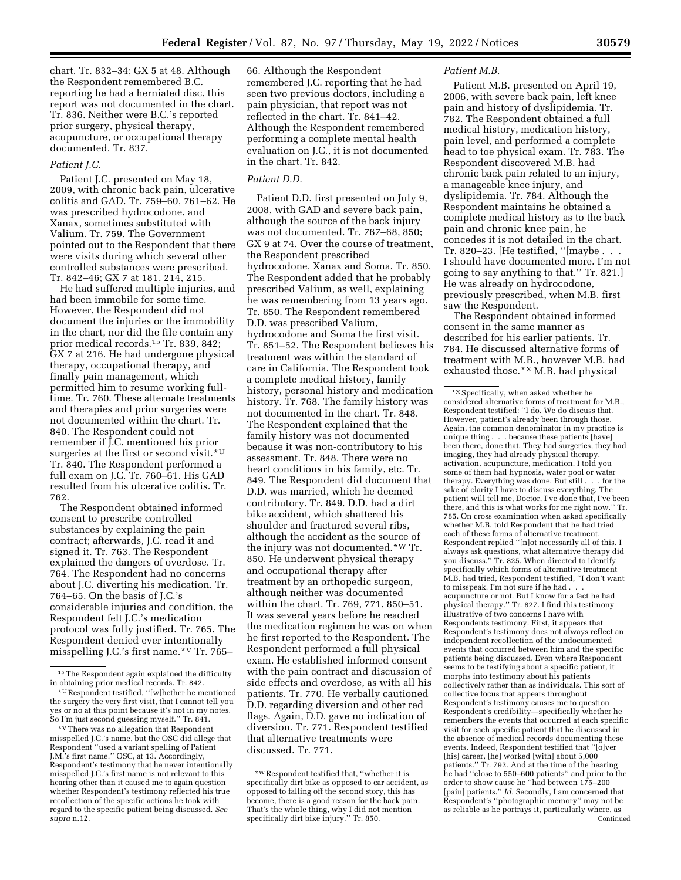chart. Tr. 832–34; GX 5 at 48. Although the Respondent remembered B.C. reporting he had a herniated disc, this report was not documented in the chart. Tr. 836. Neither were B.C.'s reported prior surgery, physical therapy, acupuncture, or occupational therapy documented. Tr. 837.

# *Patient J.C.*

Patient J.C. presented on May 18, 2009, with chronic back pain, ulcerative colitis and GAD. Tr. 759–60, 761–62. He was prescribed hydrocodone, and Xanax, sometimes substituted with Valium. Tr. 759. The Government pointed out to the Respondent that there were visits during which several other controlled substances were prescribed. Tr. 842–46; GX 7 at 181, 214, 215.

He had suffered multiple injuries, and had been immobile for some time. However, the Respondent did not document the injuries or the immobility in the chart, nor did the file contain any prior medical records.15 Tr. 839, 842; GX 7 at 216. He had undergone physical therapy, occupational therapy, and finally pain management, which permitted him to resume working fulltime. Tr. 760. These alternate treatments and therapies and prior surgeries were not documented within the chart. Tr. 840. The Respondent could not remember if J.C. mentioned his prior surgeries at the first or second visit.\*U Tr. 840. The Respondent performed a full exam on J.C. Tr. 760–61. His GAD resulted from his ulcerative colitis. Tr. 762.

The Respondent obtained informed consent to prescribe controlled substances by explaining the pain contract; afterwards, J.C. read it and signed it. Tr. 763. The Respondent explained the dangers of overdose. Tr. 764. The Respondent had no concerns about J.C. diverting his medication. Tr. 764–65. On the basis of J.C.'s considerable injuries and condition, the Respondent felt J.C.'s medication protocol was fully justified. Tr. 765. The Respondent denied ever intentionally misspelling J.C.'s first name.\*V Tr. 765–

66. Although the Respondent remembered J.C. reporting that he had seen two previous doctors, including a pain physician, that report was not reflected in the chart. Tr. 841–42. Although the Respondent remembered performing a complete mental health evaluation on J.C., it is not documented in the chart. Tr. 842.

# *Patient D.D.*

Patient D.D. first presented on July 9, 2008, with GAD and severe back pain, although the source of the back injury was not documented. Tr. 767–68, 850; GX 9 at 74. Over the course of treatment, the Respondent prescribed hydrocodone, Xanax and Soma. Tr. 850. The Respondent added that he probably prescribed Valium, as well, explaining he was remembering from 13 years ago. Tr. 850. The Respondent remembered D.D. was prescribed Valium, hydrocodone and Soma the first visit. Tr. 851–52. The Respondent believes his treatment was within the standard of care in California. The Respondent took a complete medical history, family history, personal history and medication history. Tr. 768. The family history was not documented in the chart. Tr. 848. The Respondent explained that the family history was not documented because it was non-contributory to his assessment. Tr. 848. There were no heart conditions in his family, etc. Tr. 849. The Respondent did document that D.D. was married, which he deemed contributory. Tr. 849. D.D. had a dirt bike accident, which shattered his shoulder and fractured several ribs, although the accident as the source of the injury was not documented.\*W Tr. 850. He underwent physical therapy and occupational therapy after treatment by an orthopedic surgeon, although neither was documented within the chart. Tr. 769, 771, 850–51. It was several years before he reached the medication regimen he was on when he first reported to the Respondent. The Respondent performed a full physical exam. He established informed consent with the pain contract and discussion of side effects and overdose, as with all his patients. Tr. 770. He verbally cautioned D.D. regarding diversion and other red flags. Again, D.D. gave no indication of diversion. Tr. 771. Respondent testified that alternative treatments were discussed. Tr. 771.

## *Patient M.B.*

Patient M.B. presented on April 19, 2006, with severe back pain, left knee pain and history of dyslipidemia. Tr. 782. The Respondent obtained a full medical history, medication history, pain level, and performed a complete head to toe physical exam. Tr. 783. The Respondent discovered M.B. had chronic back pain related to an injury, a manageable knee injury, and dyslipidemia. Tr. 784. Although the Respondent maintains he obtained a complete medical history as to the back pain and chronic knee pain, he concedes it is not detailed in the chart. Tr. 820–23. [He testified, ''[maybe . . . I should have documented more. I'm not going to say anything to that.'' Tr. 821.] He was already on hydrocodone, previously prescribed, when M.B. first saw the Respondent.

The Respondent obtained informed consent in the same manner as described for his earlier patients. Tr. 784. He discussed alternative forms of treatment with M.B., however M.B. had exhausted those.\*X M.B. had physical

 $^{\rm 15}$  The Respondent again explained the difficulty in obtaining prior medical records. Tr. 842.

<sup>\*</sup>U Respondent testified, ''[w]hether he mentioned the surgery the very first visit, that I cannot tell you yes or no at this point because it's not in my notes. So I'm just second guessing myself.'' Tr. 841.

<sup>\*</sup>V There was no allegation that Respondent misspelled J.C.'s name, but the OSC did allege that Respondent ''used a variant spelling of Patient J.M.'s first name.'' OSC, at 13. Accordingly, Respondent's testimony that he never intentionally misspelled J.C.'s first name is not relevant to this hearing other than it caused me to again question whether Respondent's testimony reflected his true recollection of the specific actions he took with regard to the specific patient being discussed. *See supra* n.12.

<sup>\*</sup>W Respondent testified that, ''whether it is specifically dirt bike as opposed to car accident, as opposed to falling off the second story, this has become, there is a good reason for the back pain. That's the whole thing, why I did not mention specifically dirt bike injury.'' Tr. 850.

<sup>\*</sup>X Specifically, when asked whether he considered alternative forms of treatment for M.B., Respondent testified: ''I do. We do discuss that. However, patient's already been through those. Again, the common denominator in my practice is unique thing . . . because these patients [have] been there, done that. They had surgeries, they had imaging, they had already physical therapy, activation, acupuncture, medication. I told you some of them had hypnosis, water pool or water therapy. Everything was done. But still . . . for the sake of clarity I have to discuss everything. The patient will tell me, Doctor, I've done that, I've been there, and this is what works for me right now.'' Tr. 785. On cross examination when asked specifically whether M.B. told Respondent that he had tried each of these forms of alternative treatment, Respondent replied ''[n]ot necessarily all of this. I always ask questions, what alternative therapy did you discuss.'' Tr. 825. When directed to identify specifically which forms of alternative treatment M.B. had tried, Respondent testified, ''I don't want to misspeak. I'm not sure if he had. acupuncture or not. But I know for a fact he had physical therapy.'' Tr. 827. I find this testimony illustrative of two concerns I have with Respondents testimony. First, it appears that Respondent's testimony does not always reflect an independent recollection of the undocumented events that occurred between him and the specific patients being discussed. Even where Respondent seems to be testifying about a specific patient, it morphs into testimony about his patients collectively rather than as individuals. This sort of collective focus that appears throughout Respondent's testimony causes me to question Respondent's credibility—specifically whether he remembers the events that occurred at each specific visit for each specific patient that he discussed in the absence of medical records documenting these events. Indeed, Respondent testified that ''[o]ver [his] career, [he] worked [with] about 5,000 patients.'' Tr. 792. And at the time of the hearing he had ''close to 550–600 patients'' and prior to the order to show cause he ''had between 175–200 [pain] patients." *Id.* Secondly, I am concerned that Respondent's ''photographic memory'' may not be as reliable as he portrays it, particularly where, as Continued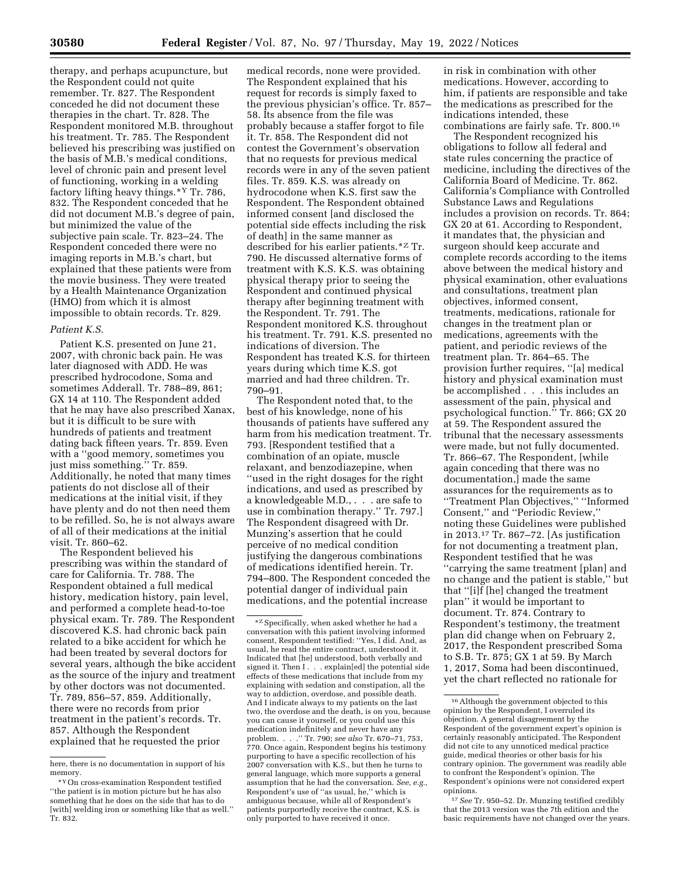therapy, and perhaps acupuncture, but the Respondent could not quite remember. Tr. 827. The Respondent conceded he did not document these therapies in the chart. Tr. 828. The Respondent monitored M.B. throughout his treatment. Tr. 785. The Respondent believed his prescribing was justified on the basis of M.B.'s medical conditions, level of chronic pain and present level of functioning, working in a welding factory lifting heavy things.\*Y Tr. 786, 832. The Respondent conceded that he did not document M.B.'s degree of pain, but minimized the value of the subjective pain scale. Tr. 823–24. The Respondent conceded there were no imaging reports in M.B.'s chart, but explained that these patients were from the movie business. They were treated by a Health Maintenance Organization (HMO) from which it is almost impossible to obtain records. Tr. 829.

## *Patient K.S.*

Patient K.S. presented on June 21, 2007, with chronic back pain. He was later diagnosed with ADD. He was prescribed hydrocodone, Soma and sometimes Adderall. Tr. 788–89, 861; GX 14 at 110. The Respondent added that he may have also prescribed Xanax, but it is difficult to be sure with hundreds of patients and treatment dating back fifteen years. Tr. 859. Even with a ''good memory, sometimes you just miss something.'' Tr. 859. Additionally, he noted that many times patients do not disclose all of their medications at the initial visit, if they have plenty and do not then need them to be refilled. So, he is not always aware of all of their medications at the initial visit. Tr. 860–62.

The Respondent believed his prescribing was within the standard of care for California. Tr. 788. The Respondent obtained a full medical history, medication history, pain level, and performed a complete head-to-toe physical exam. Tr. 789. The Respondent discovered K.S. had chronic back pain related to a bike accident for which he had been treated by several doctors for several years, although the bike accident as the source of the injury and treatment by other doctors was not documented. Tr. 789, 856–57, 859. Additionally, there were no records from prior treatment in the patient's records. Tr. 857. Although the Respondent explained that he requested the prior

medical records, none were provided. The Respondent explained that his request for records is simply faxed to the previous physician's office. Tr. 857– 58. Its absence from the file was probably because a staffer forgot to file it. Tr. 858. The Respondent did not contest the Government's observation that no requests for previous medical records were in any of the seven patient files. Tr. 859. K.S. was already on hydrocodone when K.S. first saw the Respondent. The Respondent obtained informed consent [and disclosed the potential side effects including the risk of death] in the same manner as described for his earlier patients.\*Z Tr. 790. He discussed alternative forms of treatment with K.S. K.S. was obtaining physical therapy prior to seeing the Respondent and continued physical therapy after beginning treatment with the Respondent. Tr. 791. The Respondent monitored K.S. throughout his treatment. Tr. 791. K.S. presented no indications of diversion. The Respondent has treated K.S. for thirteen years during which time K.S. got married and had three children. Tr. 790–91.

The Respondent noted that, to the best of his knowledge, none of his thousands of patients have suffered any harm from his medication treatment. Tr. 793. [Respondent testified that a combination of an opiate, muscle relaxant, and benzodiazepine, when ''used in the right dosages for the right indications, and used as prescribed by a knowledgeable M.D., . . . are safe to use in combination therapy.'' Tr. 797.] The Respondent disagreed with Dr. Munzing's assertion that he could perceive of no medical condition justifying the dangerous combinations of medications identified herein. Tr. 794–800. The Respondent conceded the potential danger of individual pain medications, and the potential increase

in risk in combination with other medications. However, according to him, if patients are responsible and take the medications as prescribed for the indications intended, these combinations are fairly safe. Tr. 800.16

The Respondent recognized his obligations to follow all federal and state rules concerning the practice of medicine, including the directives of the California Board of Medicine. Tr. 862. California's Compliance with Controlled Substance Laws and Regulations includes a provision on records. Tr. 864; GX 20 at 61. According to Respondent, it mandates that, the physician and surgeon should keep accurate and complete records according to the items above between the medical history and physical examination, other evaluations and consultations, treatment plan objectives, informed consent, treatments, medications, rationale for changes in the treatment plan or medications, agreements with the patient, and periodic reviews of the treatment plan. Tr. 864–65. The provision further requires, ''[a] medical history and physical examination must be accomplished . . . this includes an assessment of the pain, physical and psychological function.'' Tr. 866; GX 20 at 59. The Respondent assured the tribunal that the necessary assessments were made, but not fully documented. Tr. 866–67. The Respondent, [while again conceding that there was no documentation,] made the same assurances for the requirements as to ''Treatment Plan Objectives,'' ''Informed Consent,'' and ''Periodic Review,'' noting these Guidelines were published in 2013.17 Tr. 867–72. [As justification for not documenting a treatment plan, Respondent testified that he was ''carrying the same treatment [plan] and no change and the patient is stable,'' but that ''[i]f [he] changed the treatment plan'' it would be important to document. Tr. 874. Contrary to Respondent's testimony, the treatment plan did change when on February 2, 2017, the Respondent prescribed Soma to S.B. Tr. 875; GX 1 at 59. By March 1, 2017, Soma had been discontinued, yet the chart reflected no rationale for

17*See* Tr. 950–52. Dr. Munzing testified credibly that the 2013 version was the 7th edition and the basic requirements have not changed over the years.

here, there is no documentation in support of his memory.

<sup>\*</sup>YOn cross-examination Respondent testified ''the patient is in motion picture but he has also something that he does on the side that has to do [with] welding iron or something like that as well.'' Tr. 832.

 $^{\star\mathrm{Z}}$  Specifically, when asked whether he had a conversation with this patient involving informed consent, Respondent testified: ''Yes, I did. And, as usual, he read the entire contract, understood it. Indicated that [he] understood, both verbally and signed it. Then I . . . explain[ed] the potential side effects of these medications that include from my explaining with sedation and constipation, all the way to addiction, overdose, and possible death. And I indicate always to my patients on the last two, the overdose and the death, is on you, because you can cause it yourself, or you could use this medication indefinitely and never have any problem. . . .'' Tr. 790; *see also* Tr. 670–71, 753, 770. Once again, Respondent begins his testimony purporting to have a specific recollection of his 2007 conversation with K.S., but then he turns to general language, which more supports a general assumption that he had the conversation. *See, e.g.,*  Respondent's use of ''as usual, he,'' which is ambiguous because, while all of Respondent's patients purportedly receive the contract, K.S. is only purported to have received it once.

<sup>16</sup>Although the government objected to this opinion by the Respondent, I overruled its objection. A general disagreement by the Respondent of the government expert's opinion is certainly reasonably anticipated. The Respondent did not cite to any unnoticed medical practice guide, medical theories or other basis for his contrary opinion. The government was readily able to confront the Respondent's opinion. The Respondent's opinions were not considered expert opinions.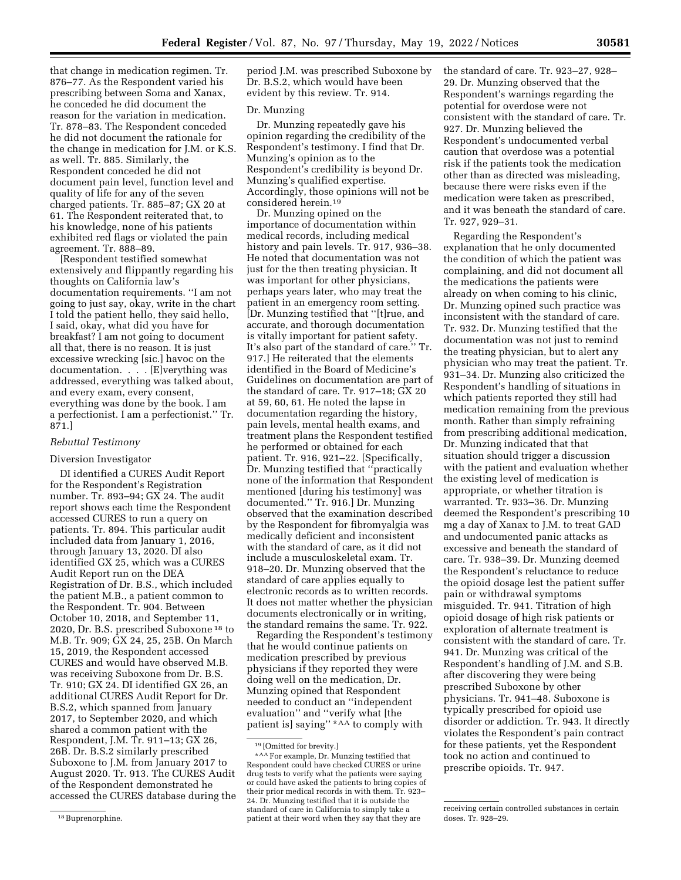that change in medication regimen. Tr. 876–77. As the Respondent varied his prescribing between Soma and Xanax, he conceded he did document the reason for the variation in medication. Tr. 878–83. The Respondent conceded he did not document the rationale for the change in medication for J.M. or K.S. as well. Tr. 885. Similarly, the Respondent conceded he did not document pain level, function level and quality of life for any of the seven charged patients. Tr. 885–87; GX 20 at 61. The Respondent reiterated that, to his knowledge, none of his patients exhibited red flags or violated the pain agreement. Tr. 888–89.

[Respondent testified somewhat extensively and flippantly regarding his thoughts on California law's documentation requirements. ''I am not going to just say, okay, write in the chart I told the patient hello, they said hello, I said, okay, what did you have for breakfast? I am not going to document all that, there is no reason. It is just excessive wrecking [sic.] havoc on the documentation. . . . [E]verything was addressed, everything was talked about, and every exam, every consent, everything was done by the book. I am a perfectionist. I am a perfectionist.'' Tr. 871.]

# *Rebuttal Testimony*

# Diversion Investigator

DI identified a CURES Audit Report for the Respondent's Registration number. Tr. 893–94; GX 24. The audit report shows each time the Respondent accessed CURES to run a query on patients. Tr. 894. This particular audit included data from January 1, 2016, through January 13, 2020. DI also identified GX 25, which was a CURES Audit Report run on the DEA Registration of Dr. B.S., which included the patient M.B., a patient common to the Respondent. Tr. 904. Between October 10, 2018, and September 11, 2020, Dr. B.S. prescribed Suboxone 18 to M.B. Tr. 909; GX 24, 25, 25B. On March 15, 2019, the Respondent accessed CURES and would have observed M.B. was receiving Suboxone from Dr. B.S. Tr. 910; GX 24. DI identified GX 26, an additional CURES Audit Report for Dr. B.S.2, which spanned from January 2017, to September 2020, and which shared a common patient with the Respondent, J.M. Tr. 911–13; GX 26, 26B. Dr. B.S.2 similarly prescribed Suboxone to J.M. from January 2017 to August 2020. Tr. 913. The CURES Audit of the Respondent demonstrated he accessed the CURES database during the period J.M. was prescribed Suboxone by Dr. B.S.2, which would have been evident by this review. Tr. 914.

## Dr. Munzing

Dr. Munzing repeatedly gave his opinion regarding the credibility of the Respondent's testimony. I find that Dr. Munzing's opinion as to the Respondent's credibility is beyond Dr. Munzing's qualified expertise. Accordingly, those opinions will not be considered herein.19

Dr. Munzing opined on the importance of documentation within medical records, including medical history and pain levels. Tr. 917, 936–38. He noted that documentation was not just for the then treating physician. It was important for other physicians, perhaps years later, who may treat the patient in an emergency room setting. [Dr. Munzing testified that ''[t]rue, and accurate, and thorough documentation is vitally important for patient safety. It's also part of the standard of care.'' Tr. 917.] He reiterated that the elements identified in the Board of Medicine's Guidelines on documentation are part of the standard of care. Tr. 917–18; GX 20 at 59, 60, 61. He noted the lapse in documentation regarding the history, pain levels, mental health exams, and treatment plans the Respondent testified he performed or obtained for each patient. Tr. 916, 921–22. [Specifically, Dr. Munzing testified that ''practically none of the information that Respondent mentioned [during his testimony] was documented.'' Tr. 916.] Dr. Munzing observed that the examination described by the Respondent for fibromyalgia was medically deficient and inconsistent with the standard of care, as it did not include a musculoskeletal exam. Tr. 918–20. Dr. Munzing observed that the standard of care applies equally to electronic records as to written records. It does not matter whether the physician documents electronically or in writing, the standard remains the same. Tr. 922.

Regarding the Respondent's testimony that he would continue patients on medication prescribed by previous physicians if they reported they were doing well on the medication, Dr. Munzing opined that Respondent needed to conduct an ''independent evaluation'' and ''verify what [the patient is] saying'' \*AA to comply with

the standard of care. Tr. 923–27, 928– 29. Dr. Munzing observed that the Respondent's warnings regarding the potential for overdose were not consistent with the standard of care. Tr. 927. Dr. Munzing believed the Respondent's undocumented verbal caution that overdose was a potential risk if the patients took the medication other than as directed was misleading, because there were risks even if the medication were taken as prescribed, and it was beneath the standard of care. Tr. 927, 929–31.

Regarding the Respondent's explanation that he only documented the condition of which the patient was complaining, and did not document all the medications the patients were already on when coming to his clinic, Dr. Munzing opined such practice was inconsistent with the standard of care. Tr. 932. Dr. Munzing testified that the documentation was not just to remind the treating physician, but to alert any physician who may treat the patient. Tr. 931–34. Dr. Munzing also criticized the Respondent's handling of situations in which patients reported they still had medication remaining from the previous month. Rather than simply refraining from prescribing additional medication, Dr. Munzing indicated that that situation should trigger a discussion with the patient and evaluation whether the existing level of medication is appropriate, or whether titration is warranted. Tr. 933–36. Dr. Munzing deemed the Respondent's prescribing 10 mg a day of Xanax to J.M. to treat GAD and undocumented panic attacks as excessive and beneath the standard of care. Tr. 938–39. Dr. Munzing deemed the Respondent's reluctance to reduce the opioid dosage lest the patient suffer pain or withdrawal symptoms misguided. Tr. 941. Titration of high opioid dosage of high risk patients or exploration of alternate treatment is consistent with the standard of care. Tr. 941. Dr. Munzing was critical of the Respondent's handling of J.M. and S.B. after discovering they were being prescribed Suboxone by other physicians. Tr. 941–48. Suboxone is typically prescribed for opioid use disorder or addiction. Tr. 943. It directly violates the Respondent's pain contract for these patients, yet the Respondent took no action and continued to prescribe opioids. Tr. 947.

<sup>18</sup> Buprenorphine.

<sup>19</sup> [Omitted for brevity.]

<sup>\*</sup>AA For example, Dr. Munzing testified that Respondent could have checked CURES or urine drug tests to verify what the patients were saying or could have asked the patients to bring copies of their prior medical records in with them. Tr. 923– 24. Dr. Munzing testified that it is outside the standard of care in California to simply take a patient at their word when they say that they are

receiving certain controlled substances in certain doses. Tr. 928–29.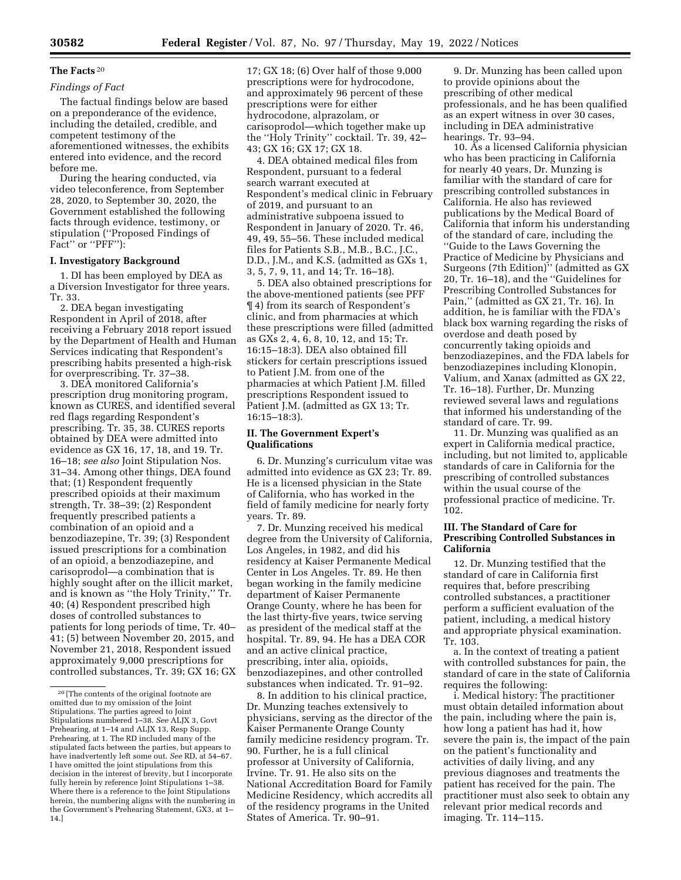# **The Facts** 20

# *Findings of Fact*

The factual findings below are based on a preponderance of the evidence, including the detailed, credible, and competent testimony of the aforementioned witnesses, the exhibits entered into evidence, and the record before me.

During the hearing conducted, via video teleconference, from September 28, 2020, to September 30, 2020, the Government established the following facts through evidence, testimony, or stipulation (''Proposed Findings of Fact" or "PFF"):

#### **I. Investigatory Background**

1. DI has been employed by DEA as a Diversion Investigator for three years. Tr. 33.

2. DEA began investigating Respondent in April of 2018, after receiving a February 2018 report issued by the Department of Health and Human Services indicating that Respondent's prescribing habits presented a high-risk for overprescribing. Tr. 37–38.

3. DEA monitored California's prescription drug monitoring program, known as CURES, and identified several red flags regarding Respondent's prescribing. Tr. 35, 38. CURES reports obtained by DEA were admitted into evidence as GX 16, 17, 18, and 19. Tr. 16–18; *see also* Joint Stipulation Nos. 31–34. Among other things, DEA found that; (1) Respondent frequently prescribed opioids at their maximum strength, Tr. 38–39; (2) Respondent frequently prescribed patients a combination of an opioid and a benzodiazepine, Tr. 39; (3) Respondent issued prescriptions for a combination of an opioid, a benzodiazepine, and carisoprodol—a combination that is highly sought after on the illicit market, and is known as ''the Holy Trinity,'' Tr. 40; (4) Respondent prescribed high doses of controlled substances to patients for long periods of time, Tr. 40– 41; (5) between November 20, 2015, and November 21, 2018, Respondent issued approximately 9,000 prescriptions for controlled substances, Tr. 39; GX 16; GX 17; GX 18; (6) Over half of those 9,000 prescriptions were for hydrocodone, and approximately 96 percent of these prescriptions were for either hydrocodone, alprazolam, or carisoprodol—which together make up the ''Holy Trinity'' cocktail. Tr. 39, 42– 43; GX 16; GX 17; GX 18.

4. DEA obtained medical files from Respondent, pursuant to a federal search warrant executed at Respondent's medical clinic in February of 2019, and pursuant to an administrative subpoena issued to Respondent in January of 2020. Tr. 46, 49, 49, 55–56. These included medical files for Patients S.B., M.B., B.C., J.C., D.D., J.M., and K.S. (admitted as GXs 1, 3, 5, 7, 9, 11, and 14; Tr. 16–18).

5. DEA also obtained prescriptions for the above-mentioned patients (see PFF ¶ 4) from its search of Respondent's clinic, and from pharmacies at which these prescriptions were filled (admitted as GXs 2, 4, 6, 8, 10, 12, and 15; Tr. 16:15–18:3). DEA also obtained fill stickers for certain prescriptions issued to Patient J.M. from one of the pharmacies at which Patient J.M. filled prescriptions Respondent issued to Patient J.M. (admitted as GX 13; Tr. 16:15–18:3).

# **II. The Government Expert's Qualifications**

6. Dr. Munzing's curriculum vitae was admitted into evidence as GX 23; Tr. 89. He is a licensed physician in the State of California, who has worked in the field of family medicine for nearly forty years. Tr. 89.

7. Dr. Munzing received his medical degree from the University of California, Los Angeles, in 1982, and did his residency at Kaiser Permanente Medical Center in Los Angeles. Tr. 89. He then began working in the family medicine department of Kaiser Permanente Orange County, where he has been for the last thirty-five years, twice serving as president of the medical staff at the hospital. Tr. 89, 94. He has a DEA COR and an active clinical practice, prescribing, inter alia, opioids, benzodiazepines, and other controlled substances when indicated. Tr. 91–92.

8. In addition to his clinical practice, Dr. Munzing teaches extensively to physicians, serving as the director of the Kaiser Permanente Orange County family medicine residency program. Tr. 90. Further, he is a full clinical professor at University of California, Irvine. Tr. 91. He also sits on the National Accreditation Board for Family Medicine Residency, which accredits all of the residency programs in the United States of America. Tr. 90–91.

9. Dr. Munzing has been called upon to provide opinions about the prescribing of other medical professionals, and he has been qualified as an expert witness in over 30 cases, including in DEA administrative hearings. Tr. 93–94.

10. As a licensed California physician who has been practicing in California for nearly 40 years, Dr. Munzing is familiar with the standard of care for prescribing controlled substances in California. He also has reviewed publications by the Medical Board of California that inform his understanding of the standard of care, including the ''Guide to the Laws Governing the Practice of Medicine by Physicians and Surgeons (7th Edition)'' (admitted as GX 20, Tr. 16–18), and the ''Guidelines for Prescribing Controlled Substances for Pain,'' (admitted as GX 21, Tr. 16). In addition, he is familiar with the FDA's black box warning regarding the risks of overdose and death posed by concurrently taking opioids and benzodiazepines, and the FDA labels for benzodiazepines including Klonopin, Valium, and Xanax (admitted as GX 22, Tr. 16–18). Further, Dr. Munzing reviewed several laws and regulations that informed his understanding of the standard of care. Tr. 99.

11. Dr. Munzing was qualified as an expert in California medical practice, including, but not limited to, applicable standards of care in California for the prescribing of controlled substances within the usual course of the professional practice of medicine. Tr. 102.

# **III. The Standard of Care for Prescribing Controlled Substances in California**

12. Dr. Munzing testified that the standard of care in California first requires that, before prescribing controlled substances, a practitioner perform a sufficient evaluation of the patient, including, a medical history and appropriate physical examination. Tr. 103.

a. In the context of treating a patient with controlled substances for pain, the standard of care in the state of California requires the following:

i. Medical history: The practitioner must obtain detailed information about the pain, including where the pain is, how long a patient has had it, how severe the pain is, the impact of the pain on the patient's functionality and activities of daily living, and any previous diagnoses and treatments the patient has received for the pain. The practitioner must also seek to obtain any relevant prior medical records and imaging. Tr. 114–115.

<sup>20</sup> [The contents of the original footnote are omitted due to my omission of the Joint Stipulations. The parties agreed to Joint Stipulations numbered 1–38. *See* ALJX 3, Govt Prehearing, at 1–14 and ALJX 13, Resp Supp. Prehearing, at 1. The RD included many of the stipulated facts between the parties, but appears to have inadvertently left some out. *See* RD, at 54–67. I have omitted the joint stipulations from this decision in the interest of brevity, but I incorporate fully herein by reference Joint Stipulations 1–38. Where there is a reference to the Joint Stipulations herein, the numbering aligns with the numbering in the Government's Prehearing Statement, GX3, at 1– 14.]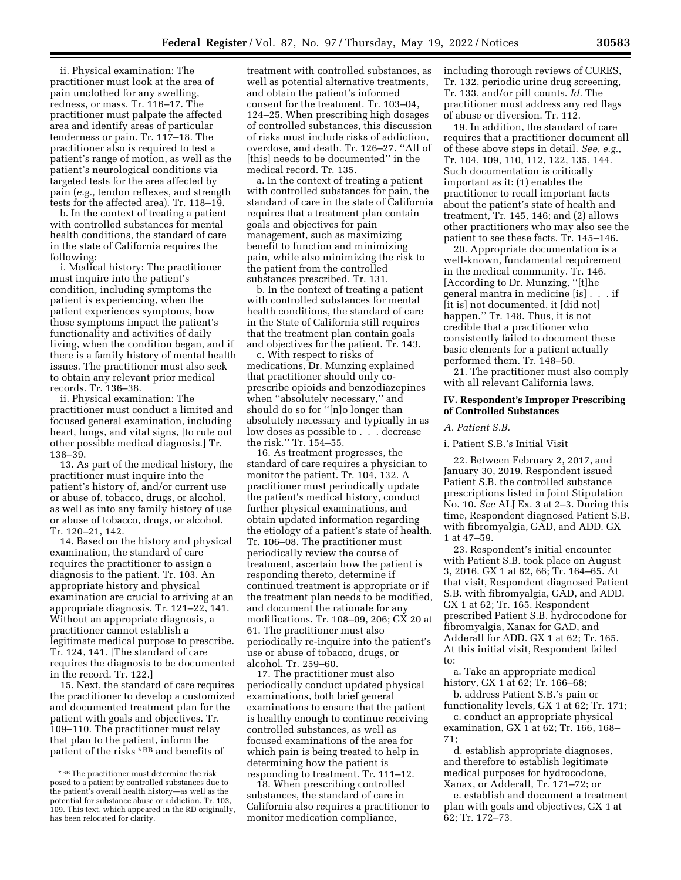ii. Physical examination: The practitioner must look at the area of pain unclothed for any swelling, redness, or mass. Tr. 116–17. The practitioner must palpate the affected area and identify areas of particular tenderness or pain. Tr. 117–18. The practitioner also is required to test a patient's range of motion, as well as the patient's neurological conditions via targeted tests for the area affected by pain (*e.g.,* tendon reflexes, and strength tests for the affected area). Tr. 118–19.

b. In the context of treating a patient with controlled substances for mental health conditions, the standard of care in the state of California requires the following:

i. Medical history: The practitioner must inquire into the patient's condition, including symptoms the patient is experiencing, when the patient experiences symptoms, how those symptoms impact the patient's functionality and activities of daily living, when the condition began, and if there is a family history of mental health issues. The practitioner must also seek to obtain any relevant prior medical records. Tr. 136–38.

ii. Physical examination: The practitioner must conduct a limited and focused general examination, including heart, lungs, and vital signs, [to rule out other possible medical diagnosis.] Tr. 138–39.

13. As part of the medical history, the practitioner must inquire into the patient's history of, and/or current use or abuse of, tobacco, drugs, or alcohol, as well as into any family history of use or abuse of tobacco, drugs, or alcohol. Tr. 120–21, 142.

14. Based on the history and physical examination, the standard of care requires the practitioner to assign a diagnosis to the patient. Tr. 103. An appropriate history and physical examination are crucial to arriving at an appropriate diagnosis. Tr. 121–22, 141. Without an appropriate diagnosis, a practitioner cannot establish a legitimate medical purpose to prescribe. Tr. 124, 141. [The standard of care requires the diagnosis to be documented in the record. Tr. 122.]

15. Next, the standard of care requires the practitioner to develop a customized and documented treatment plan for the patient with goals and objectives. Tr. 109–110. The practitioner must relay that plan to the patient, inform the patient of the risks \*BB and benefits of

treatment with controlled substances, as well as potential alternative treatments, and obtain the patient's informed consent for the treatment. Tr. 103–04, 124–25. When prescribing high dosages of controlled substances, this discussion of risks must include risks of addiction, overdose, and death. Tr. 126–27. ''All of [this] needs to be documented'' in the medical record. Tr. 135.

a. In the context of treating a patient with controlled substances for pain, the standard of care in the state of California requires that a treatment plan contain goals and objectives for pain management, such as maximizing benefit to function and minimizing pain, while also minimizing the risk to the patient from the controlled substances prescribed. Tr. 131.

b. In the context of treating a patient with controlled substances for mental health conditions, the standard of care in the State of California still requires that the treatment plan contain goals and objectives for the patient. Tr. 143.

c. With respect to risks of medications, Dr. Munzing explained that practitioner should only coprescribe opioids and benzodiazepines when ''absolutely necessary,'' and should do so for ''[n]o longer than absolutely necessary and typically in as low doses as possible to . . . decrease the risk.'' Tr. 154–55.

16. As treatment progresses, the standard of care requires a physician to monitor the patient. Tr. 104, 132. A practitioner must periodically update the patient's medical history, conduct further physical examinations, and obtain updated information regarding the etiology of a patient's state of health. Tr. 106–08. The practitioner must periodically review the course of treatment, ascertain how the patient is responding thereto, determine if continued treatment is appropriate or if the treatment plan needs to be modified, and document the rationale for any modifications. Tr. 108–09, 206; GX 20 at 61. The practitioner must also periodically re-inquire into the patient's use or abuse of tobacco, drugs, or alcohol. Tr. 259–60.

17. The practitioner must also periodically conduct updated physical examinations, both brief general examinations to ensure that the patient is healthy enough to continue receiving controlled substances, as well as focused examinations of the area for which pain is being treated to help in determining how the patient is responding to treatment. Tr. 111–12.

18. When prescribing controlled substances, the standard of care in California also requires a practitioner to monitor medication compliance,

including thorough reviews of CURES, Tr. 132, periodic urine drug screening, Tr. 133, and/or pill counts. *Id.* The practitioner must address any red flags of abuse or diversion. Tr. 112.

19. In addition, the standard of care requires that a practitioner document all of these above steps in detail. *See, e.g.,*  Tr. 104, 109, 110, 112, 122, 135, 144. Such documentation is critically important as it: (1) enables the practitioner to recall important facts about the patient's state of health and treatment, Tr. 145, 146; and (2) allows other practitioners who may also see the patient to see these facts. Tr. 145–146.

20. Appropriate documentation is a well-known, fundamental requirement in the medical community. Tr. 146. [According to Dr. Munzing, ''[t]he general mantra in medicine [is] . . . if [it is] not documented, it [did not] happen.'' Tr. 148. Thus, it is not credible that a practitioner who consistently failed to document these basic elements for a patient actually performed them. Tr. 148–50.

21. The practitioner must also comply with all relevant California laws.

#### **IV. Respondent's Improper Prescribing of Controlled Substances**

#### *A. Patient S.B.*

# i. Patient S.B.'s Initial Visit

22. Between February 2, 2017, and January 30, 2019, Respondent issued Patient S.B. the controlled substance prescriptions listed in Joint Stipulation No. 10. *See* ALJ Ex. 3 at 2–3. During this time, Respondent diagnosed Patient S.B. with fibromyalgia, GAD, and ADD. GX 1 at 47–59.

23. Respondent's initial encounter with Patient S.B. took place on August 3, 2016. GX 1 at 62, 66; Tr. 164–65. At that visit, Respondent diagnosed Patient S.B. with fibromyalgia, GAD, and ADD. GX 1 at 62; Tr. 165. Respondent prescribed Patient S.B. hydrocodone for fibromyalgia, Xanax for GAD, and Adderall for ADD. GX 1 at 62; Tr. 165. At this initial visit, Respondent failed to:

a. Take an appropriate medical history, GX 1 at 62; Tr. 166–68;

b. address Patient S.B.'s pain or functionality levels, GX 1 at 62; Tr. 171;

c. conduct an appropriate physical examination, GX 1 at 62; Tr. 166, 168– 71;

d. establish appropriate diagnoses, and therefore to establish legitimate medical purposes for hydrocodone, Xanax, or Adderall, Tr. 171–72; or

e. establish and document a treatment plan with goals and objectives, GX 1 at 62; Tr. 172–73.

<sup>\*</sup>BB The practitioner must determine the risk posed to a patient by controlled substances due to the patient's overall health history—as well as the potential for substance abuse or addiction. Tr. 103, 109. This text, which appeared in the RD originally, has been relocated for clarity.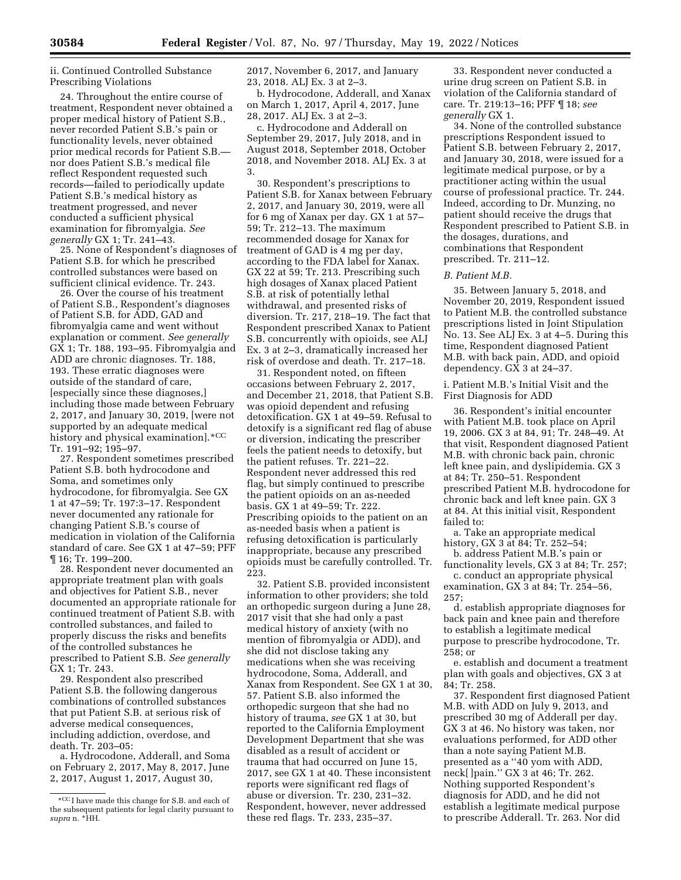ii. Continued Controlled Substance Prescribing Violations

24. Throughout the entire course of treatment, Respondent never obtained a proper medical history of Patient S.B., never recorded Patient S.B.'s pain or functionality levels, never obtained prior medical records for Patient S.B. nor does Patient S.B.'s medical file reflect Respondent requested such records—failed to periodically update Patient S.B.'s medical history as treatment progressed, and never conducted a sufficient physical examination for fibromyalgia. *See generally* GX 1; Tr. 241–43.

25. None of Respondent's diagnoses of Patient S.B. for which he prescribed controlled substances were based on sufficient clinical evidence. Tr. 243.

26. Over the course of his treatment of Patient S.B., Respondent's diagnoses of Patient S.B. for ADD, GAD and fibromyalgia came and went without explanation or comment. *See generally*  GX 1; Tr. 188, 193–95. Fibromyalgia and ADD are chronic diagnoses. Tr. 188, 193. These erratic diagnoses were outside of the standard of care, [especially since these diagnoses,] including those made between February 2, 2017, and January 30, 2019, [were not supported by an adequate medical history and physical examination].\*CC Tr. 191–92; 195–97.

27. Respondent sometimes prescribed Patient S.B. both hydrocodone and Soma, and sometimes only hydrocodone, for fibromyalgia. See GX 1 at 47–59; Tr. 197:3–17. Respondent never documented any rationale for changing Patient S.B.'s course of medication in violation of the California standard of care. See GX 1 at 47–59; PFF ¶ 16; Tr. 199–200.

28. Respondent never documented an appropriate treatment plan with goals and objectives for Patient S.B., never documented an appropriate rationale for continued treatment of Patient S.B. with controlled substances, and failed to properly discuss the risks and benefits of the controlled substances he prescribed to Patient S.B. *See generally*  GX 1; Tr. 243.

29. Respondent also prescribed Patient S.B. the following dangerous combinations of controlled substances that put Patient S.B. at serious risk of adverse medical consequences, including addiction, overdose, and death. Tr. 203–05:

a. Hydrocodone, Adderall, and Soma on February 2, 2017, May 8, 2017, June 2, 2017, August 1, 2017, August 30,

2017, November 6, 2017, and January 23, 2018. ALJ Ex. 3 at 2–3.

b. Hydrocodone, Adderall, and Xanax on March 1, 2017, April 4, 2017, June 28, 2017. ALJ Ex. 3 at 2–3.

c. Hydrocodone and Adderall on September 29, 2017, July 2018, and in August 2018, September 2018, October 2018, and November 2018. ALJ Ex. 3 at 3.

30. Respondent's prescriptions to Patient S.B. for Xanax between February 2, 2017, and January 30, 2019, were all for 6 mg of Xanax per day. GX 1 at 57– 59; Tr. 212–13. The maximum recommended dosage for Xanax for treatment of GAD is 4 mg per day, according to the FDA label for Xanax. GX 22 at 59; Tr. 213. Prescribing such high dosages of Xanax placed Patient S.B. at risk of potentially lethal withdrawal, and presented risks of diversion. Tr. 217, 218–19. The fact that Respondent prescribed Xanax to Patient S.B. concurrently with opioids, see ALJ Ex. 3 at 2–3, dramatically increased her risk of overdose and death. Tr. 217–18.

31. Respondent noted, on fifteen occasions between February 2, 2017, and December 21, 2018, that Patient S.B. was opioid dependent and refusing detoxification. GX 1 at 49–59. Refusal to detoxify is a significant red flag of abuse or diversion, indicating the prescriber feels the patient needs to detoxify, but the patient refuses. Tr. 221–22. Respondent never addressed this red flag, but simply continued to prescribe the patient opioids on an as-needed basis. GX 1 at 49–59; Tr. 222. Prescribing opioids to the patient on an as-needed basis when a patient is refusing detoxification is particularly inappropriate, because any prescribed opioids must be carefully controlled. Tr. 223.

32. Patient S.B. provided inconsistent information to other providers; she told an orthopedic surgeon during a June 28, 2017 visit that she had only a past medical history of anxiety (with no mention of fibromyalgia or ADD), and she did not disclose taking any medications when she was receiving hydrocodone, Soma, Adderall, and Xanax from Respondent. See GX 1 at 30, 57. Patient S.B. also informed the orthopedic surgeon that she had no history of trauma, *see* GX 1 at 30, but reported to the California Employment Development Department that she was disabled as a result of accident or trauma that had occurred on June 15, 2017, see GX 1 at 40. These inconsistent reports were significant red flags of abuse or diversion. Tr. 230, 231–32. Respondent, however, never addressed these red flags. Tr. 233, 235–37.

33. Respondent never conducted a urine drug screen on Patient S.B. in violation of the California standard of care. Tr. 219:13–16; PFF ¶ 18; *see generally* GX 1.

34. None of the controlled substance prescriptions Respondent issued to Patient S.B. between February 2, 2017, and January 30, 2018, were issued for a legitimate medical purpose, or by a practitioner acting within the usual course of professional practice. Tr. 244. Indeed, according to Dr. Munzing, no patient should receive the drugs that Respondent prescribed to Patient S.B. in the dosages, durations, and combinations that Respondent prescribed. Tr. 211–12.

## *B. Patient M.B.*

35. Between January 5, 2018, and November 20, 2019, Respondent issued to Patient M.B. the controlled substance prescriptions listed in Joint Stipulation No. 13. See ALJ Ex. 3 at 4–5. During this time, Respondent diagnosed Patient M.B. with back pain, ADD, and opioid dependency. GX 3 at 24–37.

i. Patient M.B.'s Initial Visit and the First Diagnosis for ADD

36. Respondent's initial encounter with Patient M.B. took place on April 19, 2006. GX 3 at 84, 91; Tr. 248–49. At that visit, Respondent diagnosed Patient M.B. with chronic back pain, chronic left knee pain, and dyslipidemia. GX 3 at 84; Tr. 250–51. Respondent prescribed Patient M.B. hydrocodone for chronic back and left knee pain. GX 3 at 84. At this initial visit, Respondent failed to:

a. Take an appropriate medical history, GX 3 at 84; Tr. 252–54;

b. address Patient M.B.'s pain or functionality levels, GX 3 at 84; Tr. 257;

c. conduct an appropriate physical examination, GX 3 at 84; Tr. 254–56, 257;

d. establish appropriate diagnoses for back pain and knee pain and therefore to establish a legitimate medical purpose to prescribe hydrocodone, Tr. 258; or

e. establish and document a treatment plan with goals and objectives, GX 3 at 84; Tr. 258.

37. Respondent first diagnosed Patient M.B. with ADD on July 9, 2013, and prescribed 30 mg of Adderall per day. GX 3 at 46. No history was taken, nor evaluations performed, for ADD other than a note saying Patient M.B. presented as a ''40 yom with ADD, neck[ ]pain.'' GX 3 at 46; Tr. 262. Nothing supported Respondent's diagnosis for ADD, and he did not establish a legitimate medical purpose to prescribe Adderall. Tr. 263. Nor did

<sup>\*</sup>CC I have made this change for S.B. and each of the subsequent patients for legal clarity pursuant to *supra* n. \*HH.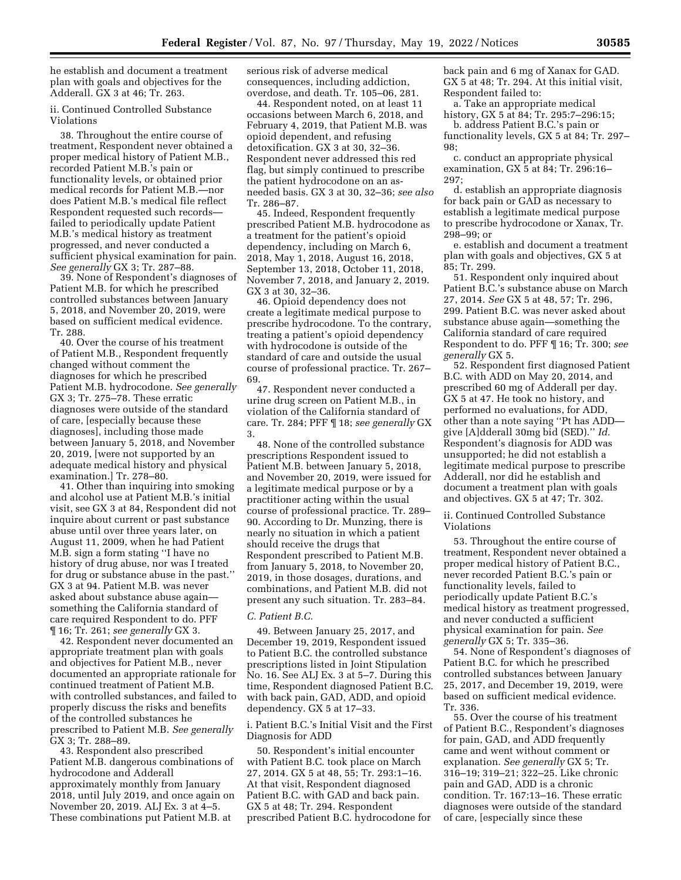he establish and document a treatment plan with goals and objectives for the Adderall. GX 3 at 46; Tr. 263.

# ii. Continued Controlled Substance Violations

38. Throughout the entire course of treatment, Respondent never obtained a proper medical history of Patient M.B., recorded Patient M.B.'s pain or functionality levels, or obtained prior medical records for Patient M.B.—nor does Patient M.B.'s medical file reflect Respondent requested such records failed to periodically update Patient M.B.'s medical history as treatment progressed, and never conducted a sufficient physical examination for pain. *See generally* GX 3; Tr. 287–88.

39. None of Respondent's diagnoses of Patient M.B. for which he prescribed controlled substances between January 5, 2018, and November 20, 2019, were based on sufficient medical evidence. Tr. 288.

40. Over the course of his treatment of Patient M.B., Respondent frequently changed without comment the diagnoses for which he prescribed Patient M.B. hydrocodone. *See generally*  GX 3; Tr. 275–78. These erratic diagnoses were outside of the standard of care, [especially because these diagnoses], including those made between January 5, 2018, and November 20, 2019, [were not supported by an adequate medical history and physical examination.] Tr. 278–80.

41. Other than inquiring into smoking and alcohol use at Patient M.B.'s initial visit, see GX 3 at 84, Respondent did not inquire about current or past substance abuse until over three years later, on August 11, 2009, when he had Patient M.B. sign a form stating ''I have no history of drug abuse, nor was I treated for drug or substance abuse in the past.'' GX 3 at 94. Patient M.B. was never asked about substance abuse again something the California standard of care required Respondent to do. PFF ¶ 16; Tr. 261; *see generally* GX 3.

42. Respondent never documented an appropriate treatment plan with goals and objectives for Patient M.B., never documented an appropriate rationale for continued treatment of Patient M.B. with controlled substances, and failed to properly discuss the risks and benefits of the controlled substances he prescribed to Patient M.B. *See generally*  GX 3; Tr. 288–89.

43. Respondent also prescribed Patient M.B. dangerous combinations of hydrocodone and Adderall approximately monthly from January 2018, until July 2019, and once again on November 20, 2019. ALJ Ex. 3 at 4–5. These combinations put Patient M.B. at

serious risk of adverse medical consequences, including addiction, overdose, and death. Tr. 105–06, 281.

44. Respondent noted, on at least 11 occasions between March 6, 2018, and February 4, 2019, that Patient M.B. was opioid dependent, and refusing detoxification. GX 3 at 30, 32–36. Respondent never addressed this red flag, but simply continued to prescribe the patient hydrocodone on an asneeded basis. GX 3 at 30, 32–36; *see also*  Tr. 286–87.

45. Indeed, Respondent frequently prescribed Patient M.B. hydrocodone as a treatment for the patient's opioid dependency, including on March 6, 2018, May 1, 2018, August 16, 2018, September 13, 2018, October 11, 2018, November 7, 2018, and January 2, 2019. GX 3 at 30, 32–36.

46. Opioid dependency does not create a legitimate medical purpose to prescribe hydrocodone. To the contrary, treating a patient's opioid dependency with hydrocodone is outside of the standard of care and outside the usual course of professional practice. Tr. 267– 69.

47. Respondent never conducted a urine drug screen on Patient M.B., in violation of the California standard of care. Tr. 284; PFF ¶ 18; *see generally* GX 3.

48. None of the controlled substance prescriptions Respondent issued to Patient M.B. between January 5, 2018, and November 20, 2019, were issued for a legitimate medical purpose or by a practitioner acting within the usual course of professional practice. Tr. 289– 90. According to Dr. Munzing, there is nearly no situation in which a patient should receive the drugs that Respondent prescribed to Patient M.B. from January 5, 2018, to November 20, 2019, in those dosages, durations, and combinations, and Patient M.B. did not present any such situation. Tr. 283–84.

#### *C. Patient B.C.*

49. Between January 25, 2017, and December 19, 2019, Respondent issued to Patient B.C. the controlled substance prescriptions listed in Joint Stipulation No. 16. See ALJ Ex. 3 at 5–7. During this time, Respondent diagnosed Patient B.C. with back pain, GAD, ADD, and opioid dependency. GX 5 at 17–33.

i. Patient B.C.'s Initial Visit and the First Diagnosis for ADD

50. Respondent's initial encounter with Patient B.C. took place on March 27, 2014. GX 5 at 48, 55; Tr. 293:1–16. At that visit, Respondent diagnosed Patient B.C. with GAD and back pain. GX 5 at 48; Tr. 294. Respondent prescribed Patient B.C. hydrocodone for back pain and 6 mg of Xanax for GAD. GX 5 at 48; Tr. 294. At this initial visit, Respondent failed to:

a. Take an appropriate medical history, GX 5 at 84; Tr. 295:7–296:15;

b. address Patient B.C.'s pain or functionality levels, GX 5 at 84; Tr. 297– 98;

c. conduct an appropriate physical examination, GX 5 at 84; Tr. 296:16– 297;

d. establish an appropriate diagnosis for back pain or GAD as necessary to establish a legitimate medical purpose to prescribe hydrocodone or Xanax, Tr. 298–99; or

e. establish and document a treatment plan with goals and objectives, GX 5 at 85; Tr. 299.

51. Respondent only inquired about Patient B.C.'s substance abuse on March 27, 2014. *See* GX 5 at 48, 57; Tr. 296, 299. Patient B.C. was never asked about substance abuse again—something the California standard of care required Respondent to do. PFF ¶ 16; Tr. 300; *see generally* GX 5.

52. Respondent first diagnosed Patient B.C. with ADD on May 20, 2014, and prescribed 60 mg of Adderall per day. GX 5 at 47. He took no history, and performed no evaluations, for ADD, other than a note saying ''Pt has ADD give [A]dderall 30mg bid (SED).'' *Id.*  Respondent's diagnosis for ADD was unsupported; he did not establish a legitimate medical purpose to prescribe Adderall, nor did he establish and document a treatment plan with goals and objectives. GX 5 at 47; Tr. 302.

ii. Continued Controlled Substance Violations

53. Throughout the entire course of treatment, Respondent never obtained a proper medical history of Patient B.C., never recorded Patient B.C.'s pain or functionality levels, failed to periodically update Patient B.C.'s medical history as treatment progressed, and never conducted a sufficient physical examination for pain. *See generally* GX 5; Tr. 335–36.

54. None of Respondent's diagnoses of Patient B.C. for which he prescribed controlled substances between January 25, 2017, and December 19, 2019, were based on sufficient medical evidence. Tr. 336.

55. Over the course of his treatment of Patient B.C., Respondent's diagnoses for pain, GAD, and ADD frequently came and went without comment or explanation. *See generally* GX 5; Tr. 316–19; 319–21; 322–25. Like chronic pain and GAD, ADD is a chronic condition. Tr. 167:13–16. These erratic diagnoses were outside of the standard of care, [especially since these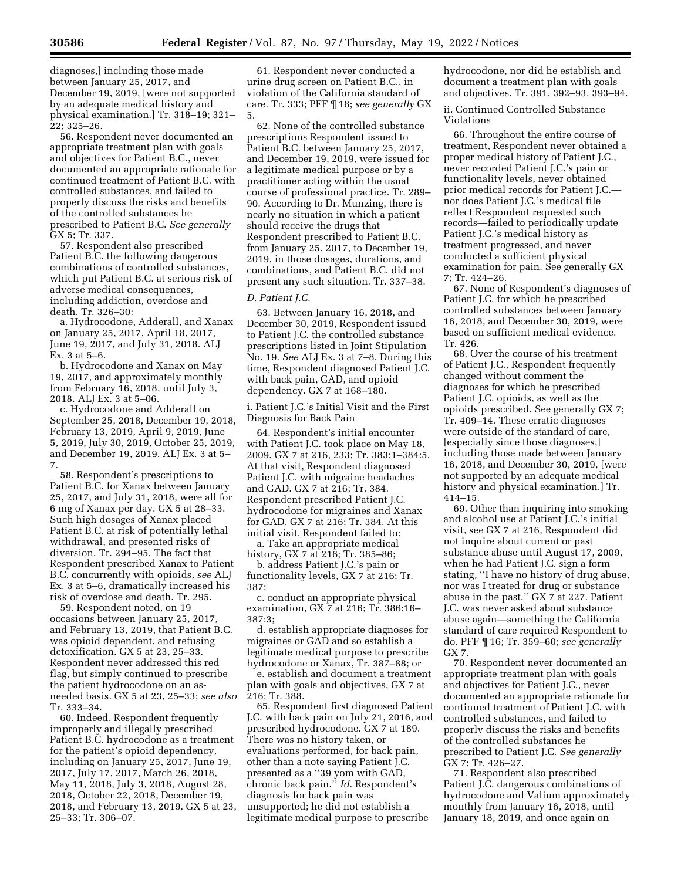diagnoses,] including those made between January 25, 2017, and December 19, 2019, [were not supported by an adequate medical history and physical examination.] Tr. 318–19; 321– 22; 325–26.

56. Respondent never documented an appropriate treatment plan with goals and objectives for Patient B.C., never documented an appropriate rationale for continued treatment of Patient B.C. with controlled substances, and failed to properly discuss the risks and benefits of the controlled substances he prescribed to Patient B.C. *See generally*  GX 5; Tr. 337.

57. Respondent also prescribed Patient B.C. the following dangerous combinations of controlled substances, which put Patient B.C. at serious risk of adverse medical consequences, including addiction, overdose and death. Tr. 326–30:

a. Hydrocodone, Adderall, and Xanax on January 25, 2017, April 18, 2017, June 19, 2017, and July 31, 2018. ALJ Ex. 3 at 5–6.

b. Hydrocodone and Xanax on May 19, 2017, and approximately monthly from February 16, 2018, until July 3, 2018. ALJ Ex. 3 at 5–06.

c. Hydrocodone and Adderall on September 25, 2018, December 19, 2018, February 13, 2019, April 9, 2019, June 5, 2019, July 30, 2019, October 25, 2019, and December 19, 2019. ALJ Ex. 3 at 5– 7.

58. Respondent's prescriptions to Patient B.C. for Xanax between January 25, 2017, and July 31, 2018, were all for 6 mg of Xanax per day. GX 5 at 28–33. Such high dosages of Xanax placed Patient B.C. at risk of potentially lethal withdrawal, and presented risks of diversion. Tr. 294–95. The fact that Respondent prescribed Xanax to Patient B.C. concurrently with opioids, *see* ALJ Ex. 3 at 5–6, dramatically increased his risk of overdose and death. Tr. 295.

59. Respondent noted, on 19 occasions between January 25, 2017, and February 13, 2019, that Patient B.C. was opioid dependent, and refusing detoxification. GX 5 at 23, 25–33. Respondent never addressed this red flag, but simply continued to prescribe the patient hydrocodone on an asneeded basis. GX 5 at 23, 25–33; *see also*  Tr. 333–34.

60. Indeed, Respondent frequently improperly and illegally prescribed Patient B.C. hydrocodone as a treatment for the patient's opioid dependency, including on January 25, 2017, June 19, 2017, July 17, 2017, March 26, 2018, May 11, 2018, July 3, 2018, August 28, 2018, October 22, 2018, December 19, 2018, and February 13, 2019. GX 5 at 23, 25–33; Tr. 306–07.

61. Respondent never conducted a urine drug screen on Patient B.C., in violation of the California standard of care. Tr. 333; PFF ¶ 18; *see generally* GX 5.

62. None of the controlled substance prescriptions Respondent issued to Patient B.C. between January 25, 2017, and December 19, 2019, were issued for a legitimate medical purpose or by a practitioner acting within the usual course of professional practice. Tr. 289– 90. According to Dr. Munzing, there is nearly no situation in which a patient should receive the drugs that Respondent prescribed to Patient B.C. from January 25, 2017, to December 19, 2019, in those dosages, durations, and combinations, and Patient B.C. did not present any such situation. Tr. 337–38.

## *D. Patient J.C.*

63. Between January 16, 2018, and December 30, 2019, Respondent issued to Patient J.C. the controlled substance prescriptions listed in Joint Stipulation No. 19. *See* ALJ Ex. 3 at 7–8. During this time, Respondent diagnosed Patient J.C. with back pain, GAD, and opioid dependency. GX 7 at 168–180.

i. Patient J.C.'s Initial Visit and the First Diagnosis for Back Pain

64. Respondent's initial encounter with Patient J.C. took place on May 18, 2009. GX 7 at 216, 233; Tr. 383:1–384:5. At that visit, Respondent diagnosed Patient J.C. with migraine headaches and GAD. GX 7 at 216; Tr. 384. Respondent prescribed Patient J.C. hydrocodone for migraines and Xanax for GAD. GX 7 at 216; Tr. 384. At this initial visit, Respondent failed to:

a. Take an appropriate medical history, GX 7 at 216; Tr. 385–86;

b. address Patient J.C.'s pain or functionality levels, GX 7 at 216; Tr. 387;

c. conduct an appropriate physical examination, GX 7 at 216; Tr. 386:16– 387:3;

d. establish appropriate diagnoses for migraines or GAD and so establish a legitimate medical purpose to prescribe hydrocodone or Xanax, Tr. 387–88; or

e. establish and document a treatment plan with goals and objectives, GX 7 at 216; Tr. 388.

65. Respondent first diagnosed Patient J.C. with back pain on July 21, 2016, and prescribed hydrocodone. GX 7 at 189. There was no history taken, or evaluations performed, for back pain, other than a note saying Patient J.C. presented as a ''39 yom with GAD, chronic back pain.'' *Id.* Respondent's diagnosis for back pain was unsupported; he did not establish a legitimate medical purpose to prescribe

hydrocodone, nor did he establish and document a treatment plan with goals and objectives. Tr. 391, 392–93, 393–94.

ii. Continued Controlled Substance Violations

66. Throughout the entire course of treatment, Respondent never obtained a proper medical history of Patient J.C., never recorded Patient J.C.'s pain or functionality levels, never obtained prior medical records for Patient J.C. nor does Patient J.C.'s medical file reflect Respondent requested such records—failed to periodically update Patient J.C.'s medical history as treatment progressed, and never conducted a sufficient physical examination for pain. See generally GX 7; Tr. 424–26.

67. None of Respondent's diagnoses of Patient J.C. for which he prescribed controlled substances between January 16, 2018, and December 30, 2019, were based on sufficient medical evidence. Tr. 426.

68. Over the course of his treatment of Patient J.C., Respondent frequently changed without comment the diagnoses for which he prescribed Patient J.C. opioids, as well as the opioids prescribed. See generally GX 7; Tr. 409–14. These erratic diagnoses were outside of the standard of care, [especially since those diagnoses,] including those made between January 16, 2018, and December 30, 2019, [were not supported by an adequate medical history and physical examination.] Tr. 414–15.

69. Other than inquiring into smoking and alcohol use at Patient J.C.'s initial visit, see GX 7 at 216, Respondent did not inquire about current or past substance abuse until August 17, 2009, when he had Patient J.C. sign a form stating, ''I have no history of drug abuse, nor was I treated for drug or substance abuse in the past.'' GX 7 at 227. Patient J.C. was never asked about substance abuse again—something the California standard of care required Respondent to do. PFF ¶ 16; Tr. 359–60; *see generally*  GX 7.

70. Respondent never documented an appropriate treatment plan with goals and objectives for Patient J.C., never documented an appropriate rationale for continued treatment of Patient J.C. with controlled substances, and failed to properly discuss the risks and benefits of the controlled substances he prescribed to Patient J.C. *See generally*  GX 7; Tr. 426–27.

71. Respondent also prescribed Patient J.C. dangerous combinations of hydrocodone and Valium approximately monthly from January 16, 2018, until January 18, 2019, and once again on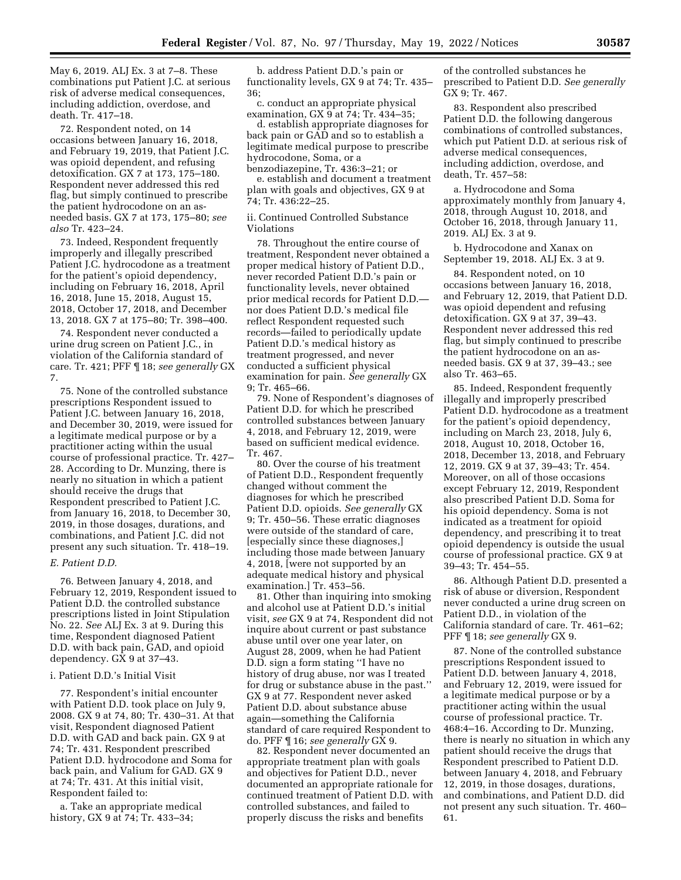May 6, 2019. ALJ Ex. 3 at 7–8. These combinations put Patient J.C. at serious risk of adverse medical consequences, including addiction, overdose, and death. Tr. 417–18.

72. Respondent noted, on 14 occasions between January 16, 2018, and February 19, 2019, that Patient J.C. was opioid dependent, and refusing detoxification. GX 7 at 173, 175–180. Respondent never addressed this red flag, but simply continued to prescribe the patient hydrocodone on an asneeded basis. GX 7 at 173, 175–80; *see also* Tr. 423–24.

73. Indeed, Respondent frequently improperly and illegally prescribed Patient J.C. hydrocodone as a treatment for the patient's opioid dependency, including on February 16, 2018, April 16, 2018, June 15, 2018, August 15, 2018, October 17, 2018, and December 13, 2018. GX 7 at 175–80; Tr. 398–400.

74. Respondent never conducted a urine drug screen on Patient J.C., in violation of the California standard of care. Tr. 421; PFF ¶ 18; *see generally* GX 7.

75. None of the controlled substance prescriptions Respondent issued to Patient J.C. between January 16, 2018, and December 30, 2019, were issued for a legitimate medical purpose or by a practitioner acting within the usual course of professional practice. Tr. 427– 28. According to Dr. Munzing, there is nearly no situation in which a patient should receive the drugs that Respondent prescribed to Patient J.C. from January 16, 2018, to December 30, 2019, in those dosages, durations, and combinations, and Patient J.C. did not present any such situation. Tr. 418–19.

#### *E. Patient D.D.*

76. Between January 4, 2018, and February 12, 2019, Respondent issued to Patient D.D. the controlled substance prescriptions listed in Joint Stipulation No. 22. *See* ALJ Ex. 3 at 9. During this time, Respondent diagnosed Patient D.D. with back pain, GAD, and opioid dependency. GX 9 at 37–43.

#### i. Patient D.D.'s Initial Visit

77. Respondent's initial encounter with Patient D.D. took place on July 9, 2008. GX 9 at 74, 80; Tr. 430–31. At that visit, Respondent diagnosed Patient D.D. with GAD and back pain. GX 9 at 74; Tr. 431. Respondent prescribed Patient D.D. hydrocodone and Soma for back pain, and Valium for GAD. GX 9 at 74; Tr. 431. At this initial visit, Respondent failed to:

a. Take an appropriate medical history, GX 9 at 74; Tr. 433–34;

b. address Patient D.D.'s pain or functionality levels, GX 9 at 74; Tr. 435– 36;

c. conduct an appropriate physical examination, GX 9 at 74; Tr. 434–35;

d. establish appropriate diagnoses for back pain or GAD and so to establish a legitimate medical purpose to prescribe hydrocodone, Soma, or a

benzodiazepine, Tr. 436:3–21; or e. establish and document a treatment plan with goals and objectives, GX 9 at 74; Tr. 436:22–25.

ii. Continued Controlled Substance Violations

78. Throughout the entire course of treatment, Respondent never obtained a proper medical history of Patient D.D., never recorded Patient D.D.'s pain or functionality levels, never obtained prior medical records for Patient D.D. nor does Patient D.D.'s medical file reflect Respondent requested such records—failed to periodically update Patient D.D.'s medical history as treatment progressed, and never conducted a sufficient physical examination for pain. *See generally* GX 9; Tr. 465–66.

79. None of Respondent's diagnoses of Patient D.D. for which he prescribed controlled substances between January 4, 2018, and February 12, 2019, were based on sufficient medical evidence. Tr. 467.

80. Over the course of his treatment of Patient D.D., Respondent frequently changed without comment the diagnoses for which he prescribed Patient D.D. opioids. *See generally* GX 9; Tr. 450–56. These erratic diagnoses were outside of the standard of care, [especially since these diagnoses,] including those made between January 4, 2018, [were not supported by an adequate medical history and physical examination.] Tr. 453–56.

81. Other than inquiring into smoking and alcohol use at Patient D.D.'s initial visit, *see* GX 9 at 74, Respondent did not inquire about current or past substance abuse until over one year later, on August 28, 2009, when he had Patient D.D. sign a form stating ''I have no history of drug abuse, nor was I treated for drug or substance abuse in the past.'' GX 9 at 77. Respondent never asked Patient D.D. about substance abuse again—something the California standard of care required Respondent to do. PFF ¶ 16; *see generally* GX 9.

82. Respondent never documented an appropriate treatment plan with goals and objectives for Patient D.D., never documented an appropriate rationale for continued treatment of Patient D.D. with controlled substances, and failed to properly discuss the risks and benefits

of the controlled substances he prescribed to Patient D.D. *See generally*  GX 9; Tr. 467.

83. Respondent also prescribed Patient D.D. the following dangerous combinations of controlled substances, which put Patient D.D. at serious risk of adverse medical consequences, including addiction, overdose, and death, Tr. 457–58:

a. Hydrocodone and Soma approximately monthly from January 4, 2018, through August 10, 2018, and October 16, 2018, through January 11, 2019. ALJ Ex. 3 at 9.

b. Hydrocodone and Xanax on September 19, 2018. ALJ Ex. 3 at 9.

84. Respondent noted, on 10 occasions between January 16, 2018, and February 12, 2019, that Patient D.D. was opioid dependent and refusing detoxification. GX 9 at 37, 39–43. Respondent never addressed this red flag, but simply continued to prescribe the patient hydrocodone on an asneeded basis. GX 9 at 37, 39–43.; see also Tr. 463–65.

85. Indeed, Respondent frequently illegally and improperly prescribed Patient D.D. hydrocodone as a treatment for the patient's opioid dependency, including on March 23, 2018, July 6, 2018, August 10, 2018, October 16, 2018, December 13, 2018, and February 12, 2019. GX 9 at 37, 39–43; Tr. 454. Moreover, on all of those occasions except February 12, 2019, Respondent also prescribed Patient D.D. Soma for his opioid dependency. Soma is not indicated as a treatment for opioid dependency, and prescribing it to treat opioid dependency is outside the usual course of professional practice. GX 9 at 39–43; Tr. 454–55.

86. Although Patient D.D. presented a risk of abuse or diversion, Respondent never conducted a urine drug screen on Patient D.D., in violation of the California standard of care. Tr. 461–62; PFF ¶ 18; *see generally* GX 9.

87. None of the controlled substance prescriptions Respondent issued to Patient D.D. between January 4, 2018, and February 12, 2019, were issued for a legitimate medical purpose or by a practitioner acting within the usual course of professional practice. Tr. 468:4–16. According to Dr. Munzing, there is nearly no situation in which any patient should receive the drugs that Respondent prescribed to Patient D.D. between January 4, 2018, and February 12, 2019, in those dosages, durations, and combinations, and Patient D.D. did not present any such situation. Tr. 460– 61.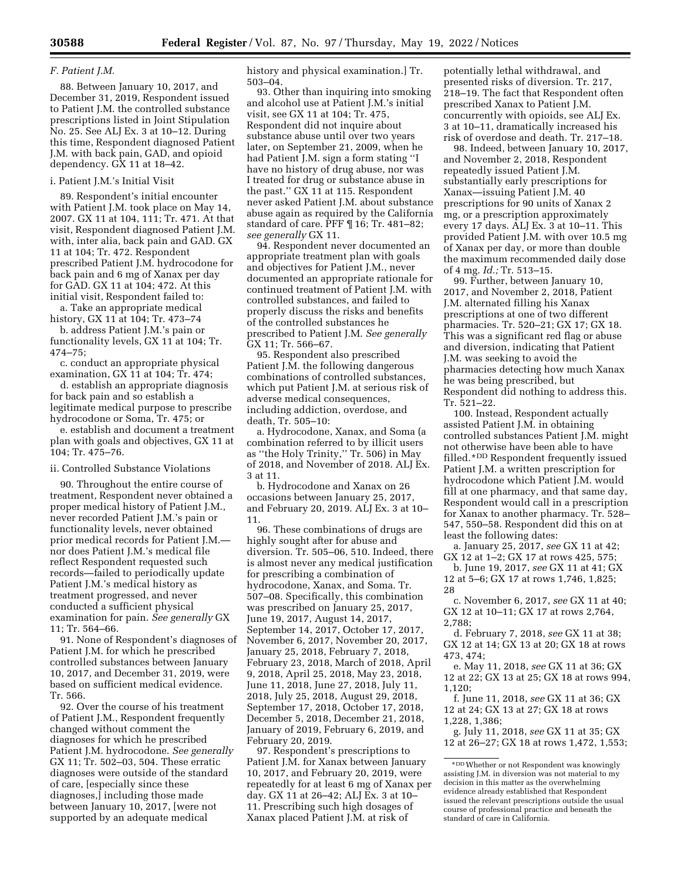#### *F. Patient J.M.*

88. Between January 10, 2017, and December 31, 2019, Respondent issued to Patient J.M. the controlled substance prescriptions listed in Joint Stipulation No. 25. See ALJ Ex. 3 at 10–12. During this time, Respondent diagnosed Patient J.M. with back pain, GAD, and opioid dependency. GX 11 at 18–42.

# i. Patient J.M.'s Initial Visit

89. Respondent's initial encounter with Patient J.M. took place on May 14, 2007. GX 11 at 104, 111; Tr. 471. At that visit, Respondent diagnosed Patient J.M. with, inter alia, back pain and GAD. GX 11 at 104; Tr. 472. Respondent prescribed Patient J.M. hydrocodone for back pain and 6 mg of Xanax per day for GAD. GX 11 at 104; 472. At this initial visit, Respondent failed to:

a. Take an appropriate medical history, GX 11 at 104; Tr. 473–74

b. address Patient J.M.'s pain or functionality levels, GX 11 at 104; Tr. 474–75;

c. conduct an appropriate physical examination, GX 11 at 104; Tr. 474;

d. establish an appropriate diagnosis for back pain and so establish a legitimate medical purpose to prescribe hydrocodone or Soma, Tr. 475; or

e. establish and document a treatment plan with goals and objectives, GX 11 at 104; Tr. 475–76.

ii. Controlled Substance Violations

90. Throughout the entire course of treatment, Respondent never obtained a proper medical history of Patient J.M., never recorded Patient J.M.'s pain or functionality levels, never obtained prior medical records for Patient J.M. nor does Patient J.M.'s medical file reflect Respondent requested such records—failed to periodically update Patient J.M.'s medical history as treatment progressed, and never conducted a sufficient physical examination for pain. *See generally* GX 11; Tr. 564–66.

91. None of Respondent's diagnoses of Patient J.M. for which he prescribed controlled substances between January 10, 2017, and December 31, 2019, were based on sufficient medical evidence. Tr. 566.

92. Over the course of his treatment of Patient J.M., Respondent frequently changed without comment the diagnoses for which he prescribed Patient J.M. hydrocodone. *See generally*  GX 11; Tr. 502–03, 504. These erratic diagnoses were outside of the standard of care, [especially since these diagnoses,] including those made between January 10, 2017, [were not supported by an adequate medical

history and physical examination.] Tr. 503–04.

93. Other than inquiring into smoking and alcohol use at Patient J.M.'s initial visit, see GX 11 at 104; Tr. 475, Respondent did not inquire about substance abuse until over two years later, on September 21, 2009, when he had Patient J.M. sign a form stating ''I have no history of drug abuse, nor was I treated for drug or substance abuse in the past.'' GX 11 at 115. Respondent never asked Patient J.M. about substance abuse again as required by the California standard of care. PFF ¶ 16; Tr. 481–82; *see generally* GX 11.

94. Respondent never documented an appropriate treatment plan with goals and objectives for Patient J.M., never documented an appropriate rationale for continued treatment of Patient J.M. with controlled substances, and failed to properly discuss the risks and benefits of the controlled substances he prescribed to Patient J.M. *See generally*  GX 11; Tr. 566–67.

95. Respondent also prescribed Patient J.M. the following dangerous combinations of controlled substances, which put Patient J.M. at serious risk of adverse medical consequences, including addiction, overdose, and death, Tr. 505–10:

a. Hydrocodone, Xanax, and Soma (a combination referred to by illicit users as ''the Holy Trinity,'' Tr. 506) in May of 2018, and November of 2018. ALJ Ex. 3 at 11.

b. Hydrocodone and Xanax on 26 occasions between January 25, 2017, and February 20, 2019. ALJ Ex. 3 at 10– 11.

96. These combinations of drugs are highly sought after for abuse and diversion. Tr. 505–06, 510. Indeed, there is almost never any medical justification for prescribing a combination of hydrocodone, Xanax, and Soma. Tr. 507–08. Specifically, this combination was prescribed on January 25, 2017, June 19, 2017, August 14, 2017, September 14, 2017, October 17, 2017, November 6, 2017, November 20, 2017, January 25, 2018, February 7, 2018, February 23, 2018, March of 2018, April 9, 2018, April 25, 2018, May 23, 2018, June 11, 2018, June 27, 2018, July 11, 2018, July 25, 2018, August 29, 2018, September 17, 2018, October 17, 2018, December 5, 2018, December 21, 2018, January of 2019, February 6, 2019, and February 20, 2019.

97. Respondent's prescriptions to Patient J.M. for Xanax between January 10, 2017, and February 20, 2019, were repeatedly for at least 6 mg of Xanax per day. GX 11 at 26–42; ALJ Ex. 3 at 10– 11. Prescribing such high dosages of Xanax placed Patient J.M. at risk of

potentially lethal withdrawal, and presented risks of diversion. Tr. 217, 218–19. The fact that Respondent often prescribed Xanax to Patient J.M. concurrently with opioids, see ALJ Ex. 3 at 10–11, dramatically increased his risk of overdose and death. Tr. 217–18.

98. Indeed, between January 10, 2017, and November 2, 2018, Respondent repeatedly issued Patient J.M. substantially early prescriptions for Xanax—issuing Patient J.M. 40 prescriptions for 90 units of Xanax 2 mg, or a prescription approximately every 17 days. ALJ Ex. 3 at 10–11. This provided Patient J.M. with over 10.5 mg of Xanax per day, or more than double the maximum recommended daily dose of 4 mg. *Id.;* Tr. 513–15.

99. Further, between January 10, 2017, and November 2, 2018, Patient J.M. alternated filling his Xanax prescriptions at one of two different pharmacies. Tr. 520–21; GX 17; GX 18. This was a significant red flag or abuse and diversion, indicating that Patient J.M. was seeking to avoid the pharmacies detecting how much Xanax he was being prescribed, but Respondent did nothing to address this. Tr. 521–22.

100. Instead, Respondent actually assisted Patient J.M. in obtaining controlled substances Patient J.M. might not otherwise have been able to have filled.\*DD Respondent frequently issued Patient J.M. a written prescription for hydrocodone which Patient J.M. would fill at one pharmacy, and that same day, Respondent would call in a prescription for Xanax to another pharmacy. Tr. 528– 547, 550–58. Respondent did this on at least the following dates:

a. January 25, 2017, *see* GX 11 at 42; GX 12 at 1–2; GX 17 at rows 425, 575;

b. June 19, 2017, *see* GX 11 at 41; GX 12 at 5–6; GX 17 at rows 1,746, 1,825; 28

c. November 6, 2017, *see* GX 11 at 40; GX 12 at 10–11; GX 17 at rows 2,764, 2,788;

d. February 7, 2018, *see* GX 11 at 38; GX 12 at 14; GX 13 at 20; GX 18 at rows 473, 474;

e. May 11, 2018, *see* GX 11 at 36; GX 12 at 22; GX 13 at 25; GX 18 at rows 994, 1,120;

f. June 11, 2018, *see* GX 11 at 36; GX 12 at 24; GX 13 at 27; GX 18 at rows 1,228, 1,386;

g. July 11, 2018, *see* GX 11 at 35; GX 12 at 26–27; GX 18 at rows 1,472, 1,553;

<sup>\*</sup>DDWhether or not Respondent was knowingly assisting J.M. in diversion was not material to my decision in this matter as the overwhelming evidence already established that Respondent issued the relevant prescriptions outside the usual course of professional practice and beneath the standard of care in California.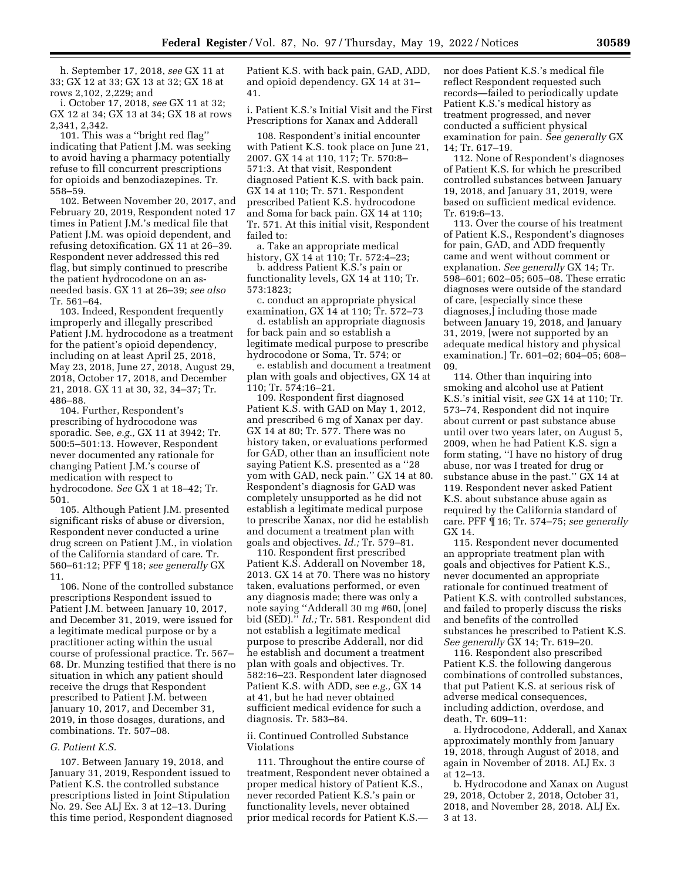h. September 17, 2018, *see* GX 11 at 33; GX 12 at 33; GX 13 at 32; GX 18 at rows 2,102, 2,229; and

i. October 17, 2018, *see* GX 11 at 32; GX 12 at 34; GX 13 at 34; GX 18 at rows 2,341, 2,342.

101. This was a ''bright red flag'' indicating that Patient J.M. was seeking to avoid having a pharmacy potentially refuse to fill concurrent prescriptions for opioids and benzodiazepines. Tr. 558–59.

102. Between November 20, 2017, and February 20, 2019, Respondent noted 17 times in Patient J.M.'s medical file that Patient J.M. was opioid dependent, and refusing detoxification. GX 11 at 26–39. Respondent never addressed this red flag, but simply continued to prescribe the patient hydrocodone on an asneeded basis. GX 11 at 26–39; *see also*  Tr. 561–64.

103. Indeed, Respondent frequently improperly and illegally prescribed Patient J.M. hydrocodone as a treatment for the patient's opioid dependency, including on at least April 25, 2018, May 23, 2018, June 27, 2018, August 29, 2018, October 17, 2018, and December 21, 2018. GX 11 at 30, 32, 34–37; Tr. 486–88.

104. Further, Respondent's prescribing of hydrocodone was sporadic. See, *e.g.,* GX 11 at 3942; Tr. 500:5–501:13. However, Respondent never documented any rationale for changing Patient J.M.'s course of medication with respect to hydrocodone. *See* GX 1 at 18–42; Tr. 501.

105. Although Patient J.M. presented significant risks of abuse or diversion, Respondent never conducted a urine drug screen on Patient J.M., in violation of the California standard of care. Tr. 560–61:12; PFF ¶ 18; *see generally* GX 11.

106. None of the controlled substance prescriptions Respondent issued to Patient J.M. between January 10, 2017, and December 31, 2019, were issued for a legitimate medical purpose or by a practitioner acting within the usual course of professional practice. Tr. 567– 68. Dr. Munzing testified that there is no situation in which any patient should receive the drugs that Respondent prescribed to Patient J.M. between January 10, 2017, and December 31, 2019, in those dosages, durations, and combinations. Tr. 507–08.

### *G. Patient K.S.*

107. Between January 19, 2018, and January 31, 2019, Respondent issued to Patient K.S. the controlled substance prescriptions listed in Joint Stipulation No. 29. See ALJ Ex. 3 at 12–13. During this time period, Respondent diagnosed Patient K.S. with back pain, GAD, ADD, and opioid dependency. GX 14 at 31– 41.

i. Patient K.S.'s Initial Visit and the First Prescriptions for Xanax and Adderall

108. Respondent's initial encounter with Patient K.S. took place on June 21, 2007. GX 14 at 110, 117; Tr. 570:8– 571:3. At that visit, Respondent diagnosed Patient K.S. with back pain. GX 14 at 110; Tr. 571. Respondent prescribed Patient K.S. hydrocodone and Soma for back pain. GX 14 at 110; Tr. 571. At this initial visit, Respondent failed to:

a. Take an appropriate medical history, GX 14 at 110; Tr. 572:4–23;

b. address Patient K.S.'s pain or functionality levels, GX 14 at 110; Tr. 573:1823;

c. conduct an appropriate physical examination, GX 14 at 110; Tr. 572–73

d. establish an appropriate diagnosis for back pain and so establish a legitimate medical purpose to prescribe hydrocodone or Soma, Tr. 574; or

e. establish and document a treatment plan with goals and objectives, GX 14 at 110; Tr. 574:16–21.

109. Respondent first diagnosed Patient K.S. with GAD on May 1, 2012, and prescribed 6 mg of Xanax per day. GX 14 at 80; Tr. 577. There was no history taken, or evaluations performed for GAD, other than an insufficient note saying Patient K.S. presented as a ''28 yom with GAD, neck pain.'' GX 14 at 80. Respondent's diagnosis for GAD was completely unsupported as he did not establish a legitimate medical purpose to prescribe Xanax, nor did he establish and document a treatment plan with goals and objectives. *Id.;* Tr. 579–81.

110. Respondent first prescribed Patient K.S. Adderall on November 18, 2013. GX 14 at 70. There was no history taken, evaluations performed, or even any diagnosis made; there was only a note saying ''Adderall 30 mg #60, [one] bid (SED).'' *Id.;* Tr. 581. Respondent did not establish a legitimate medical purpose to prescribe Adderall, nor did he establish and document a treatment plan with goals and objectives. Tr. 582:16–23. Respondent later diagnosed Patient K.S. with ADD, see *e.g.,* GX 14 at 41, but he had never obtained sufficient medical evidence for such a diagnosis. Tr. 583–84.

# ii. Continued Controlled Substance Violations

111. Throughout the entire course of treatment, Respondent never obtained a proper medical history of Patient K.S., never recorded Patient K.S.'s pain or functionality levels, never obtained prior medical records for Patient K.S.—

nor does Patient K.S.'s medical file reflect Respondent requested such records—failed to periodically update Patient K.S.'s medical history as treatment progressed, and never conducted a sufficient physical examination for pain. *See generally* GX 14; Tr. 617–19.

112. None of Respondent's diagnoses of Patient K.S. for which he prescribed controlled substances between January 19, 2018, and January 31, 2019, were based on sufficient medical evidence. Tr. 619:6–13.

113. Over the course of his treatment of Patient K.S., Respondent's diagnoses for pain, GAD, and ADD frequently came and went without comment or explanation. *See generally* GX 14; Tr. 598–601; 602–05; 605–08. These erratic diagnoses were outside of the standard of care, [especially since these diagnoses,] including those made between January 19, 2018, and January 31, 2019, [were not supported by an adequate medical history and physical examination.] Tr. 601–02; 604–05; 608– 09.

114. Other than inquiring into smoking and alcohol use at Patient K.S.'s initial visit, *see* GX 14 at 110; Tr. 573–74, Respondent did not inquire about current or past substance abuse until over two years later, on August 5, 2009, when he had Patient K.S. sign a form stating, ''I have no history of drug abuse, nor was I treated for drug or substance abuse in the past.'' GX 14 at 119. Respondent never asked Patient K.S. about substance abuse again as required by the California standard of care. PFF ¶ 16; Tr. 574–75; *see generally*  GX 14.

115. Respondent never documented an appropriate treatment plan with goals and objectives for Patient K.S., never documented an appropriate rationale for continued treatment of Patient K.S. with controlled substances, and failed to properly discuss the risks and benefits of the controlled substances he prescribed to Patient K.S. *See generally* GX 14; Tr. 619–20.

116. Respondent also prescribed Patient K.S. the following dangerous combinations of controlled substances, that put Patient K.S. at serious risk of adverse medical consequences, including addiction, overdose, and death, Tr. 609–11:

a. Hydrocodone, Adderall, and Xanax approximately monthly from January 19, 2018, through August of 2018, and again in November of 2018. ALJ Ex. 3 at 12–13.

b. Hydrocodone and Xanax on August 29, 2018, October 2, 2018, October 31, 2018, and November 28, 2018. ALJ Ex. 3 at 13.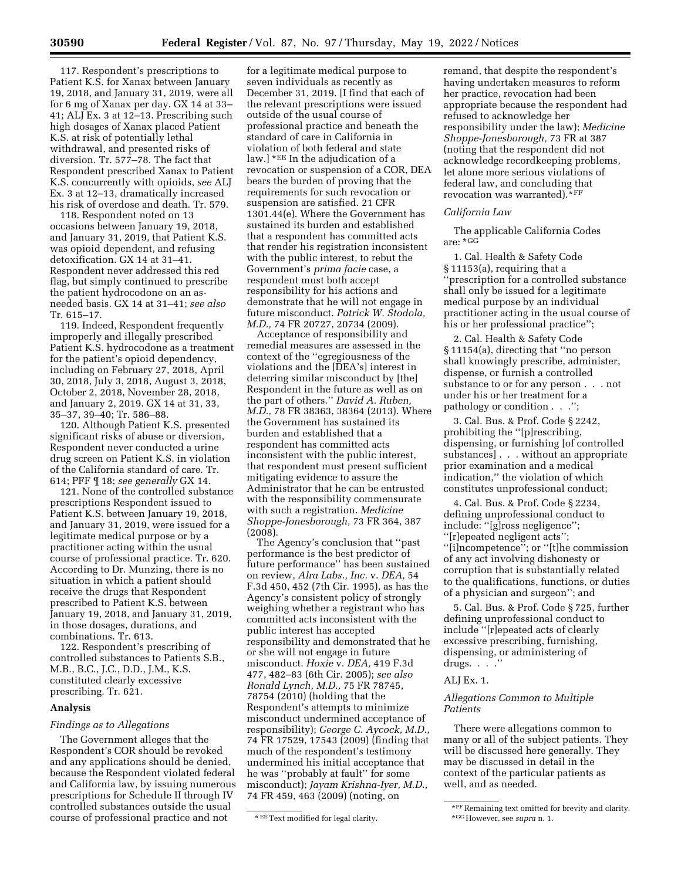117. Respondent's prescriptions to Patient K.S. for Xanax between January 19, 2018, and January 31, 2019, were all for 6 mg of Xanax per day. GX 14 at 33– 41; ALJ Ex. 3 at 12–13. Prescribing such high dosages of Xanax placed Patient K.S. at risk of potentially lethal withdrawal, and presented risks of diversion. Tr. 577–78. The fact that Respondent prescribed Xanax to Patient K.S. concurrently with opioids, *see* ALJ Ex. 3 at 12–13, dramatically increased his risk of overdose and death. Tr. 579.

118. Respondent noted on 13 occasions between January 19, 2018, and January 31, 2019, that Patient K.S. was opioid dependent, and refusing detoxification. GX 14 at 31–41. Respondent never addressed this red flag, but simply continued to prescribe the patient hydrocodone on an asneeded basis. GX 14 at 31–41; *see also*  Tr. 615–17.

119. Indeed, Respondent frequently improperly and illegally prescribed Patient K.S. hydrocodone as a treatment for the patient's opioid dependency, including on February 27, 2018, April 30, 2018, July 3, 2018, August 3, 2018, October 2, 2018, November 28, 2018, and January 2, 2019. GX 14 at 31, 33, 35–37, 39–40; Tr. 586–88.

120. Although Patient K.S. presented significant risks of abuse or diversion, Respondent never conducted a urine drug screen on Patient K.S. in violation of the California standard of care. Tr. 614; PFF ¶ 18; *see generally* GX 14.

121. None of the controlled substance prescriptions Respondent issued to Patient K.S. between January 19, 2018, and January 31, 2019, were issued for a legitimate medical purpose or by a practitioner acting within the usual course of professional practice. Tr. 620. According to Dr. Munzing, there is no situation in which a patient should receive the drugs that Respondent prescribed to Patient K.S. between January 19, 2018, and January 31, 2019, in those dosages, durations, and combinations. Tr. 613.

122. Respondent's prescribing of controlled substances to Patients S.B., M.B., B.C., J.C., D.D., J.M., K.S. constituted clearly excessive prescribing. Tr. 621.

## **Analysis**

#### *Findings as to Allegations*

The Government alleges that the Respondent's COR should be revoked and any applications should be denied, because the Respondent violated federal and California law, by issuing numerous prescriptions for Schedule II through IV controlled substances outside the usual course of professional practice and not

for a legitimate medical purpose to seven individuals as recently as December 31, 2019. [I find that each of the relevant prescriptions were issued outside of the usual course of professional practice and beneath the standard of care in California in violation of both federal and state law.] \*EE In the adjudication of a revocation or suspension of a COR, DEA bears the burden of proving that the requirements for such revocation or suspension are satisfied. 21 CFR 1301.44(e). Where the Government has sustained its burden and established that a respondent has committed acts that render his registration inconsistent with the public interest, to rebut the Government's *prima facie* case, a respondent must both accept responsibility for his actions and demonstrate that he will not engage in future misconduct. *Patrick W. Stodola, M.D.,* 74 FR 20727, 20734 (2009).

Acceptance of responsibility and remedial measures are assessed in the context of the ''egregiousness of the violations and the [DEA's] interest in deterring similar misconduct by [the] Respondent in the future as well as on the part of others.'' *David A. Ruben, M.D.,* 78 FR 38363, 38364 (2013). Where the Government has sustained its burden and established that a respondent has committed acts inconsistent with the public interest, that respondent must present sufficient mitigating evidence to assure the Administrator that he can be entrusted with the responsibility commensurate with such a registration. *Medicine Shoppe-Jonesborough,* 73 FR 364, 387 (2008).

The Agency's conclusion that ''past performance is the best predictor of future performance'' has been sustained on review, *Alra Labs., Inc.* v. *DEA,* 54 F.3d 450, 452 (7th Cir. 1995), as has the Agency's consistent policy of strongly weighing whether a registrant who has committed acts inconsistent with the public interest has accepted responsibility and demonstrated that he or she will not engage in future misconduct. *Hoxie* v. *DEA,* 419 F.3d 477, 482–83 (6th Cir. 2005); *see also Ronald Lynch, M.D.,* 75 FR 78745, 78754 (2010) (holding that the Respondent's attempts to minimize misconduct undermined acceptance of responsibility); *George C. Aycock, M.D.,*  74 FR 17529, 17543 (2009) (finding that much of the respondent's testimony undermined his initial acceptance that he was ''probably at fault'' for some misconduct); *Jayam Krishna-Iyer, M.D.,*  74 FR 459, 463 (2009) (noting, on

remand, that despite the respondent's having undertaken measures to reform her practice, revocation had been appropriate because the respondent had refused to acknowledge her responsibility under the law); *Medicine Shoppe-Jonesborough,* 73 FR at 387 (noting that the respondent did not acknowledge recordkeeping problems, let alone more serious violations of federal law, and concluding that revocation was warranted).\*FF

#### *California Law*

The applicable California Codes are: \*GG

1. Cal. Health & Safety Code § 11153(a), requiring that a ''prescription for a controlled substance shall only be issued for a legitimate medical purpose by an individual practitioner acting in the usual course of his or her professional practice'';

2. Cal. Health & Safety Code § 11154(a), directing that ''no person shall knowingly prescribe, administer, dispense, or furnish a controlled substance to or for any person . . . not under his or her treatment for a pathology or condition . . .'';

3. Cal. Bus. & Prof. Code § 2242, prohibiting the ''[p]rescribing, dispensing, or furnishing [of controlled substances] . . . without an appropriate prior examination and a medical indication,'' the violation of which constitutes unprofessional conduct;

4. Cal. Bus. & Prof. Code § 2234, defining unprofessional conduct to include: ''[g]ross negligence''; ''[r]epeated negligent acts''; ''[i]ncompetence''; or ''[t]he commission of any act involving dishonesty or corruption that is substantially related to the qualifications, functions, or duties of a physician and surgeon''; and

5. Cal. Bus. & Prof. Code § 725, further defining unprofessional conduct to include ''[r]epeated acts of clearly excessive prescribing, furnishing, dispensing, or administering of drugs.  $\ldots$  ."

#### ALJ Ex. 1.

#### *Allegations Common to Multiple Patients*

There were allegations common to many or all of the subject patients. They will be discussed here generally. They may be discussed in detail in the context of the particular patients as well, and as needed.

<sup>\*</sup> EEText modified for legal clarity.

<sup>\*</sup>FF Remaining text omitted for brevity and clarity. \*GGHowever, see *supra* n. 1.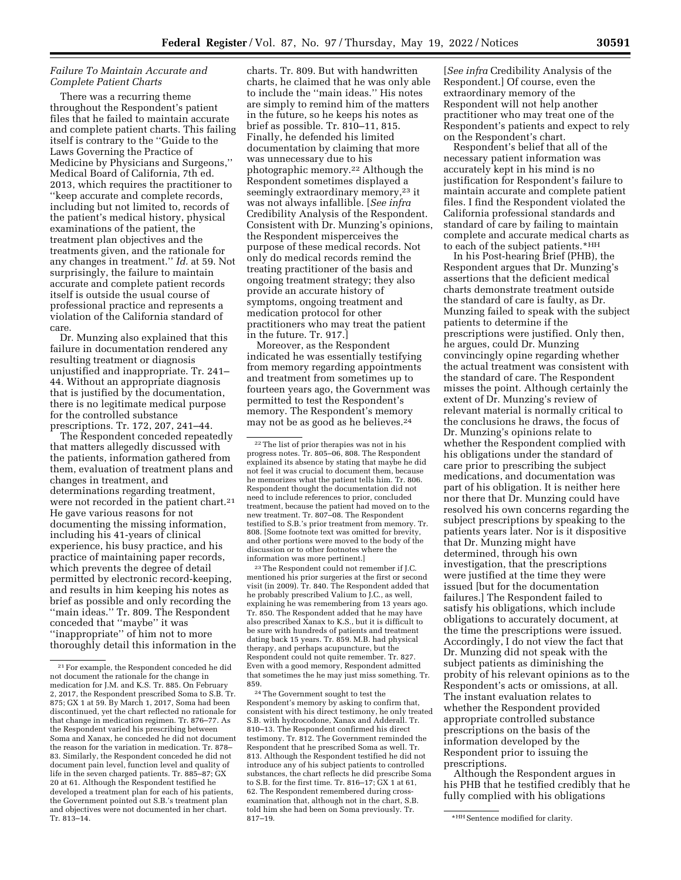# *Failure To Maintain Accurate and Complete Patient Charts*

There was a recurring theme throughout the Respondent's patient files that he failed to maintain accurate and complete patient charts. This failing itself is contrary to the ''Guide to the Laws Governing the Practice of Medicine by Physicians and Surgeons,'' Medical Board of California, 7th ed. 2013, which requires the practitioner to ''keep accurate and complete records, including but not limited to, records of the patient's medical history, physical examinations of the patient, the treatment plan objectives and the treatments given, and the rationale for any changes in treatment.'' *Id.* at 59. Not surprisingly, the failure to maintain accurate and complete patient records itself is outside the usual course of professional practice and represents a violation of the California standard of care.

Dr. Munzing also explained that this failure in documentation rendered any resulting treatment or diagnosis unjustified and inappropriate. Tr. 241– 44. Without an appropriate diagnosis that is justified by the documentation, there is no legitimate medical purpose for the controlled substance prescriptions. Tr. 172, 207, 241–44.

The Respondent conceded repeatedly that matters allegedly discussed with the patients, information gathered from them, evaluation of treatment plans and changes in treatment, and determinations regarding treatment, were not recorded in the patient chart.<sup>21</sup> He gave various reasons for not documenting the missing information, including his 41-years of clinical experience, his busy practice, and his practice of maintaining paper records, which prevents the degree of detail permitted by electronic record-keeping, and results in him keeping his notes as brief as possible and only recording the ''main ideas.'' Tr. 809. The Respondent conceded that ''maybe'' it was ''inappropriate'' of him not to more thoroughly detail this information in the

charts. Tr. 809. But with handwritten charts, he claimed that he was only able to include the ''main ideas.'' His notes are simply to remind him of the matters in the future, so he keeps his notes as brief as possible. Tr. 810–11, 815. Finally, he defended his limited documentation by claiming that more was unnecessary due to his photographic memory.22 Although the Respondent sometimes displayed a seemingly extraordinary memory,<sup>23</sup> it was not always infallible. [*See infra*  Credibility Analysis of the Respondent. Consistent with Dr. Munzing's opinions, the Respondent misperceives the purpose of these medical records. Not only do medical records remind the treating practitioner of the basis and ongoing treatment strategy; they also provide an accurate history of symptoms, ongoing treatment and medication protocol for other practitioners who may treat the patient in the future. Tr. 917.]

Moreover, as the Respondent indicated he was essentially testifying from memory regarding appointments and treatment from sometimes up to fourteen years ago, the Government was permitted to test the Respondent's memory. The Respondent's memory may not be as good as he believes.24

23The Respondent could not remember if J.C. mentioned his prior surgeries at the first or second visit (in 2009). Tr. 840. The Respondent added that he probably prescribed Valium to J.C., as well, explaining he was remembering from 13 years ago. Tr. 850. The Respondent added that he may have also prescribed Xanax to K.S., but it is difficult to be sure with hundreds of patients and treatment dating back 15 years. Tr. 859. M.B. had physical therapy, and perhaps acupuncture, but the Respondent could not quite remember. Tr. 827. Even with a good memory, Respondent admitted that sometimes the he may just miss something. Tr. 859.

24The Government sought to test the Respondent's memory by asking to confirm that, consistent with his direct testimony, he only treated S.B. with hydrocodone, Xanax and Adderall. Tr. 810–13. The Respondent confirmed his direct testimony. Tr. 812. The Government reminded the Respondent that he prescribed Soma as well. Tr. 813. Although the Respondent testified he did not introduce any of his subject patients to controlled substances, the chart reflects he did prescribe Soma to S.B. for the first time. Tr. 816–17; GX 1 at 61, 62. The Respondent remembered during crossexamination that, although not in the chart, S.B. told him she had been on Soma previously. Tr.

[*See infra* Credibility Analysis of the Respondent.] Of course, even the extraordinary memory of the Respondent will not help another practitioner who may treat one of the Respondent's patients and expect to rely on the Respondent's chart.

Respondent's belief that all of the necessary patient information was accurately kept in his mind is no justification for Respondent's failure to maintain accurate and complete patient files. I find the Respondent violated the California professional standards and standard of care by failing to maintain complete and accurate medical charts as to each of the subject patients.\*HH

In his Post-hearing Brief (PHB), the Respondent argues that Dr. Munzing's assertions that the deficient medical charts demonstrate treatment outside the standard of care is faulty, as Dr. Munzing failed to speak with the subject patients to determine if the prescriptions were justified. Only then, he argues, could Dr. Munzing convincingly opine regarding whether the actual treatment was consistent with the standard of care. The Respondent misses the point. Although certainly the extent of Dr. Munzing's review of relevant material is normally critical to the conclusions he draws, the focus of Dr. Munzing's opinions relate to whether the Respondent complied with his obligations under the standard of care prior to prescribing the subject medications, and documentation was part of his obligation. It is neither here nor there that Dr. Munzing could have resolved his own concerns regarding the subject prescriptions by speaking to the patients years later. Nor is it dispositive that Dr. Munzing might have determined, through his own investigation, that the prescriptions were justified at the time they were issued [but for the documentation failures.] The Respondent failed to satisfy his obligations, which include obligations to accurately document, at the time the prescriptions were issued. Accordingly, I do not view the fact that Dr. Munzing did not speak with the subject patients as diminishing the probity of his relevant opinions as to the Respondent's acts or omissions, at all. The instant evaluation relates to whether the Respondent provided appropriate controlled substance prescriptions on the basis of the information developed by the Respondent prior to issuing the prescriptions.

Although the Respondent argues in his PHB that he testified credibly that he fully complied with his obligations

<sup>21</sup>For example, the Respondent conceded he did not document the rationale for the change in medication for J.M. and K.S. Tr. 885. On February 2, 2017, the Respondent prescribed Soma to S.B. Tr. 875; GX 1 at 59. By March 1, 2017, Soma had been discontinued, yet the chart reflected no rationale for that change in medication regimen. Tr. 876–77. As the Respondent varied his prescribing between Soma and Xanax, he conceded he did not document the reason for the variation in medication. Tr. 878– 83. Similarly, the Respondent conceded he did not document pain level, function level and quality of life in the seven charged patients. Tr. 885–87; GX 20 at 61. Although the Respondent testified he developed a treatment plan for each of his patients, the Government pointed out S.B.'s treatment plan and objectives were not documented in her chart. Tr. 813–14.

<sup>22</sup>The list of prior therapies was not in his progress notes. Tr. 805–06, 808. The Respondent explained its absence by stating that maybe he did not feel it was crucial to document them, because he memorizes what the patient tells him. Tr. 806. Respondent thought the documentation did not need to include references to prior, concluded treatment, because the patient had moved on to the new treatment. Tr. 807–08. The Respondent testified to S.B.'s prior treatment from memory. Tr. 808. [Some footnote text was omitted for brevity, and other portions were moved to the body of the discussion or to other footnotes where the information was more pertinent.]

<sup>\*</sup>HH Sentence modified for clarity.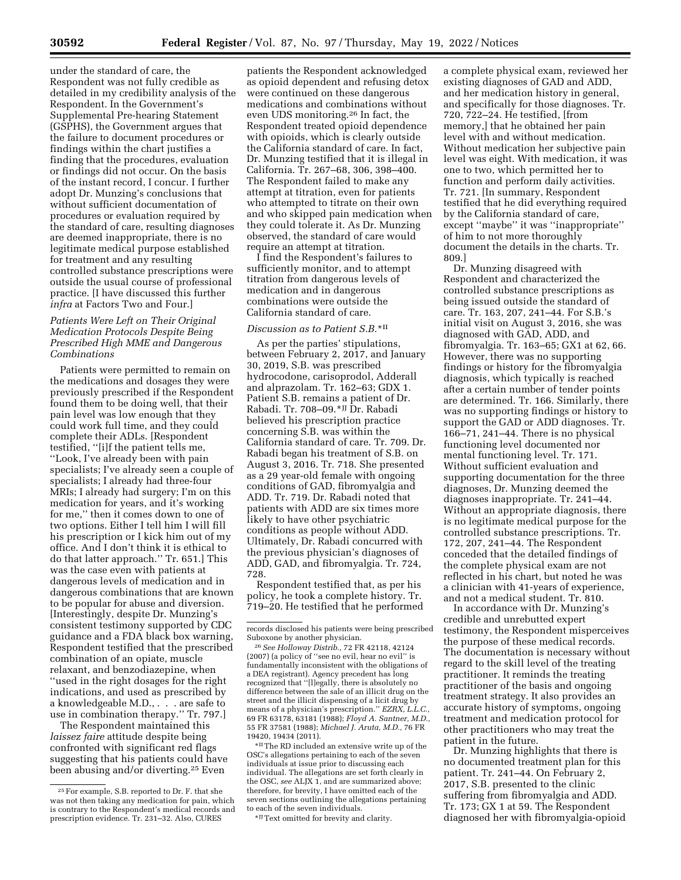under the standard of care, the Respondent was not fully credible as detailed in my credibility analysis of the Respondent. In the Government's Supplemental Pre-hearing Statement (GSPHS), the Government argues that the failure to document procedures or findings within the chart justifies a finding that the procedures, evaluation or findings did not occur. On the basis of the instant record, I concur. I further adopt Dr. Munzing's conclusions that without sufficient documentation of procedures or evaluation required by the standard of care, resulting diagnoses are deemed inappropriate, there is no legitimate medical purpose established for treatment and any resulting controlled substance prescriptions were outside the usual course of professional practice. [I have discussed this further *infra* at Factors Two and Four.]

# *Patients Were Left on Their Original Medication Protocols Despite Being Prescribed High MME and Dangerous Combinations*

Patients were permitted to remain on the medications and dosages they were previously prescribed if the Respondent found them to be doing well, that their pain level was low enough that they could work full time, and they could complete their ADLs. [Respondent testified, ''[i]f the patient tells me, ''Look, I've already been with pain specialists; I've already seen a couple of specialists; I already had three-four MRIs; I already had surgery; I'm on this medication for years, and it's working for me,'' then it comes down to one of two options. Either I tell him I will fill his prescription or I kick him out of my office. And I don't think it is ethical to do that latter approach.'' Tr. 651.] This was the case even with patients at dangerous levels of medication and in dangerous combinations that are known to be popular for abuse and diversion. [Interestingly, despite Dr. Munzing's consistent testimony supported by CDC guidance and a FDA black box warning, Respondent testified that the prescribed combination of an opiate, muscle relaxant, and benzodiazepine, when ''used in the right dosages for the right indications, and used as prescribed by a knowledgeable M.D., . . . are safe to use in combination therapy.'' Tr. 797.]

The Respondent maintained this *laissez faire* attitude despite being confronted with significant red flags suggesting that his patients could have been abusing and/or diverting.25 Even

patients the Respondent acknowledged as opioid dependent and refusing detox were continued on these dangerous medications and combinations without even UDS monitoring.26 In fact, the Respondent treated opioid dependence with opioids, which is clearly outside the California standard of care. In fact, Dr. Munzing testified that it is illegal in California. Tr. 267–68, 306, 398–400. The Respondent failed to make any attempt at titration, even for patients who attempted to titrate on their own and who skipped pain medication when they could tolerate it. As Dr. Munzing observed, the standard of care would require an attempt at titration.

I find the Respondent's failures to sufficiently monitor, and to attempt titration from dangerous levels of medication and in dangerous combinations were outside the California standard of care.

# *Discussion as to Patient S.B.*\*II

As per the parties' stipulations, between February 2, 2017, and January 30, 2019, S.B. was prescribed hydrocodone, carisoprodol, Adderall and alprazolam. Tr. 162–63; GDX 1. Patient S.B. remains a patient of Dr. Rabadi. Tr. 708–09.\*JJ Dr. Rabadi believed his prescription practice concerning S.B. was within the California standard of care. Tr. 709. Dr. Rabadi began his treatment of S.B. on August 3, 2016. Tr. 718. She presented as a 29 year-old female with ongoing conditions of GAD, fibromyalgia and ADD. Tr. 719. Dr. Rabadi noted that patients with ADD are six times more likely to have other psychiatric conditions as people without ADD. Ultimately, Dr. Rabadi concurred with the previous physician's diagnoses of ADD, GAD, and fibromyalgia. Tr. 724, 728.

Respondent testified that, as per his policy, he took a complete history. Tr. 719–20. He testified that he performed

26*See Holloway Distrib.,* 72 FR 42118, 42124 (2007) (a policy of ''see no evil, hear no evil'' is fundamentally inconsistent with the obligations of a DEA registrant). Agency precedent has long recognized that ''[l]egally, there is absolutely no difference between the sale of an illicit drug on the street and the illicit dispensing of a licit drug by means of a physician's prescription.'' *EZRX, L.L.C.,*  69 FR 63178, 63181 (1988); *Floyd A. Santner, M.D.,*  55 FR 37581 (1988); *Michael J. Aruta, M.D.,* 76 FR 19420, 19434 (2011).

\*IIThe RD included an extensive write up of the OSC's allegations pertaining to each of the seven individuals at issue prior to discussing each individual. The allegations are set forth clearly in the OSC, *see* ALJX 1, and are summarized above; therefore, for brevity, I have omitted each of the seven sections outlining the allegations pertaining to each of the seven individuals.

\*JJText omitted for brevity and clarity.

a complete physical exam, reviewed her existing diagnoses of GAD and ADD, and her medication history in general, and specifically for those diagnoses. Tr. 720, 722–24. He testified, [from memory,] that he obtained her pain level with and without medication. Without medication her subjective pain level was eight. With medication, it was one to two, which permitted her to function and perform daily activities. Tr. 721. [In summary, Respondent testified that he did everything required by the California standard of care, except ''maybe'' it was ''inappropriate'' of him to not more thoroughly document the details in the charts. Tr. 809.]

Dr. Munzing disagreed with Respondent and characterized the controlled substance prescriptions as being issued outside the standard of care. Tr. 163, 207, 241–44. For S.B.'s initial visit on August 3, 2016, she was diagnosed with GAD, ADD, and fibromyalgia. Tr. 163–65; GX1 at 62, 66. However, there was no supporting findings or history for the fibromyalgia diagnosis, which typically is reached after a certain number of tender points are determined. Tr. 166. Similarly, there was no supporting findings or history to support the GAD or ADD diagnoses. Tr. 166–71, 241–44. There is no physical functioning level documented nor mental functioning level. Tr. 171. Without sufficient evaluation and supporting documentation for the three diagnoses, Dr. Munzing deemed the diagnoses inappropriate. Tr. 241–44. Without an appropriate diagnosis, there is no legitimate medical purpose for the controlled substance prescriptions. Tr. 172, 207, 241–44. The Respondent conceded that the detailed findings of the complete physical exam are not reflected in his chart, but noted he was a clinician with 41-years of experience, and not a medical student. Tr. 810.

In accordance with Dr. Munzing's credible and unrebutted expert testimony, the Respondent misperceives the purpose of these medical records. The documentation is necessary without regard to the skill level of the treating practitioner. It reminds the treating practitioner of the basis and ongoing treatment strategy. It also provides an accurate history of symptoms, ongoing treatment and medication protocol for other practitioners who may treat the patient in the future.

Dr. Munzing highlights that there is no documented treatment plan for this patient. Tr. 241–44. On February 2, 2017, S.B. presented to the clinic suffering from fibromyalgia and ADD. Tr. 173; GX 1 at 59. The Respondent diagnosed her with fibromyalgia-opioid

<sup>25</sup>For example, S.B. reported to Dr. F. that she was not then taking any medication for pain, which is contrary to the Respondent's medical records and prescription evidence. Tr. 231–32. Also, CURES

records disclosed his patients were being prescribed Suboxone by another physician.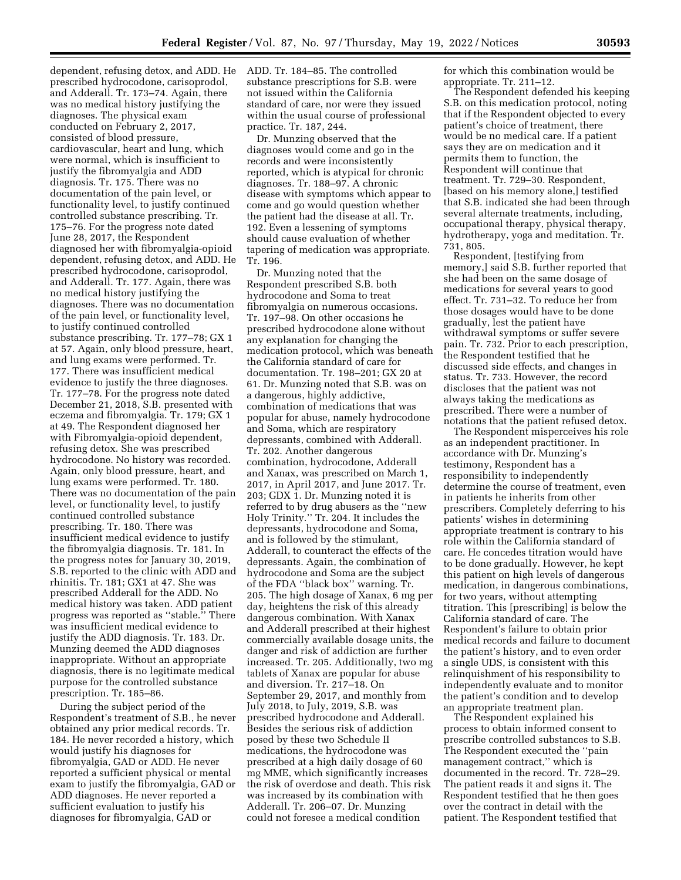dependent, refusing detox, and ADD. He prescribed hydrocodone, carisoprodol, and Adderall. Tr. 173–74. Again, there was no medical history justifying the diagnoses. The physical exam conducted on February 2, 2017, consisted of blood pressure, cardiovascular, heart and lung, which were normal, which is insufficient to justify the fibromyalgia and ADD diagnosis. Tr. 175. There was no documentation of the pain level, or functionality level, to justify continued controlled substance prescribing. Tr. 175–76. For the progress note dated June 28, 2017, the Respondent diagnosed her with fibromyalgia-opioid dependent, refusing detox, and ADD. He prescribed hydrocodone, carisoprodol, and Adderall. Tr. 177. Again, there was no medical history justifying the diagnoses. There was no documentation of the pain level, or functionality level, to justify continued controlled substance prescribing. Tr. 177–78; GX 1 at 57. Again, only blood pressure, heart, and lung exams were performed. Tr. 177. There was insufficient medical evidence to justify the three diagnoses. Tr. 177–78. For the progress note dated December 21, 2018, S.B. presented with eczema and fibromyalgia. Tr. 179; GX 1 at 49. The Respondent diagnosed her with Fibromyalgia-opioid dependent, refusing detox. She was prescribed hydrocodone. No history was recorded. Again, only blood pressure, heart, and lung exams were performed. Tr. 180. There was no documentation of the pain level, or functionality level, to justify continued controlled substance prescribing. Tr. 180. There was insufficient medical evidence to justify the fibromyalgia diagnosis. Tr. 181. In the progress notes for January 30, 2019, S.B. reported to the clinic with ADD and rhinitis. Tr. 181; GX1 at 47. She was prescribed Adderall for the ADD. No medical history was taken. ADD patient progress was reported as "stable." There was insufficient medical evidence to justify the ADD diagnosis. Tr. 183. Dr. Munzing deemed the ADD diagnoses inappropriate. Without an appropriate diagnosis, there is no legitimate medical purpose for the controlled substance prescription. Tr. 185–86.

During the subject period of the Respondent's treatment of S.B., he never obtained any prior medical records. Tr. 184. He never recorded a history, which would justify his diagnoses for fibromyalgia, GAD or ADD. He never reported a sufficient physical or mental exam to justify the fibromyalgia, GAD or ADD diagnoses. He never reported a sufficient evaluation to justify his diagnoses for fibromyalgia, GAD or

ADD. Tr. 184–85. The controlled substance prescriptions for S.B. were not issued within the California standard of care, nor were they issued within the usual course of professional practice. Tr. 187, 244.

Dr. Munzing observed that the diagnoses would come and go in the records and were inconsistently reported, which is atypical for chronic diagnoses. Tr. 188–97. A chronic disease with symptoms which appear to come and go would question whether the patient had the disease at all. Tr. 192. Even a lessening of symptoms should cause evaluation of whether tapering of medication was appropriate. Tr. 196.

Dr. Munzing noted that the Respondent prescribed S.B. both hydrocodone and Soma to treat fibromyalgia on numerous occasions. Tr. 197–98. On other occasions he prescribed hydrocodone alone without any explanation for changing the medication protocol, which was beneath the California standard of care for documentation. Tr. 198–201; GX 20 at 61. Dr. Munzing noted that S.B. was on a dangerous, highly addictive, combination of medications that was popular for abuse, namely hydrocodone and Soma, which are respiratory depressants, combined with Adderall. Tr. 202. Another dangerous combination, hydrocodone, Adderall and Xanax, was prescribed on March 1, 2017, in April 2017, and June 2017. Tr. 203; GDX 1. Dr. Munzing noted it is referred to by drug abusers as the ''new Holy Trinity.'' Tr. 204. It includes the depressants, hydrocodone and Soma, and is followed by the stimulant, Adderall, to counteract the effects of the depressants. Again, the combination of hydrocodone and Soma are the subject of the FDA ''black box'' warning. Tr. 205. The high dosage of Xanax, 6 mg per day, heightens the risk of this already dangerous combination. With Xanax and Adderall prescribed at their highest commercially available dosage units, the danger and risk of addiction are further increased. Tr. 205. Additionally, two mg tablets of Xanax are popular for abuse and diversion. Tr. 217–18. On September 29, 2017, and monthly from July 2018, to July, 2019, S.B. was prescribed hydrocodone and Adderall. Besides the serious risk of addiction posed by these two Schedule II medications, the hydrocodone was prescribed at a high daily dosage of 60 mg MME, which significantly increases the risk of overdose and death. This risk was increased by its combination with Adderall. Tr. 206–07. Dr. Munzing could not foresee a medical condition

for which this combination would be appropriate. Tr. 211–12.

The Respondent defended his keeping S.B. on this medication protocol, noting that if the Respondent objected to every patient's choice of treatment, there would be no medical care. If a patient says they are on medication and it permits them to function, the Respondent will continue that treatment. Tr. 729–30. Respondent, [based on his memory alone,] testified that S.B. indicated she had been through several alternate treatments, including, occupational therapy, physical therapy, hydrotherapy, yoga and meditation. Tr. 731, 805.

Respondent, [testifying from memory,] said S.B. further reported that she had been on the same dosage of medications for several years to good effect. Tr. 731–32. To reduce her from those dosages would have to be done gradually, lest the patient have withdrawal symptoms or suffer severe pain. Tr. 732. Prior to each prescription, the Respondent testified that he discussed side effects, and changes in status. Tr. 733. However, the record discloses that the patient was not always taking the medications as prescribed. There were a number of notations that the patient refused detox.

The Respondent misperceives his role as an independent practitioner. In accordance with Dr. Munzing's testimony, Respondent has a responsibility to independently determine the course of treatment, even in patients he inherits from other prescribers. Completely deferring to his patients' wishes in determining appropriate treatment is contrary to his role within the California standard of care. He concedes titration would have to be done gradually. However, he kept this patient on high levels of dangerous medication, in dangerous combinations, for two years, without attempting titration. This [prescribing] is below the California standard of care. The Respondent's failure to obtain prior medical records and failure to document the patient's history, and to even order a single UDS, is consistent with this relinquishment of his responsibility to independently evaluate and to monitor the patient's condition and to develop an appropriate treatment plan.

The Respondent explained his process to obtain informed consent to prescribe controlled substances to S.B. The Respondent executed the ''pain management contract,'' which is documented in the record. Tr. 728–29. The patient reads it and signs it. The Respondent testified that he then goes over the contract in detail with the patient. The Respondent testified that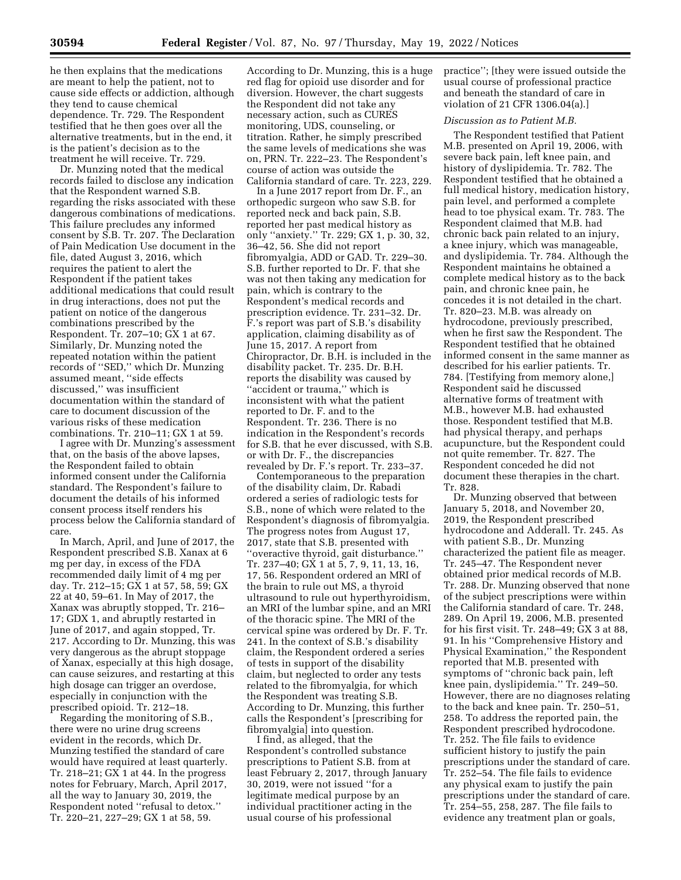he then explains that the medications are meant to help the patient, not to cause side effects or addiction, although they tend to cause chemical dependence. Tr. 729. The Respondent testified that he then goes over all the alternative treatments, but in the end, it is the patient's decision as to the treatment he will receive. Tr. 729.

Dr. Munzing noted that the medical records failed to disclose any indication that the Respondent warned S.B. regarding the risks associated with these dangerous combinations of medications. This failure precludes any informed consent by S.B. Tr. 207. The Declaration of Pain Medication Use document in the file, dated August 3, 2016, which requires the patient to alert the Respondent if the patient takes additional medications that could result in drug interactions, does not put the patient on notice of the dangerous combinations prescribed by the Respondent. Tr. 207–10; GX 1 at 67. Similarly, Dr. Munzing noted the repeated notation within the patient records of ''SED,'' which Dr. Munzing assumed meant, ''side effects discussed,'' was insufficient documentation within the standard of care to document discussion of the various risks of these medication combinations. Tr. 210–11; GX 1 at 59.

I agree with Dr. Munzing's assessment that, on the basis of the above lapses, the Respondent failed to obtain informed consent under the California standard. The Respondent's failure to document the details of his informed consent process itself renders his process below the California standard of care.

In March, April, and June of 2017, the Respondent prescribed S.B. Xanax at 6 mg per day, in excess of the FDA recommended daily limit of 4 mg per day. Tr. 212–15; GX 1 at 57, 58, 59; GX 22 at 40, 59–61. In May of 2017, the Xanax was abruptly stopped, Tr. 216– 17; GDX 1, and abruptly restarted in June of 2017, and again stopped, Tr. 217. According to Dr. Munzing, this was very dangerous as the abrupt stoppage of Xanax, especially at this high dosage, can cause seizures, and restarting at this high dosage can trigger an overdose, especially in conjunction with the prescribed opioid. Tr. 212–18.

Regarding the monitoring of S.B., there were no urine drug screens evident in the records, which Dr. Munzing testified the standard of care would have required at least quarterly. Tr. 218–21; GX 1 at 44. In the progress notes for February, March, April 2017, all the way to January 30, 2019, the Respondent noted ''refusal to detox.'' Tr. 220–21, 227–29; GX 1 at 58, 59.

According to Dr. Munzing, this is a huge red flag for opioid use disorder and for diversion. However, the chart suggests the Respondent did not take any necessary action, such as CURES monitoring, UDS, counseling, or titration. Rather, he simply prescribed the same levels of medications she was on, PRN. Tr. 222–23. The Respondent's course of action was outside the California standard of care. Tr. 223, 229.

In a June 2017 report from Dr. F., an orthopedic surgeon who saw S.B. for reported neck and back pain, S.B. reported her past medical history as only ''anxiety.'' Tr. 229; GX 1, p. 30, 32, 36–42, 56. She did not report fibromyalgia, ADD or GAD. Tr. 229–30. S.B. further reported to Dr. F. that she was not then taking any medication for pain, which is contrary to the Respondent's medical records and prescription evidence. Tr. 231–32. Dr. F.'s report was part of S.B.'s disability application, claiming disability as of June 15, 2017. A report from Chiropractor, Dr. B.H. is included in the disability packet. Tr. 235. Dr. B.H. reports the disability was caused by ''accident or trauma,'' which is inconsistent with what the patient reported to Dr. F. and to the Respondent. Tr. 236. There is no indication in the Respondent's records for S.B. that he ever discussed, with S.B. or with Dr. F., the discrepancies revealed by Dr. F.'s report. Tr. 233–37.

Contemporaneous to the preparation of the disability claim, Dr. Rabadi ordered a series of radiologic tests for S.B., none of which were related to the Respondent's diagnosis of fibromyalgia. The progress notes from August 17, 2017, state that S.B. presented with ''overactive thyroid, gait disturbance.'' Tr. 237–40; GX 1 at 5, 7, 9, 11, 13, 16, 17, 56. Respondent ordered an MRI of the brain to rule out MS, a thyroid ultrasound to rule out hyperthyroidism, an MRI of the lumbar spine, and an MRI of the thoracic spine. The MRI of the cervical spine was ordered by Dr. F. Tr. 241. In the context of S.B.'s disability claim, the Respondent ordered a series of tests in support of the disability claim, but neglected to order any tests related to the fibromyalgia, for which the Respondent was treating S.B. According to Dr. Munzing, this further calls the Respondent's [prescribing for fibromyalgia] into question.

I find, as alleged, that the Respondent's controlled substance prescriptions to Patient S.B. from at least February 2, 2017, through January 30, 2019, were not issued ''for a legitimate medical purpose by an individual practitioner acting in the usual course of his professional

practice''; [they were issued outside the usual course of professional practice and beneath the standard of care in violation of 21 CFR 1306.04(a).]

# *Discussion as to Patient M.B.*

The Respondent testified that Patient M.B. presented on April 19, 2006, with severe back pain, left knee pain, and history of dyslipidemia. Tr. 782. The Respondent testified that he obtained a full medical history, medication history, pain level, and performed a complete head to toe physical exam. Tr. 783. The Respondent claimed that M.B. had chronic back pain related to an injury, a knee injury, which was manageable, and dyslipidemia. Tr. 784. Although the Respondent maintains he obtained a complete medical history as to the back pain, and chronic knee pain, he concedes it is not detailed in the chart. Tr. 820–23. M.B. was already on hydrocodone, previously prescribed, when he first saw the Respondent. The Respondent testified that he obtained informed consent in the same manner as described for his earlier patients. Tr. 784. [Testifying from memory alone,] Respondent said he discussed alternative forms of treatment with M.B., however M.B. had exhausted those. Respondent testified that M.B. had physical therapy, and perhaps acupuncture, but the Respondent could not quite remember. Tr. 827. The Respondent conceded he did not document these therapies in the chart. Tr. 828.

Dr. Munzing observed that between January 5, 2018, and November 20, 2019, the Respondent prescribed hydrocodone and Adderall. Tr. 245. As with patient S.B., Dr. Munzing characterized the patient file as meager. Tr. 245–47. The Respondent never obtained prior medical records of M.B. Tr. 288. Dr. Munzing observed that none of the subject prescriptions were within the California standard of care. Tr. 248, 289. On April 19, 2006, M.B. presented for his first visit. Tr. 248–49; GX 3 at 88, 91. In his ''Comprehensive History and Physical Examination,'' the Respondent reported that M.B. presented with symptoms of ''chronic back pain, left knee pain, dyslipidemia.'' Tr. 249–50. However, there are no diagnoses relating to the back and knee pain. Tr. 250–51, 258. To address the reported pain, the Respondent prescribed hydrocodone. Tr. 252. The file fails to evidence sufficient history to justify the pain prescriptions under the standard of care. Tr. 252–54. The file fails to evidence any physical exam to justify the pain prescriptions under the standard of care. Tr. 254–55, 258, 287. The file fails to evidence any treatment plan or goals,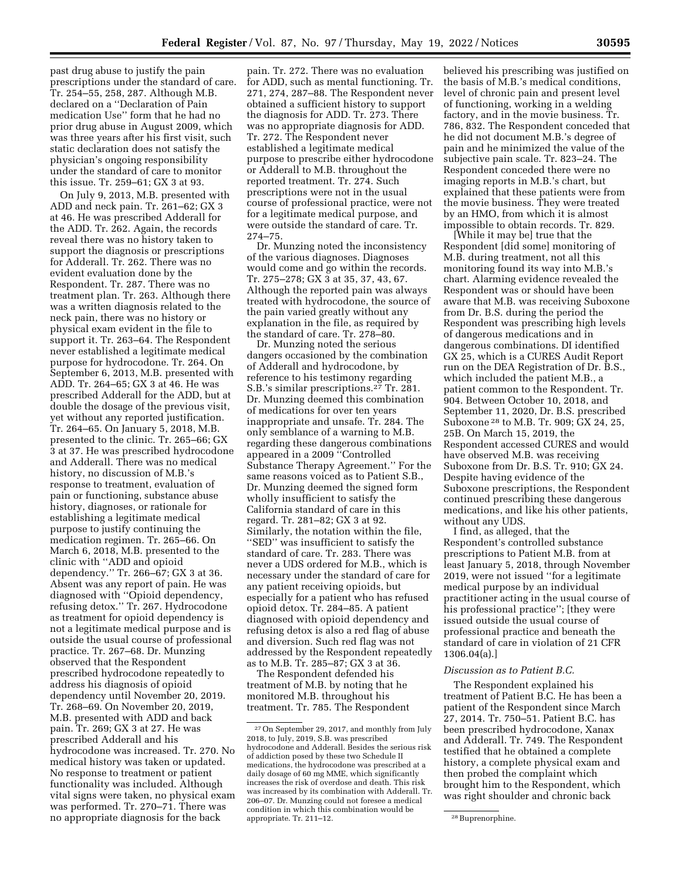past drug abuse to justify the pain prescriptions under the standard of care. Tr. 254–55, 258, 287. Although M.B. declared on a ''Declaration of Pain medication Use'' form that he had no prior drug abuse in August 2009, which was three years after his first visit, such static declaration does not satisfy the physician's ongoing responsibility under the standard of care to monitor this issue. Tr. 259–61; GX 3 at 93.

On July 9, 2013, M.B. presented with ADD and neck pain. Tr. 261–62; GX 3 at 46. He was prescribed Adderall for the ADD. Tr. 262. Again, the records reveal there was no history taken to support the diagnosis or prescriptions for Adderall. Tr. 262. There was no evident evaluation done by the Respondent. Tr. 287. There was no treatment plan. Tr. 263. Although there was a written diagnosis related to the neck pain, there was no history or physical exam evident in the file to support it. Tr. 263–64. The Respondent never established a legitimate medical purpose for hydrocodone. Tr. 264. On September 6, 2013, M.B. presented with ADD. Tr. 264–65; GX 3 at 46. He was prescribed Adderall for the ADD, but at double the dosage of the previous visit, yet without any reported justification. Tr. 264–65. On January 5, 2018, M.B. presented to the clinic. Tr. 265–66; GX 3 at 37. He was prescribed hydrocodone and Adderall. There was no medical history, no discussion of M.B.'s response to treatment, evaluation of pain or functioning, substance abuse history, diagnoses, or rationale for establishing a legitimate medical purpose to justify continuing the medication regimen. Tr. 265–66. On March 6, 2018, M.B. presented to the clinic with ''ADD and opioid dependency.'' Tr. 266–67; GX 3 at 36. Absent was any report of pain. He was diagnosed with ''Opioid dependency, refusing detox.'' Tr. 267. Hydrocodone as treatment for opioid dependency is not a legitimate medical purpose and is outside the usual course of professional practice. Tr. 267–68. Dr. Munzing observed that the Respondent prescribed hydrocodone repeatedly to address his diagnosis of opioid dependency until November 20, 2019. Tr. 268–69. On November 20, 2019, M.B. presented with ADD and back pain. Tr. 269; GX 3 at 27. He was prescribed Adderall and his hydrocodone was increased. Tr. 270. No medical history was taken or updated. No response to treatment or patient functionality was included. Although vital signs were taken, no physical exam was performed. Tr. 270–71. There was no appropriate diagnosis for the back

pain. Tr. 272. There was no evaluation for ADD, such as mental functioning. Tr. 271, 274, 287–88. The Respondent never obtained a sufficient history to support the diagnosis for ADD. Tr. 273. There was no appropriate diagnosis for ADD. Tr. 272. The Respondent never established a legitimate medical purpose to prescribe either hydrocodone or Adderall to M.B. throughout the reported treatment. Tr. 274. Such prescriptions were not in the usual course of professional practice, were not for a legitimate medical purpose, and were outside the standard of care. Tr. 274–75.

Dr. Munzing noted the inconsistency of the various diagnoses. Diagnoses would come and go within the records. Tr. 275–278; GX 3 at 35, 37, 43, 67. Although the reported pain was always treated with hydrocodone, the source of the pain varied greatly without any explanation in the file, as required by the standard of care. Tr. 278–80.

Dr. Munzing noted the serious dangers occasioned by the combination of Adderall and hydrocodone, by reference to his testimony regarding S.B.'s similar prescriptions.27 Tr. 281. Dr. Munzing deemed this combination of medications for over ten years inappropriate and unsafe. Tr. 284. The only semblance of a warning to M.B. regarding these dangerous combinations appeared in a 2009 ''Controlled Substance Therapy Agreement.'' For the same reasons voiced as to Patient S.B., Dr. Munzing deemed the signed form wholly insufficient to satisfy the California standard of care in this regard. Tr. 281–82; GX 3 at 92. Similarly, the notation within the file, ''SED'' was insufficient to satisfy the standard of care. Tr. 283. There was never a UDS ordered for M.B., which is necessary under the standard of care for any patient receiving opioids, but especially for a patient who has refused opioid detox. Tr. 284–85. A patient diagnosed with opioid dependency and refusing detox is also a red flag of abuse and diversion. Such red flag was not addressed by the Respondent repeatedly as to M.B. Tr. 285–87; GX 3 at 36.

The Respondent defended his treatment of M.B. by noting that he monitored M.B. throughout his treatment. Tr. 785. The Respondent

believed his prescribing was justified on the basis of M.B.'s medical conditions, level of chronic pain and present level of functioning, working in a welding factory, and in the movie business. Tr. 786, 832. The Respondent conceded that he did not document M.B.'s degree of pain and he minimized the value of the subjective pain scale. Tr. 823–24. The Respondent conceded there were no imaging reports in M.B.'s chart, but explained that these patients were from the movie business. They were treated by an HMO, from which it is almost impossible to obtain records. Tr. 829.

[While it may be] true that the Respondent [did some] monitoring of M.B. during treatment, not all this monitoring found its way into M.B.'s chart. Alarming evidence revealed the Respondent was or should have been aware that M.B. was receiving Suboxone from Dr. B.S. during the period the Respondent was prescribing high levels of dangerous medications and in dangerous combinations. DI identified GX 25, which is a CURES Audit Report run on the DEA Registration of Dr. B.S., which included the patient M.B., a patient common to the Respondent. Tr. 904. Between October 10, 2018, and September 11, 2020, Dr. B.S. prescribed Suboxone 28 to M.B. Tr. 909; GX 24, 25, 25B. On March 15, 2019, the Respondent accessed CURES and would have observed M.B. was receiving Suboxone from Dr. B.S. Tr. 910; GX 24. Despite having evidence of the Suboxone prescriptions, the Respondent continued prescribing these dangerous medications, and like his other patients, without any UDS

I find, as alleged, that the Respondent's controlled substance prescriptions to Patient M.B. from at least January 5, 2018, through November 2019, were not issued ''for a legitimate medical purpose by an individual practitioner acting in the usual course of his professional practice''; [they were issued outside the usual course of professional practice and beneath the standard of care in violation of 21 CFR 1306.04(a).]

## *Discussion as to Patient B.C.*

The Respondent explained his treatment of Patient B.C. He has been a patient of the Respondent since March 27, 2014. Tr. 750–51. Patient B.C. has been prescribed hydrocodone, Xanax and Adderall. Tr. 749. The Respondent testified that he obtained a complete history, a complete physical exam and then probed the complaint which brought him to the Respondent, which was right shoulder and chronic back

<sup>27</sup>On September 29, 2017, and monthly from July 2018, to July, 2019, S.B. was prescribed hydrocodone and Adderall. Besides the serious risk of addiction posed by these two Schedule II medications, the hydrocodone was prescribed at a daily dosage of 60 mg MME, which significantly increases the risk of overdose and death. This risk was increased by its combination with Adderall. Tr. 206–07. Dr. Munzing could not foresee a medical condition in which this combination would be appropriate. Tr. 211–12. 28 Buprenorphine.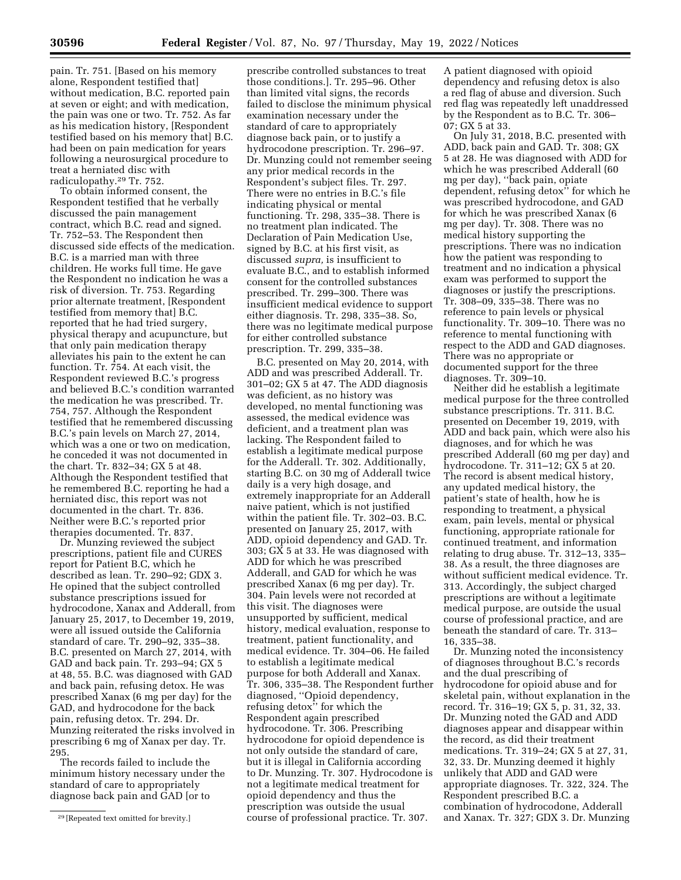pain. Tr. 751. [Based on his memory alone, Respondent testified that] without medication, B.C. reported pain at seven or eight; and with medication, the pain was one or two. Tr. 752. As far as his medication history, [Respondent testified based on his memory that] B.C. had been on pain medication for years following a neurosurgical procedure to treat a herniated disc with radiculopathy.29 Tr. 752.

To obtain informed consent, the Respondent testified that he verbally discussed the pain management contract, which B.C. read and signed. Tr. 752–53. The Respondent then discussed side effects of the medication. B.C. is a married man with three children. He works full time. He gave the Respondent no indication he was a risk of diversion. Tr. 753. Regarding prior alternate treatment, [Respondent testified from memory that] B.C. reported that he had tried surgery, physical therapy and acupuncture, but that only pain medication therapy alleviates his pain to the extent he can function. Tr. 754. At each visit, the Respondent reviewed B.C.'s progress and believed B.C.'s condition warranted the medication he was prescribed. Tr. 754, 757. Although the Respondent testified that he remembered discussing B.C.'s pain levels on March 27, 2014, which was a one or two on medication, he conceded it was not documented in the chart. Tr. 832–34; GX 5 at 48. Although the Respondent testified that he remembered B.C. reporting he had a herniated disc, this report was not documented in the chart. Tr. 836. Neither were B.C.'s reported prior therapies documented. Tr. 837.

Dr. Munzing reviewed the subject prescriptions, patient file and CURES report for Patient B.C, which he described as lean. Tr. 290–92; GDX 3. He opined that the subject controlled substance prescriptions issued for hydrocodone, Xanax and Adderall, from January 25, 2017, to December 19, 2019, were all issued outside the California standard of care. Tr. 290–92, 335–38. B.C. presented on March 27, 2014, with GAD and back pain. Tr. 293–94; GX 5 at 48, 55. B.C. was diagnosed with GAD and back pain, refusing detox. He was prescribed Xanax (6 mg per day) for the GAD, and hydrocodone for the back pain, refusing detox. Tr. 294. Dr. Munzing reiterated the risks involved in prescribing 6 mg of Xanax per day. Tr. 295.

The records failed to include the minimum history necessary under the standard of care to appropriately diagnose back pain and GAD [or to

prescribe controlled substances to treat those conditions.]. Tr. 295–96. Other than limited vital signs, the records failed to disclose the minimum physical examination necessary under the standard of care to appropriately diagnose back pain, or to justify a hydrocodone prescription. Tr. 296–97. Dr. Munzing could not remember seeing any prior medical records in the Respondent's subject files. Tr. 297. There were no entries in B.C.'s file indicating physical or mental functioning. Tr. 298, 335–38. There is no treatment plan indicated. The Declaration of Pain Medication Use, signed by B.C. at his first visit, as discussed *supra,* is insufficient to evaluate B.C., and to establish informed consent for the controlled substances prescribed. Tr. 299–300. There was insufficient medical evidence to support either diagnosis. Tr. 298, 335–38. So, there was no legitimate medical purpose for either controlled substance prescription. Tr. 299, 335–38.

B.C. presented on May 20, 2014, with ADD and was prescribed Adderall. Tr. 301–02; GX 5 at 47. The ADD diagnosis was deficient, as no history was developed, no mental functioning was assessed, the medical evidence was deficient, and a treatment plan was lacking. The Respondent failed to establish a legitimate medical purpose for the Adderall. Tr. 302. Additionally, starting B.C. on 30 mg of Adderall twice daily is a very high dosage, and extremely inappropriate for an Adderall naive patient, which is not justified within the patient file. Tr. 302–03. B.C. presented on January 25, 2017, with ADD, opioid dependency and GAD. Tr. 303; GX 5 at 33. He was diagnosed with ADD for which he was prescribed Adderall, and GAD for which he was prescribed Xanax (6 mg per day). Tr. 304. Pain levels were not recorded at this visit. The diagnoses were unsupported by sufficient, medical history, medical evaluation, response to treatment, patient functionality, and medical evidence. Tr. 304–06. He failed to establish a legitimate medical purpose for both Adderall and Xanax. Tr. 306, 335–38. The Respondent further diagnosed, ''Opioid dependency, refusing detox'' for which the Respondent again prescribed hydrocodone. Tr. 306. Prescribing hydrocodone for opioid dependence is not only outside the standard of care, but it is illegal in California according to Dr. Munzing. Tr. 307. Hydrocodone is not a legitimate medical treatment for opioid dependency and thus the prescription was outside the usual course of professional practice. Tr. 307.

A patient diagnosed with opioid dependency and refusing detox is also a red flag of abuse and diversion. Such red flag was repeatedly left unaddressed by the Respondent as to B.C. Tr. 306– 07; GX 5 at 33.

On July 31, 2018, B.C. presented with ADD, back pain and GAD. Tr. 308; GX 5 at 28. He was diagnosed with ADD for which he was prescribed Adderall (60 mg per day), ''back pain, opiate dependent, refusing detox'' for which he was prescribed hydrocodone, and GAD for which he was prescribed Xanax (6 mg per day). Tr. 308. There was no medical history supporting the prescriptions. There was no indication how the patient was responding to treatment and no indication a physical exam was performed to support the diagnoses or justify the prescriptions. Tr. 308–09, 335–38. There was no reference to pain levels or physical functionality. Tr. 309–10. There was no reference to mental functioning with respect to the ADD and GAD diagnoses. There was no appropriate or documented support for the three diagnoses. Tr. 309–10.

Neither did he establish a legitimate medical purpose for the three controlled substance prescriptions. Tr. 311. B.C. presented on December 19, 2019, with ADD and back pain, which were also his diagnoses, and for which he was prescribed Adderall (60 mg per day) and hydrocodone. Tr. 311–12; GX 5 at 20. The record is absent medical history, any updated medical history, the patient's state of health, how he is responding to treatment, a physical exam, pain levels, mental or physical functioning, appropriate rationale for continued treatment, and information relating to drug abuse. Tr. 312–13, 335– 38. As a result, the three diagnoses are without sufficient medical evidence. Tr. 313. Accordingly, the subject charged prescriptions are without a legitimate medical purpose, are outside the usual course of professional practice, and are beneath the standard of care. Tr. 313– 16, 335–38.

Dr. Munzing noted the inconsistency of diagnoses throughout B.C.'s records and the dual prescribing of hydrocodone for opioid abuse and for skeletal pain, without explanation in the record. Tr. 316–19; GX 5, p. 31, 32, 33. Dr. Munzing noted the GAD and ADD diagnoses appear and disappear within the record, as did their treatment medications. Tr. 319–24; GX 5 at 27, 31, 32, 33. Dr. Munzing deemed it highly unlikely that ADD and GAD were appropriate diagnoses. Tr. 322, 324. The Respondent prescribed B.C. a combination of hydrocodone, Adderall and Xanax. Tr. 327; GDX 3. Dr. Munzing

<sup>29</sup> [Repeated text omitted for brevity.]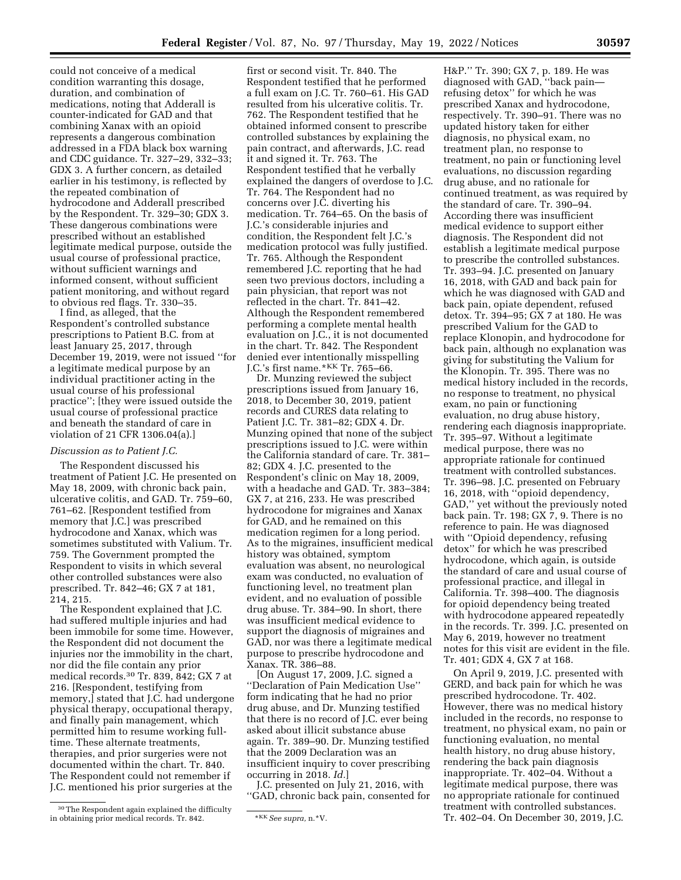could not conceive of a medical condition warranting this dosage, duration, and combination of medications, noting that Adderall is counter-indicated for GAD and that combining Xanax with an opioid represents a dangerous combination addressed in a FDA black box warning and CDC guidance. Tr. 327–29, 332–33; GDX 3. A further concern, as detailed earlier in his testimony, is reflected by the repeated combination of hydrocodone and Adderall prescribed by the Respondent. Tr. 329–30; GDX 3. These dangerous combinations were prescribed without an established legitimate medical purpose, outside the usual course of professional practice, without sufficient warnings and informed consent, without sufficient patient monitoring, and without regard to obvious red flags. Tr. 330–35.

I find, as alleged, that the Respondent's controlled substance prescriptions to Patient B.C. from at least January 25, 2017, through December 19, 2019, were not issued ''for a legitimate medical purpose by an individual practitioner acting in the usual course of his professional practice''; [they were issued outside the usual course of professional practice and beneath the standard of care in violation of 21 CFR 1306.04(a).]

### *Discussion as to Patient J.C.*

The Respondent discussed his treatment of Patient J.C. He presented on May 18, 2009, with chronic back pain, ulcerative colitis, and GAD. Tr. 759–60, 761–62. [Respondent testified from memory that J.C.] was prescribed hydrocodone and Xanax, which was sometimes substituted with Valium. Tr. 759. The Government prompted the Respondent to visits in which several other controlled substances were also prescribed. Tr. 842–46; GX 7 at 181, 214, 215.

The Respondent explained that J.C. had suffered multiple injuries and had been immobile for some time. However, the Respondent did not document the injuries nor the immobility in the chart, nor did the file contain any prior medical records.30 Tr. 839, 842; GX 7 at 216. [Respondent, testifying from memory,] stated that J.C. had undergone physical therapy, occupational therapy, and finally pain management, which permitted him to resume working fulltime. These alternate treatments, therapies, and prior surgeries were not documented within the chart. Tr. 840. The Respondent could not remember if J.C. mentioned his prior surgeries at the

first or second visit. Tr. 840. The Respondent testified that he performed a full exam on J.C. Tr. 760–61. His GAD resulted from his ulcerative colitis. Tr. 762. The Respondent testified that he obtained informed consent to prescribe controlled substances by explaining the pain contract, and afterwards, J.C. read it and signed it. Tr. 763. The Respondent testified that he verbally explained the dangers of overdose to J.C. Tr. 764. The Respondent had no concerns over J.C. diverting his medication. Tr. 764–65. On the basis of J.C.'s considerable injuries and condition, the Respondent felt J.C.'s medication protocol was fully justified. Tr. 765. Although the Respondent remembered J.C. reporting that he had seen two previous doctors, including a pain physician, that report was not reflected in the chart. Tr. 841–42. Although the Respondent remembered performing a complete mental health evaluation on J.C., it is not documented in the chart. Tr. 842. The Respondent denied ever intentionally misspelling J.C.'s first name.\*KK Tr. 765–66.

Dr. Munzing reviewed the subject prescriptions issued from January 16, 2018, to December 30, 2019, patient records and CURES data relating to Patient J.C. Tr. 381–82; GDX 4. Dr. Munzing opined that none of the subject prescriptions issued to J.C. were within the California standard of care. Tr. 381– 82; GDX 4. J.C. presented to the Respondent's clinic on May 18, 2009, with a headache and GAD. Tr. 383–384; GX 7, at 216, 233. He was prescribed hydrocodone for migraines and Xanax for GAD, and he remained on this medication regimen for a long period. As to the migraines, insufficient medical history was obtained, symptom evaluation was absent, no neurological exam was conducted, no evaluation of functioning level, no treatment plan evident, and no evaluation of possible drug abuse. Tr. 384–90. In short, there was insufficient medical evidence to support the diagnosis of migraines and GAD, nor was there a legitimate medical purpose to prescribe hydrocodone and Xanax. TR. 386–88.

[On August 17, 2009, J.C. signed a ''Declaration of Pain Medication Use'' form indicating that he had no prior drug abuse, and Dr. Munzing testified that there is no record of J.C. ever being asked about illicit substance abuse again. Tr. 389–90. Dr. Munzing testified that the 2009 Declaration was an insufficient inquiry to cover prescribing occurring in 2018. *Id.*]

J.C. presented on July 21, 2016, with ''GAD, chronic back pain, consented for H&P.'' Tr. 390; GX 7, p. 189. He was diagnosed with GAD, ''back pain refusing detox'' for which he was prescribed Xanax and hydrocodone, respectively. Tr. 390–91. There was no updated history taken for either diagnosis, no physical exam, no treatment plan, no response to treatment, no pain or functioning level evaluations, no discussion regarding drug abuse, and no rationale for continued treatment, as was required by the standard of care. Tr. 390–94. According there was insufficient medical evidence to support either diagnosis. The Respondent did not establish a legitimate medical purpose to prescribe the controlled substances. Tr. 393–94. J.C. presented on January 16, 2018, with GAD and back pain for which he was diagnosed with GAD and back pain, opiate dependent, refused detox. Tr. 394–95; GX 7 at 180. He was prescribed Valium for the GAD to replace Klonopin, and hydrocodone for back pain, although no explanation was giving for substituting the Valium for the Klonopin. Tr. 395. There was no medical history included in the records, no response to treatment, no physical exam, no pain or functioning evaluation, no drug abuse history, rendering each diagnosis inappropriate. Tr. 395–97. Without a legitimate medical purpose, there was no appropriate rationale for continued treatment with controlled substances. Tr. 396–98. J.C. presented on February 16, 2018, with ''opioid dependency, GAD,'' yet without the previously noted back pain. Tr. 198; GX 7, 9. There is no reference to pain. He was diagnosed with ''Opioid dependency, refusing detox'' for which he was prescribed hydrocodone, which again, is outside the standard of care and usual course of professional practice, and illegal in California. Tr. 398–400. The diagnosis for opioid dependency being treated with hydrocodone appeared repeatedly in the records. Tr. 399. J.C. presented on May 6, 2019, however no treatment notes for this visit are evident in the file. Tr. 401; GDX 4, GX 7 at 168.

On April 9, 2019, J.C. presented with GERD, and back pain for which he was prescribed hydrocodone. Tr. 402. However, there was no medical history included in the records, no response to treatment, no physical exam, no pain or functioning evaluation, no mental health history, no drug abuse history, rendering the back pain diagnosis inappropriate. Tr. 402–04. Without a legitimate medical purpose, there was no appropriate rationale for continued treatment with controlled substances. Tr. 402–04. On December 30, 2019, J.C.

<sup>30</sup>The Respondent again explained the difficulty in obtaining prior medical records. Tr. 842. \*\*\* See supra, n.\*V.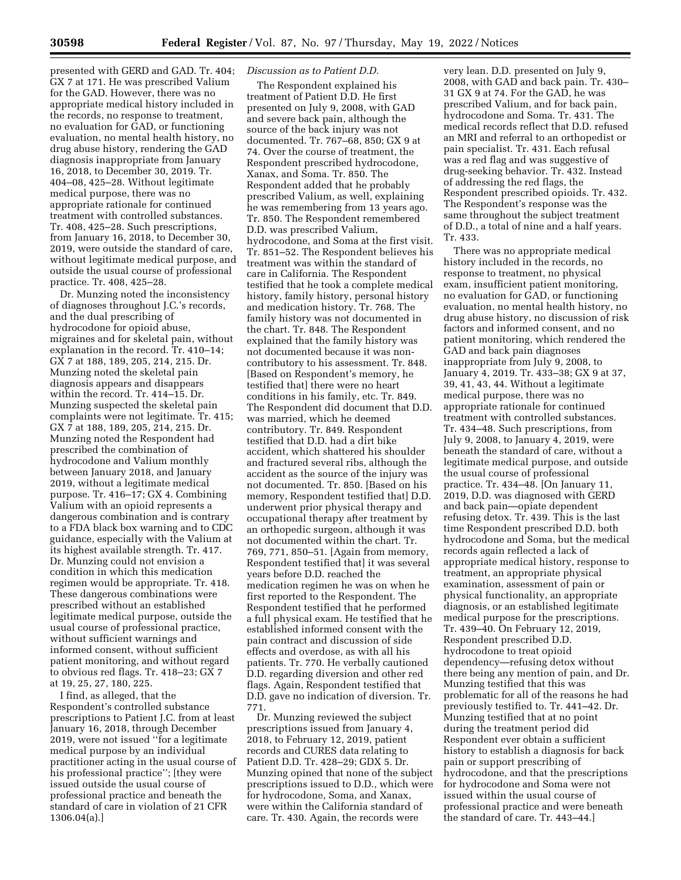presented with GERD and GAD. Tr. 404; GX 7 at 171. He was prescribed Valium for the GAD. However, there was no appropriate medical history included in the records, no response to treatment, no evaluation for GAD, or functioning evaluation, no mental health history, no drug abuse history, rendering the GAD diagnosis inappropriate from January 16, 2018, to December 30, 2019. Tr. 404–08, 425–28. Without legitimate medical purpose, there was no appropriate rationale for continued treatment with controlled substances. Tr. 408, 425–28. Such prescriptions, from January 16, 2018, to December 30, 2019, were outside the standard of care, without legitimate medical purpose, and outside the usual course of professional practice. Tr. 408, 425–28.

Dr. Munzing noted the inconsistency of diagnoses throughout J.C.'s records, and the dual prescribing of hydrocodone for opioid abuse, migraines and for skeletal pain, without explanation in the record. Tr. 410–14; GX 7 at 188, 189, 205, 214, 215. Dr. Munzing noted the skeletal pain diagnosis appears and disappears within the record. Tr. 414–15. Dr. Munzing suspected the skeletal pain complaints were not legitimate. Tr. 415; GX 7 at 188, 189, 205, 214, 215. Dr. Munzing noted the Respondent had prescribed the combination of hydrocodone and Valium monthly between January 2018, and January 2019, without a legitimate medical purpose. Tr. 416–17; GX 4. Combining Valium with an opioid represents a dangerous combination and is contrary to a FDA black box warning and to CDC guidance, especially with the Valium at its highest available strength. Tr. 417. Dr. Munzing could not envision a condition in which this medication regimen would be appropriate. Tr. 418. These dangerous combinations were prescribed without an established legitimate medical purpose, outside the usual course of professional practice, without sufficient warnings and informed consent, without sufficient patient monitoring, and without regard to obvious red flags. Tr. 418–23; GX 7 at 19, 25, 27, 180, 225.

I find, as alleged, that the Respondent's controlled substance prescriptions to Patient J.C. from at least January 16, 2018, through December 2019, were not issued ''for a legitimate medical purpose by an individual practitioner acting in the usual course of his professional practice''; [they were issued outside the usual course of professional practice and beneath the standard of care in violation of 21 CFR 1306.04(a).]

# *Discussion as to Patient D.D.*

The Respondent explained his treatment of Patient D.D. He first presented on July 9, 2008, with GAD and severe back pain, although the source of the back injury was not documented. Tr. 767–68, 850; GX 9 at 74. Over the course of treatment, the Respondent prescribed hydrocodone, Xanax, and Soma. Tr. 850. The Respondent added that he probably prescribed Valium, as well, explaining he was remembering from 13 years ago. Tr. 850. The Respondent remembered D.D. was prescribed Valium, hydrocodone, and Soma at the first visit. Tr. 851–52. The Respondent believes his treatment was within the standard of care in California. The Respondent testified that he took a complete medical history, family history, personal history and medication history. Tr. 768. The family history was not documented in the chart. Tr. 848. The Respondent explained that the family history was not documented because it was noncontributory to his assessment. Tr. 848. [Based on Respondent's memory, he testified that] there were no heart conditions in his family, etc. Tr. 849. The Respondent did document that D.D. was married, which he deemed contributory. Tr. 849. Respondent testified that D.D. had a dirt bike accident, which shattered his shoulder and fractured several ribs, although the accident as the source of the injury was not documented. Tr. 850. [Based on his memory, Respondent testified that] D.D. underwent prior physical therapy and occupational therapy after treatment by an orthopedic surgeon, although it was not documented within the chart. Tr. 769, 771, 850–51. [Again from memory, Respondent testified that] it was several years before D.D. reached the medication regimen he was on when he first reported to the Respondent. The Respondent testified that he performed a full physical exam. He testified that he established informed consent with the pain contract and discussion of side effects and overdose, as with all his patients. Tr. 770. He verbally cautioned D.D. regarding diversion and other red flags. Again, Respondent testified that D.D. gave no indication of diversion. Tr. 771.

Dr. Munzing reviewed the subject prescriptions issued from January 4, 2018, to February 12, 2019, patient records and CURES data relating to Patient D.D. Tr. 428–29; GDX 5. Dr. Munzing opined that none of the subject prescriptions issued to D.D., which were for hydrocodone, Soma, and Xanax, were within the California standard of care. Tr. 430. Again, the records were

very lean. D.D. presented on July 9, 2008, with GAD and back pain. Tr. 430– 31 GX 9 at 74. For the GAD, he was prescribed Valium, and for back pain, hydrocodone and Soma. Tr. 431. The medical records reflect that D.D. refused an MRI and referral to an orthopedist or pain specialist. Tr. 431. Each refusal was a red flag and was suggestive of drug-seeking behavior. Tr. 432. Instead of addressing the red flags, the Respondent prescribed opioids. Tr. 432. The Respondent's response was the same throughout the subject treatment of D.D., a total of nine and a half years. Tr. 433.

There was no appropriate medical history included in the records, no response to treatment, no physical exam, insufficient patient monitoring, no evaluation for GAD, or functioning evaluation, no mental health history, no drug abuse history, no discussion of risk factors and informed consent, and no patient monitoring, which rendered the GAD and back pain diagnoses inappropriate from July 9, 2008, to January 4, 2019. Tr. 433–38; GX 9 at 37, 39, 41, 43, 44. Without a legitimate medical purpose, there was no appropriate rationale for continued treatment with controlled substances. Tr. 434–48. Such prescriptions, from July 9, 2008, to January 4, 2019, were beneath the standard of care, without a legitimate medical purpose, and outside the usual course of professional practice. Tr. 434–48. [On January 11, 2019, D.D. was diagnosed with GERD and back pain—opiate dependent refusing detox. Tr. 439. This is the last time Respondent prescribed D.D. both hydrocodone and Soma, but the medical records again reflected a lack of appropriate medical history, response to treatment, an appropriate physical examination, assessment of pain or physical functionality, an appropriate diagnosis, or an established legitimate medical purpose for the prescriptions. Tr. 439–40. On February 12, 2019, Respondent prescribed D.D. hydrocodone to treat opioid dependency—refusing detox without there being any mention of pain, and Dr. Munzing testified that this was problematic for all of the reasons he had previously testified to. Tr. 441–42. Dr. Munzing testified that at no point during the treatment period did Respondent ever obtain a sufficient history to establish a diagnosis for back pain or support prescribing of hydrocodone, and that the prescriptions for hydrocodone and Soma were not issued within the usual course of professional practice and were beneath the standard of care. Tr. 443–44.]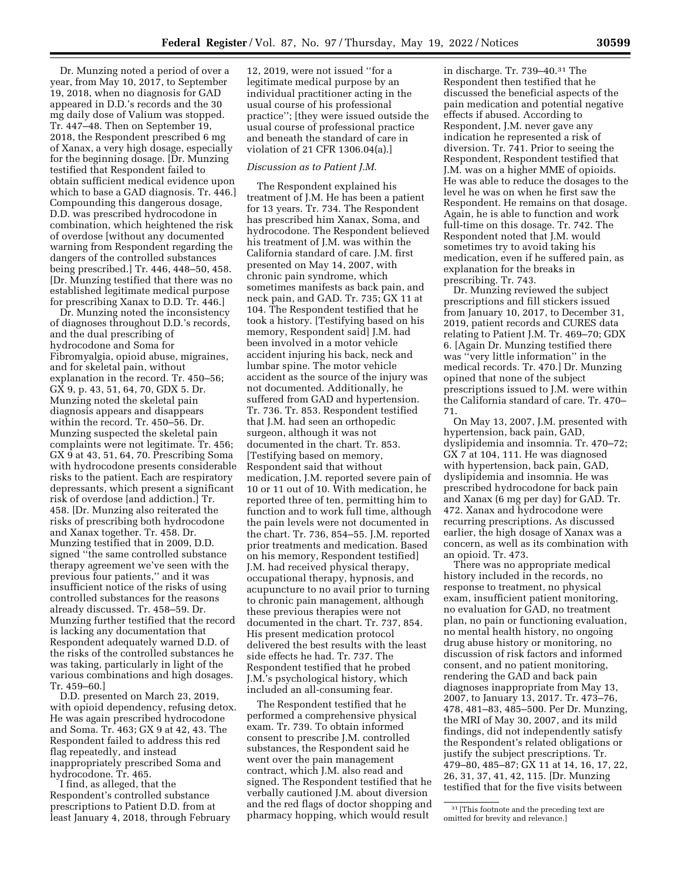Dr. Munzing noted a period of over a year, from May 10, 2017, to September 19, 2018, when no diagnosis for GAD appeared in D.D.'s records and the 30 mg daily dose of Valium was stopped. Tr. 447–48. Then on September 19, 2018, the Respondent prescribed 6 mg of Xanax, a very high dosage, especially for the beginning dosage. [Dr. Munzing testified that Respondent failed to obtain sufficient medical evidence upon which to base a GAD diagnosis. Tr. 446.] Compounding this dangerous dosage, D.D. was prescribed hydrocodone in combination, which heightened the risk of overdose [without any documented warning from Respondent regarding the dangers of the controlled substances being prescribed.] Tr. 446, 448–50, 458. [Dr. Munzing testified that there was no established legitimate medical purpose for prescribing Xanax to D.D. Tr. 446.]

Dr. Munzing noted the inconsistency of diagnoses throughout D.D.'s records, and the dual prescribing of hydrocodone and Soma for Fibromyalgia, opioid abuse, migraines, and for skeletal pain, without explanation in the record. Tr. 450–56; GX 9, p. 43, 51, 64, 70, GDX 5. Dr. Munzing noted the skeletal pain diagnosis appears and disappears within the record. Tr. 450–56. Dr. Munzing suspected the skeletal pain complaints were not legitimate. Tr. 456; GX 9 at 43, 51, 64, 70. Prescribing Soma with hydrocodone presents considerable risks to the patient. Each are respiratory depressants, which present a significant risk of overdose [and addiction.] Tr. 458. [Dr. Munzing also reiterated the risks of prescribing both hydrocodone and Xanax together. Tr. 458. Dr. Munzing testified that in 2009, D.D. signed ''the same controlled substance therapy agreement we've seen with the previous four patients,'' and it was insufficient notice of the risks of using controlled substances for the reasons already discussed. Tr. 458–59. Dr. Munzing further testified that the record is lacking any documentation that Respondent adequately warned D.D. of the risks of the controlled substances he was taking, particularly in light of the various combinations and high dosages. Tr. 459–60.]

D.D. presented on March 23, 2019, with opioid dependency, refusing detox. He was again prescribed hydrocodone and Soma. Tr. 463; GX 9 at 42, 43. The Respondent failed to address this red flag repeatedly, and instead inappropriately prescribed Soma and hydrocodone. Tr. 465.

I find, as alleged, that the Respondent's controlled substance prescriptions to Patient D.D. from at least January 4, 2018, through February

12, 2019, were not issued ''for a legitimate medical purpose by an individual practitioner acting in the usual course of his professional practice''; [they were issued outside the usual course of professional practice and beneath the standard of care in violation of 21 CFR 1306.04(a).]

# *Discussion as to Patient J.M.*

The Respondent explained his treatment of J.M. He has been a patient for 13 years. Tr. 734. The Respondent has prescribed him Xanax, Soma, and hydrocodone. The Respondent believed his treatment of J.M. was within the California standard of care. J.M. first presented on May 14, 2007, with chronic pain syndrome, which sometimes manifests as back pain, and neck pain, and GAD. Tr. 735; GX 11 at 104. The Respondent testified that he took a history. [Testifying based on his memory, Respondent said] J.M. had been involved in a motor vehicle accident injuring his back, neck and lumbar spine. The motor vehicle accident as the source of the injury was not documented. Additionally, he suffered from GAD and hypertension. Tr. 736. Tr. 853. Respondent testified that J.M. had seen an orthopedic surgeon, although it was not documented in the chart. Tr. 853. [Testifying based on memory, Respondent said that without medication, J.M. reported severe pain of 10 or 11 out of 10. With medication, he reported three of ten, permitting him to function and to work full time, although the pain levels were not documented in the chart. Tr. 736, 854–55. J.M. reported prior treatments and medication. Based on his memory, Respondent testified] J.M. had received physical therapy, occupational therapy, hypnosis, and acupuncture to no avail prior to turning to chronic pain management, although these previous therapies were not documented in the chart. Tr. 737, 854. His present medication protocol delivered the best results with the least side effects he had. Tr. 737. The Respondent testified that he probed J.M.'s psychological history, which included an all-consuming fear.

The Respondent testified that he performed a comprehensive physical exam. Tr. 739. To obtain informed consent to prescribe J.M. controlled substances, the Respondent said he went over the pain management contract, which J.M. also read and signed. The Respondent testified that he verbally cautioned J.M. about diversion and the red flags of doctor shopping and pharmacy hopping, which would result

in discharge. Tr. 739–40.31 The Respondent then testified that he discussed the beneficial aspects of the pain medication and potential negative effects if abused. According to Respondent, J.M. never gave any indication he represented a risk of diversion. Tr. 741. Prior to seeing the Respondent, Respondent testified that J.M. was on a higher MME of opioids. He was able to reduce the dosages to the level he was on when he first saw the Respondent. He remains on that dosage. Again, he is able to function and work full-time on this dosage. Tr. 742. The Respondent noted that J.M. would sometimes try to avoid taking his medication, even if he suffered pain, as explanation for the breaks in prescribing. Tr. 743.

Dr. Munzing reviewed the subject prescriptions and fill stickers issued from January 10, 2017, to December 31, 2019, patient records and CURES data relating to Patient J.M. Tr. 469–70; GDX 6. [Again Dr. Munzing testified there was ''very little information'' in the medical records. Tr. 470.] Dr. Munzing opined that none of the subject prescriptions issued to J.M. were within the California standard of care. Tr. 470– 71.

On May 13, 2007, J.M. presented with hypertension, back pain, GAD, dyslipidemia and insomnia. Tr. 470–72; GX 7 at 104, 111. He was diagnosed with hypertension, back pain, GAD, dyslipidemia and insomnia. He was prescribed hydrocodone for back pain and Xanax (6 mg per day) for GAD. Tr. 472. Xanax and hydrocodone were recurring prescriptions. As discussed earlier, the high dosage of Xanax was a concern, as well as its combination with an opioid. Tr. 473.

There was no appropriate medical history included in the records, no response to treatment, no physical exam, insufficient patient monitoring, no evaluation for GAD, no treatment plan, no pain or functioning evaluation, no mental health history, no ongoing drug abuse history or monitoring, no discussion of risk factors and informed consent, and no patient monitoring, rendering the GAD and back pain diagnoses inappropriate from May 13, 2007, to January 13, 2017. Tr. 473–76, 478, 481–83, 485–500. Per Dr. Munzing, the MRI of May 30, 2007, and its mild findings, did not independently satisfy the Respondent's related obligations or justify the subject prescriptions. Tr. 479–80, 485–87; GX 11 at 14, 16, 17, 22, 26, 31, 37, 41, 42, 115. [Dr. Munzing testified that for the five visits between

<sup>31</sup> [This footnote and the preceding text are

omitted for brevity and relevance.]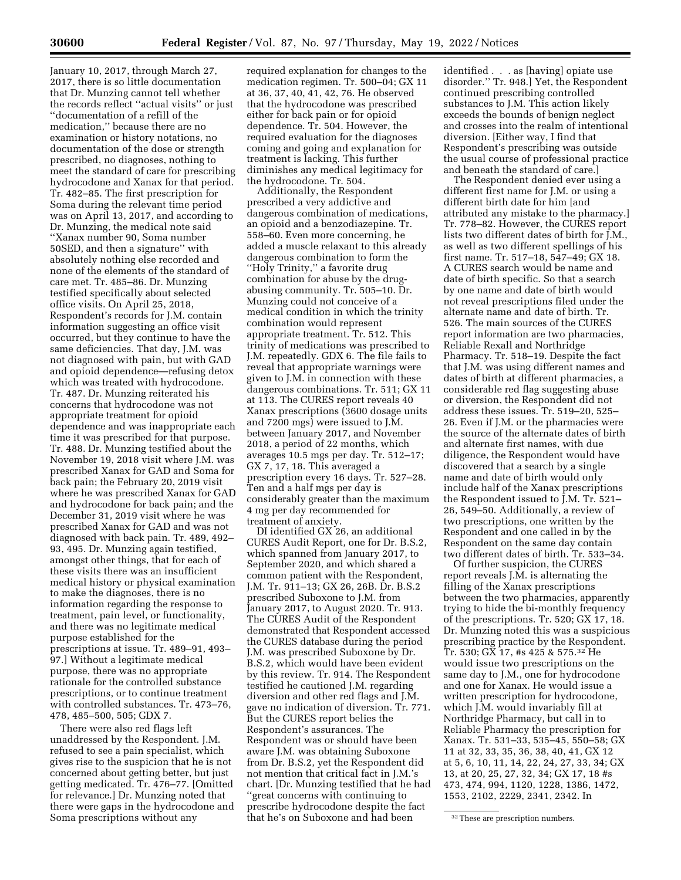January 10, 2017, through March 27, 2017, there is so little documentation that Dr. Munzing cannot tell whether the records reflect ''actual visits'' or just ''documentation of a refill of the medication,'' because there are no examination or history notations, no documentation of the dose or strength prescribed, no diagnoses, nothing to meet the standard of care for prescribing hydrocodone and Xanax for that period. Tr. 482–85. The first prescription for Soma during the relevant time period was on April 13, 2017, and according to Dr. Munzing, the medical note said ''Xanax number 90, Soma number 50SED, and then a signature'' with absolutely nothing else recorded and none of the elements of the standard of care met. Tr. 485–86. Dr. Munzing testified specifically about selected office visits. On April 25, 2018, Respondent's records for J.M. contain information suggesting an office visit occurred, but they continue to have the same deficiencies. That day, J.M. was not diagnosed with pain, but with GAD and opioid dependence—refusing detox which was treated with hydrocodone. Tr. 487. Dr. Munzing reiterated his concerns that hydrocodone was not appropriate treatment for opioid dependence and was inappropriate each time it was prescribed for that purpose. Tr. 488. Dr. Munzing testified about the November 19, 2018 visit where J.M. was prescribed Xanax for GAD and Soma for back pain; the February 20, 2019 visit where he was prescribed Xanax for GAD and hydrocodone for back pain; and the December 31, 2019 visit where he was prescribed Xanax for GAD and was not diagnosed with back pain. Tr. 489, 492– 93, 495. Dr. Munzing again testified, amongst other things, that for each of these visits there was an insufficient medical history or physical examination to make the diagnoses, there is no information regarding the response to treatment, pain level, or functionality, and there was no legitimate medical purpose established for the prescriptions at issue. Tr. 489–91, 493– 97.] Without a legitimate medical purpose, there was no appropriate rationale for the controlled substance prescriptions, or to continue treatment with controlled substances. Tr. 473–76, 478, 485–500, 505; GDX 7.

There were also red flags left unaddressed by the Respondent. J.M. refused to see a pain specialist, which gives rise to the suspicion that he is not concerned about getting better, but just getting medicated. Tr. 476–77. [Omitted for relevance.] Dr. Munzing noted that there were gaps in the hydrocodone and Soma prescriptions without any

required explanation for changes to the medication regimen. Tr. 500–04; GX 11 at 36, 37, 40, 41, 42, 76. He observed that the hydrocodone was prescribed either for back pain or for opioid dependence. Tr. 504. However, the required evaluation for the diagnoses coming and going and explanation for treatment is lacking. This further diminishes any medical legitimacy for the hydrocodone. Tr. 504.

Additionally, the Respondent prescribed a very addictive and dangerous combination of medications, an opioid and a benzodiazepine. Tr. 558–60. Even more concerning, he added a muscle relaxant to this already dangerous combination to form the ''Holy Trinity,'' a favorite drug combination for abuse by the drugabusing community. Tr. 505–10. Dr. Munzing could not conceive of a medical condition in which the trinity combination would represent appropriate treatment. Tr. 512. This trinity of medications was prescribed to J.M. repeatedly. GDX 6. The file fails to reveal that appropriate warnings were given to J.M. in connection with these dangerous combinations. Tr. 511; GX 11 at 113. The CURES report reveals 40 Xanax prescriptions (3600 dosage units and 7200 mgs) were issued to J.M. between January 2017, and November 2018, a period of 22 months, which averages 10.5 mgs per day. Tr. 512–17; GX 7, 17, 18. This averaged a prescription every 16 days. Tr. 527–28. Ten and a half mgs per day is considerably greater than the maximum 4 mg per day recommended for treatment of anxiety.

DI identified GX 26, an additional CURES Audit Report, one for Dr. B.S.2, which spanned from January 2017, to September 2020, and which shared a common patient with the Respondent, J.M. Tr. 911–13; GX 26, 26B. Dr. B.S.2 prescribed Suboxone to J.M. from January 2017, to August 2020. Tr. 913. The CURES Audit of the Respondent demonstrated that Respondent accessed the CURES database during the period J.M. was prescribed Suboxone by Dr. B.S.2, which would have been evident by this review. Tr. 914. The Respondent testified he cautioned J.M. regarding diversion and other red flags and J.M. gave no indication of diversion. Tr. 771. But the CURES report belies the Respondent's assurances. The Respondent was or should have been aware J.M. was obtaining Suboxone from Dr. B.S.2, yet the Respondent did not mention that critical fact in J.M.'s chart. [Dr. Munzing testified that he had ''great concerns with continuing to prescribe hydrocodone despite the fact that he's on Suboxone and had been

identified . . . as [having] opiate use disorder.'' Tr. 948.] Yet, the Respondent continued prescribing controlled substances to J.M. This action likely exceeds the bounds of benign neglect and crosses into the realm of intentional diversion. [Either way, I find that Respondent's prescribing was outside the usual course of professional practice and beneath the standard of care.]

The Respondent denied ever using a different first name for J.M. or using a different birth date for him [and attributed any mistake to the pharmacy.] Tr. 778–82. However, the CURES report lists two different dates of birth for J.M., as well as two different spellings of his first name. Tr. 517–18, 547–49; GX 18. A CURES search would be name and date of birth specific. So that a search by one name and date of birth would not reveal prescriptions filed under the alternate name and date of birth. Tr. 526. The main sources of the CURES report information are two pharmacies, Reliable Rexall and Northridge Pharmacy. Tr. 518–19. Despite the fact that J.M. was using different names and dates of birth at different pharmacies, a considerable red flag suggesting abuse or diversion, the Respondent did not address these issues. Tr. 519–20, 525– 26. Even if J.M. or the pharmacies were the source of the alternate dates of birth and alternate first names, with due diligence, the Respondent would have discovered that a search by a single name and date of birth would only include half of the Xanax prescriptions the Respondent issued to J.M. Tr. 521– 26, 549–50. Additionally, a review of two prescriptions, one written by the Respondent and one called in by the Respondent on the same day contain two different dates of birth. Tr. 533–34.

Of further suspicion, the CURES report reveals J.M. is alternating the filling of the Xanax prescriptions between the two pharmacies, apparently trying to hide the bi-monthly frequency of the prescriptions. Tr. 520; GX 17, 18. Dr. Munzing noted this was a suspicious prescribing practice by the Respondent. Tr. 530; GX 17, #s 425 & 575.32 He would issue two prescriptions on the same day to J.M., one for hydrocodone and one for Xanax. He would issue a written prescription for hydrocodone, which J.M. would invariably fill at Northridge Pharmacy, but call in to Reliable Pharmacy the prescription for Xanax. Tr. 531–33, 535–45, 550–58; GX 11 at 32, 33, 35, 36, 38, 40, 41, GX 12 at 5, 6, 10, 11, 14, 22, 24, 27, 33, 34; GX 13, at 20, 25, 27, 32, 34; GX 17, 18 #s 473, 474, 994, 1120, 1228, 1386, 1472, 1553, 2102, 2229, 2341, 2342. In

<sup>32</sup>These are prescription numbers.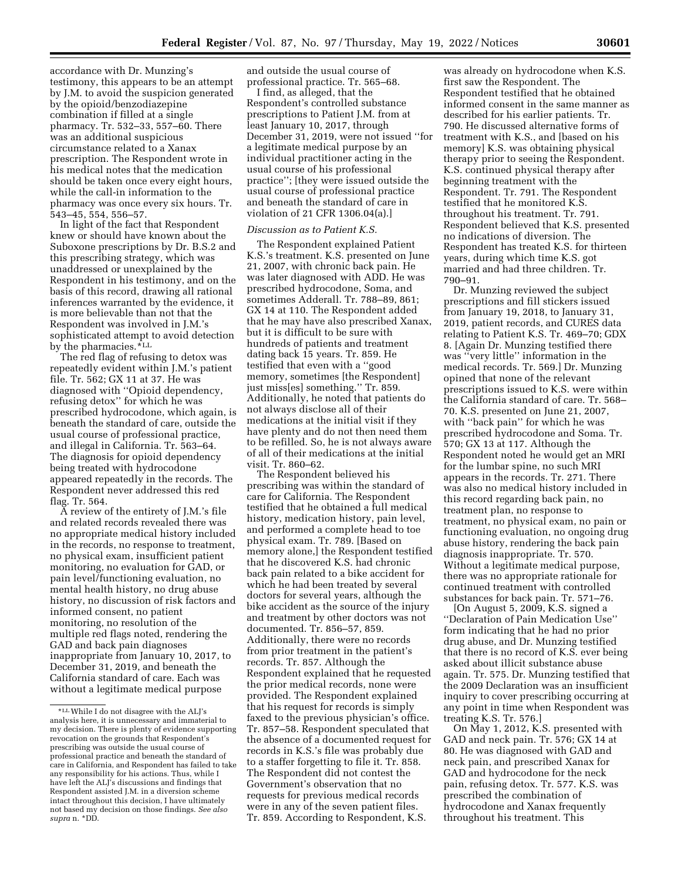accordance with Dr. Munzing's testimony, this appears to be an attempt by J.M. to avoid the suspicion generated by the opioid/benzodiazepine combination if filled at a single pharmacy. Tr. 532–33, 557–60. There was an additional suspicious circumstance related to a Xanax prescription. The Respondent wrote in his medical notes that the medication should be taken once every eight hours, while the call-in information to the pharmacy was once every six hours. Tr. 543–45, 554, 556–57.

In light of the fact that Respondent knew or should have known about the Suboxone prescriptions by Dr. B.S.2 and this prescribing strategy, which was unaddressed or unexplained by the Respondent in his testimony, and on the basis of this record, drawing all rational inferences warranted by the evidence, it is more believable than not that the Respondent was involved in J.M.'s sophisticated attempt to avoid detection by the pharmacies.\*LL

The red flag of refusing to detox was repeatedly evident within J.M.'s patient file. Tr. 562; GX 11 at 37. He was diagnosed with ''Opioid dependency, refusing detox'' for which he was prescribed hydrocodone, which again, is beneath the standard of care, outside the usual course of professional practice, and illegal in California. Tr. 563–64. The diagnosis for opioid dependency being treated with hydrocodone appeared repeatedly in the records. The Respondent never addressed this red flag. Tr. 564.

A review of the entirety of J.M.'s file and related records revealed there was no appropriate medical history included in the records, no response to treatment, no physical exam, insufficient patient monitoring, no evaluation for GAD, or pain level/functioning evaluation, no mental health history, no drug abuse history, no discussion of risk factors and informed consent, no patient monitoring, no resolution of the multiple red flags noted, rendering the GAD and back pain diagnoses inappropriate from January 10, 2017, to December 31, 2019, and beneath the California standard of care. Each was without a legitimate medical purpose

and outside the usual course of professional practice. Tr. 565–68.

I find, as alleged, that the Respondent's controlled substance prescriptions to Patient J.M. from at least January 10, 2017, through December 31, 2019, were not issued ''for a legitimate medical purpose by an individual practitioner acting in the usual course of his professional practice''; [they were issued outside the usual course of professional practice and beneath the standard of care in violation of 21 CFR 1306.04(a).]

#### *Discussion as to Patient K.S.*

The Respondent explained Patient K.S.'s treatment. K.S. presented on June 21, 2007, with chronic back pain. He was later diagnosed with ADD. He was prescribed hydrocodone, Soma, and sometimes Adderall. Tr. 788–89, 861; GX 14 at 110. The Respondent added that he may have also prescribed Xanax, but it is difficult to be sure with hundreds of patients and treatment dating back 15 years. Tr. 859. He testified that even with a ''good memory, sometimes [the Respondent] just miss[es] something.'' Tr. 859. Additionally, he noted that patients do not always disclose all of their medications at the initial visit if they have plenty and do not then need them to be refilled. So, he is not always aware of all of their medications at the initial visit. Tr. 860–62.

The Respondent believed his prescribing was within the standard of care for California. The Respondent testified that he obtained a full medical history, medication history, pain level, and performed a complete head to toe physical exam. Tr. 789. [Based on memory alone,] the Respondent testified that he discovered K.S. had chronic back pain related to a bike accident for which he had been treated by several doctors for several years, although the bike accident as the source of the injury and treatment by other doctors was not documented. Tr. 856–57, 859. Additionally, there were no records from prior treatment in the patient's records. Tr. 857. Although the Respondent explained that he requested the prior medical records, none were provided. The Respondent explained that his request for records is simply faxed to the previous physician's office. Tr. 857–58. Respondent speculated that the absence of a documented request for records in K.S.'s file was probably due to a staffer forgetting to file it. Tr. 858. The Respondent did not contest the Government's observation that no requests for previous medical records were in any of the seven patient files. Tr. 859. According to Respondent, K.S.

was already on hydrocodone when K.S. first saw the Respondent. The Respondent testified that he obtained informed consent in the same manner as described for his earlier patients. Tr. 790. He discussed alternative forms of treatment with K.S., and [based on his memory] K.S. was obtaining physical therapy prior to seeing the Respondent. K.S. continued physical therapy after beginning treatment with the Respondent. Tr. 791. The Respondent testified that he monitored K.S. throughout his treatment. Tr. 791. Respondent believed that K.S. presented no indications of diversion. The Respondent has treated K.S. for thirteen years, during which time K.S. got married and had three children. Tr. 790–91.

Dr. Munzing reviewed the subject prescriptions and fill stickers issued from January 19, 2018, to January 31, 2019, patient records, and CURES data relating to Patient K.S. Tr. 469–70; GDX 8. [Again Dr. Munzing testified there was ''very little'' information in the medical records. Tr. 569.] Dr. Munzing opined that none of the relevant prescriptions issued to K.S. were within the California standard of care. Tr. 568– 70. K.S. presented on June 21, 2007, with "back pain" for which he was prescribed hydrocodone and Soma. Tr. 570; GX 13 at 117. Although the Respondent noted he would get an MRI for the lumbar spine, no such MRI appears in the records. Tr. 271. There was also no medical history included in this record regarding back pain, no treatment plan, no response to treatment, no physical exam, no pain or functioning evaluation, no ongoing drug abuse history, rendering the back pain diagnosis inappropriate. Tr. 570. Without a legitimate medical purpose, there was no appropriate rationale for continued treatment with controlled substances for back pain. Tr. 571–76.

[On August 5, 2009, K.S. signed a ''Declaration of Pain Medication Use'' form indicating that he had no prior drug abuse, and Dr. Munzing testified that there is no record of K.S. ever being asked about illicit substance abuse again. Tr. 575. Dr. Munzing testified that the 2009 Declaration was an insufficient inquiry to cover prescribing occurring at any point in time when Respondent was treating K.S. Tr. 576.]

On May 1, 2012, K.S. presented with GAD and neck pain. Tr. 576; GX 14 at 80. He was diagnosed with GAD and neck pain, and prescribed Xanax for GAD and hydrocodone for the neck pain, refusing detox. Tr. 577. K.S. was prescribed the combination of hydrocodone and Xanax frequently throughout his treatment. This

<sup>\*</sup>LLWhile I do not disagree with the ALJ's analysis here, it is unnecessary and immaterial to my decision. There is plenty of evidence supporting revocation on the grounds that Respondent's prescribing was outside the usual course of professional practice and beneath the standard of care in California, and Respondent has failed to take any responsibility for his actions. Thus, while I have left the ALJ's discussions and findings that Respondent assisted J.M. in a diversion scheme intact throughout this decision, I have ultimately not based my decision on those findings. *See also supra* n. \*DD.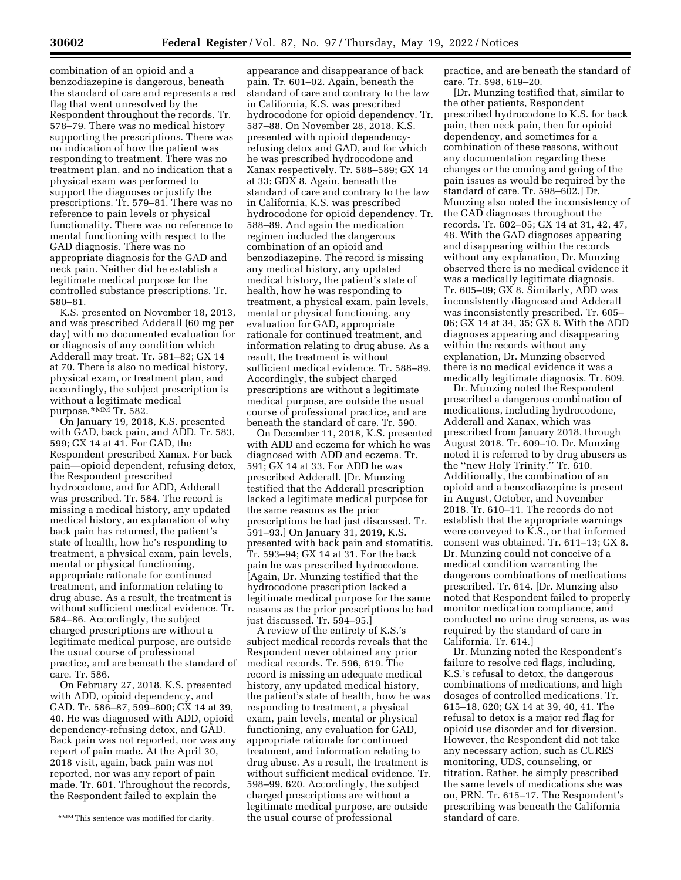combination of an opioid and a benzodiazepine is dangerous, beneath the standard of care and represents a red flag that went unresolved by the Respondent throughout the records. Tr. 578–79. There was no medical history supporting the prescriptions. There was no indication of how the patient was responding to treatment. There was no treatment plan, and no indication that a physical exam was performed to support the diagnoses or justify the prescriptions. Tr. 579–81. There was no reference to pain levels or physical functionality. There was no reference to mental functioning with respect to the GAD diagnosis. There was no appropriate diagnosis for the GAD and neck pain. Neither did he establish a legitimate medical purpose for the controlled substance prescriptions. Tr. 580–81.

K.S. presented on November 18, 2013, and was prescribed Adderall (60 mg per day) with no documented evaluation for or diagnosis of any condition which Adderall may treat. Tr. 581–82; GX 14 at 70. There is also no medical history, physical exam, or treatment plan, and accordingly, the subject prescription is without a legitimate medical purpose.\*MM Tr. 582.

On January 19, 2018, K.S. presented with GAD, back pain, and ADD. Tr. 583, 599; GX 14 at 41. For GAD, the Respondent prescribed Xanax. For back pain—opioid dependent, refusing detox, the Respondent prescribed hydrocodone, and for ADD, Adderall was prescribed. Tr. 584. The record is missing a medical history, any updated medical history, an explanation of why back pain has returned, the patient's state of health, how he's responding to treatment, a physical exam, pain levels, mental or physical functioning, appropriate rationale for continued treatment, and information relating to drug abuse. As a result, the treatment is without sufficient medical evidence. Tr. 584–86. Accordingly, the subject charged prescriptions are without a legitimate medical purpose, are outside the usual course of professional practice, and are beneath the standard of care. Tr. 586.

On February 27, 2018, K.S. presented with ADD, opioid dependency, and GAD. Tr. 586–87, 599–600; GX 14 at 39, 40. He was diagnosed with ADD, opioid dependency-refusing detox, and GAD. Back pain was not reported, nor was any report of pain made. At the April 30, 2018 visit, again, back pain was not reported, nor was any report of pain made. Tr. 601. Throughout the records, the Respondent failed to explain the

appearance and disappearance of back pain. Tr. 601–02. Again, beneath the standard of care and contrary to the law in California, K.S. was prescribed hydrocodone for opioid dependency. Tr. 587–88. On November 28, 2018, K.S. presented with opioid dependencyrefusing detox and GAD, and for which he was prescribed hydrocodone and Xanax respectively. Tr. 588–589; GX 14 at 33; GDX 8. Again, beneath the standard of care and contrary to the law in California, K.S. was prescribed hydrocodone for opioid dependency. Tr. 588–89. And again the medication regimen included the dangerous combination of an opioid and benzodiazepine. The record is missing any medical history, any updated medical history, the patient's state of health, how he was responding to treatment, a physical exam, pain levels, mental or physical functioning, any evaluation for GAD, appropriate rationale for continued treatment, and information relating to drug abuse. As a result, the treatment is without sufficient medical evidence. Tr. 588–89. Accordingly, the subject charged prescriptions are without a legitimate medical purpose, are outside the usual course of professional practice, and are beneath the standard of care. Tr. 590.

On December 11, 2018, K.S. presented with ADD and eczema for which he was diagnosed with ADD and eczema. Tr. 591; GX 14 at 33. For ADD he was prescribed Adderall. [Dr. Munzing testified that the Adderall prescription lacked a legitimate medical purpose for the same reasons as the prior prescriptions he had just discussed. Tr. 591–93.] On January 31, 2019, K.S. presented with back pain and stomatitis. Tr. 593–94; GX 14 at 31. For the back pain he was prescribed hydrocodone. [Again, Dr. Munzing testified that the hydrocodone prescription lacked a legitimate medical purpose for the same reasons as the prior prescriptions he had just discussed. Tr. 594–95.]

A review of the entirety of K.S.'s subject medical records reveals that the Respondent never obtained any prior medical records. Tr. 596, 619. The record is missing an adequate medical history, any updated medical history, the patient's state of health, how he was responding to treatment, a physical exam, pain levels, mental or physical functioning, any evaluation for GAD, appropriate rationale for continued treatment, and information relating to drug abuse. As a result, the treatment is without sufficient medical evidence. Tr. 598–99, 620. Accordingly, the subject charged prescriptions are without a legitimate medical purpose, are outside the usual course of professional

practice, and are beneath the standard of care. Tr. 598, 619–20.

[Dr. Munzing testified that, similar to the other patients, Respondent prescribed hydrocodone to K.S. for back pain, then neck pain, then for opioid dependency, and sometimes for a combination of these reasons, without any documentation regarding these changes or the coming and going of the pain issues as would be required by the standard of care. Tr. 598–602.] Dr. Munzing also noted the inconsistency of the GAD diagnoses throughout the records. Tr. 602–05; GX 14 at 31, 42, 47, 48. With the GAD diagnoses appearing and disappearing within the records without any explanation, Dr. Munzing observed there is no medical evidence it was a medically legitimate diagnosis. Tr. 605–09; GX 8. Similarly, ADD was inconsistently diagnosed and Adderall was inconsistently prescribed. Tr. 605– 06; GX 14 at 34, 35; GX 8. With the ADD diagnoses appearing and disappearing within the records without any explanation, Dr. Munzing observed there is no medical evidence it was a medically legitimate diagnosis. Tr. 609.

Dr. Munzing noted the Respondent prescribed a dangerous combination of medications, including hydrocodone, Adderall and Xanax, which was prescribed from January 2018, through August 2018. Tr. 609–10. Dr. Munzing noted it is referred to by drug abusers as the ''new Holy Trinity.'' Tr. 610. Additionally, the combination of an opioid and a benzodiazepine is present in August, October, and November 2018. Tr. 610–11. The records do not establish that the appropriate warnings were conveyed to K.S., or that informed consent was obtained. Tr. 611–13; GX 8. Dr. Munzing could not conceive of a medical condition warranting the dangerous combinations of medications prescribed. Tr. 614. [Dr. Munzing also noted that Respondent failed to properly monitor medication compliance, and conducted no urine drug screens, as was required by the standard of care in California. Tr. 614.]

Dr. Munzing noted the Respondent's failure to resolve red flags, including, K.S.'s refusal to detox, the dangerous combinations of medications, and high dosages of controlled medications. Tr. 615–18, 620; GX 14 at 39, 40, 41. The refusal to detox is a major red flag for opioid use disorder and for diversion. However, the Respondent did not take any necessary action, such as CURES monitoring, UDS, counseling, or titration. Rather, he simply prescribed the same levels of medications she was on, PRN. Tr. 615–17. The Respondent's prescribing was beneath the California standard of care.

<sup>\*</sup>MM This sentence was modified for clarity.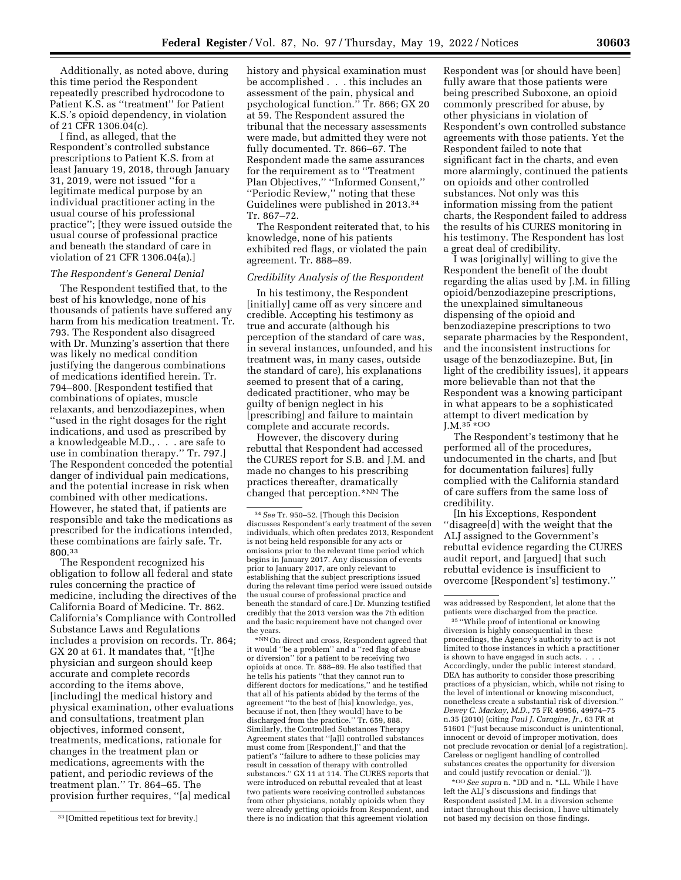Additionally, as noted above, during this time period the Respondent repeatedly prescribed hydrocodone to Patient K.S. as ''treatment'' for Patient K.S.'s opioid dependency, in violation of 21 CFR 1306.04(c).

I find, as alleged, that the Respondent's controlled substance prescriptions to Patient K.S. from at least January 19, 2018, through January 31, 2019, were not issued ''for a legitimate medical purpose by an individual practitioner acting in the usual course of his professional practice''; [they were issued outside the usual course of professional practice and beneath the standard of care in violation of 21 CFR 1306.04(a).]

#### *The Respondent's General Denial*

The Respondent testified that, to the best of his knowledge, none of his thousands of patients have suffered any harm from his medication treatment. Tr. 793. The Respondent also disagreed with Dr. Munzing's assertion that there was likely no medical condition justifying the dangerous combinations of medications identified herein. Tr. 794–800. [Respondent testified that combinations of opiates, muscle relaxants, and benzodiazepines, when ''used in the right dosages for the right indications, and used as prescribed by a knowledgeable M.D., . . . are safe to use in combination therapy.'' Tr. 797.] The Respondent conceded the potential danger of individual pain medications, and the potential increase in risk when combined with other medications. However, he stated that, if patients are responsible and take the medications as prescribed for the indications intended, these combinations are fairly safe. Tr. 800.33

The Respondent recognized his obligation to follow all federal and state rules concerning the practice of medicine, including the directives of the California Board of Medicine. Tr. 862. California's Compliance with Controlled Substance Laws and Regulations includes a provision on records. Tr. 864; GX 20 at 61. It mandates that, ''[t]he physician and surgeon should keep accurate and complete records according to the items above, [including] the medical history and physical examination, other evaluations and consultations, treatment plan objectives, informed consent, treatments, medications, rationale for changes in the treatment plan or medications, agreements with the patient, and periodic reviews of the treatment plan.'' Tr. 864–65. The provision further requires, ''[a] medical

history and physical examination must be accomplished . . . this includes an assessment of the pain, physical and psychological function.'' Tr. 866; GX 20 at 59. The Respondent assured the tribunal that the necessary assessments were made, but admitted they were not fully documented. Tr. 866–67. The Respondent made the same assurances for the requirement as to ''Treatment Plan Objectives,'' ''Informed Consent,'' ''Periodic Review,'' noting that these Guidelines were published in 2013.34 Tr. 867–72.

The Respondent reiterated that, to his knowledge, none of his patients exhibited red flags, or violated the pain agreement. Tr. 888–89.

#### *Credibility Analysis of the Respondent*

In his testimony, the Respondent [initially] came off as very sincere and credible. Accepting his testimony as true and accurate (although his perception of the standard of care was, in several instances, unfounded, and his treatment was, in many cases, outside the standard of care), his explanations seemed to present that of a caring, dedicated practitioner, who may be guilty of benign neglect in his [prescribing] and failure to maintain complete and accurate records.

However, the discovery during rebuttal that Respondent had accessed the CURES report for S.B. and J.M. and made no changes to his prescribing practices thereafter, dramatically changed that perception.\*NN The

 $\sqrt{\phantom{a}}^{\text{NN}}$  On direct and cross, Respondent agreed that it would ''be a problem'' and a ''red flag of abuse or diversion'' for a patient to be receiving two opioids at once. Tr. 888–89. He also testified that he tells his patients ''that they cannot run to different doctors for medications,'' and he testified that all of his patients abided by the terms of the agreement ''to the best of [his] knowledge, yes, because if not, then [they would] have to be discharged from the practice.'' Tr. 659, 888. Similarly, the Controlled Substances Therapy Agreement states that ''[a]ll controlled substances must come from [Respondent,]'' and that the patient's ''failure to adhere to these policies may result in cessation of therapy with controlled substances.'' GX 11 at 114. The CURES reports that were introduced on rebuttal revealed that at least two patients were receiving controlled substances from other physicians, notably opioids when they were already getting opioids from Respondent, and there is no indication that this agreement violation

Respondent was [or should have been] fully aware that those patients were being prescribed Suboxone, an opioid commonly prescribed for abuse, by other physicians in violation of Respondent's own controlled substance agreements with those patients. Yet the Respondent failed to note that significant fact in the charts, and even more alarmingly, continued the patients on opioids and other controlled substances. Not only was this information missing from the patient charts, the Respondent failed to address the results of his CURES monitoring in his testimony. The Respondent has lost a great deal of credibility.

I was [originally] willing to give the Respondent the benefit of the doubt regarding the alias used by J.M. in filling opioid/benzodiazepine prescriptions, the unexplained simultaneous dispensing of the opioid and benzodiazepine prescriptions to two separate pharmacies by the Respondent, and the inconsistent instructions for usage of the benzodiazepine. But, [in light of the credibility issues], it appears more believable than not that the Respondent was a knowing participant in what appears to be a sophisticated attempt to divert medication by J.M.35 \*OO

The Respondent's testimony that he performed all of the procedures, undocumented in the charts, and [but for documentation failures] fully complied with the California standard of care suffers from the same loss of credibility.

[In his Exceptions, Respondent ''disagree[d] with the weight that the ALJ assigned to the Government's rebuttal evidence regarding the CURES audit report, and [argued] that such rebuttal evidence is insufficient to overcome [Respondent's] testimony.''

35 ''While proof of intentional or knowing diversion is highly consequential in these proceedings, the Agency's authority to act is not limited to those instances in which a practitioner is shown to have engaged in such acts. . . . Accordingly, under the public interest standard, DEA has authority to consider those prescribing practices of a physician, which, while not rising to the level of intentional or knowing misconduct, nonetheless create a substantial risk of diversion.'' *Dewey C. Mackay, M.D.,* 75 FR 49956, 49974–75 n.35 (2010) (citing *Paul J. Caragine, Jr.,* 63 FR at 51601 (''Just because misconduct is unintentional, innocent or devoid of improper motivation, does not preclude revocation or denial [of a registration]. Careless or negligent handling of controlled substances creates the opportunity for diversion and could justify revocation or denial.'')).

\*OO *See supra* n. \*DD and n. \*LL. While I have left the ALJ's discussions and findings that Respondent assisted J.M. in a diversion scheme intact throughout this decision, I have ultimately not based my decision on those findings.

<sup>33</sup> [Omitted repetitious text for brevity.]

<sup>34</sup>*See* Tr. 950–52. [Though this Decision discusses Respondent's early treatment of the seven individuals, which often predates 2013, Respondent is not being held responsible for any acts or omissions prior to the relevant time period which begins in January 2017. Any discussion of events prior to January 2017, are only relevant to establishing that the subject prescriptions issued during the relevant time period were issued outside the usual course of professional practice and beneath the standard of care.] Dr. Munzing testified credibly that the 2013 version was the 7th edition and the basic requirement have not changed over the years.

was addressed by Respondent, let alone that the patients were discharged from the practice.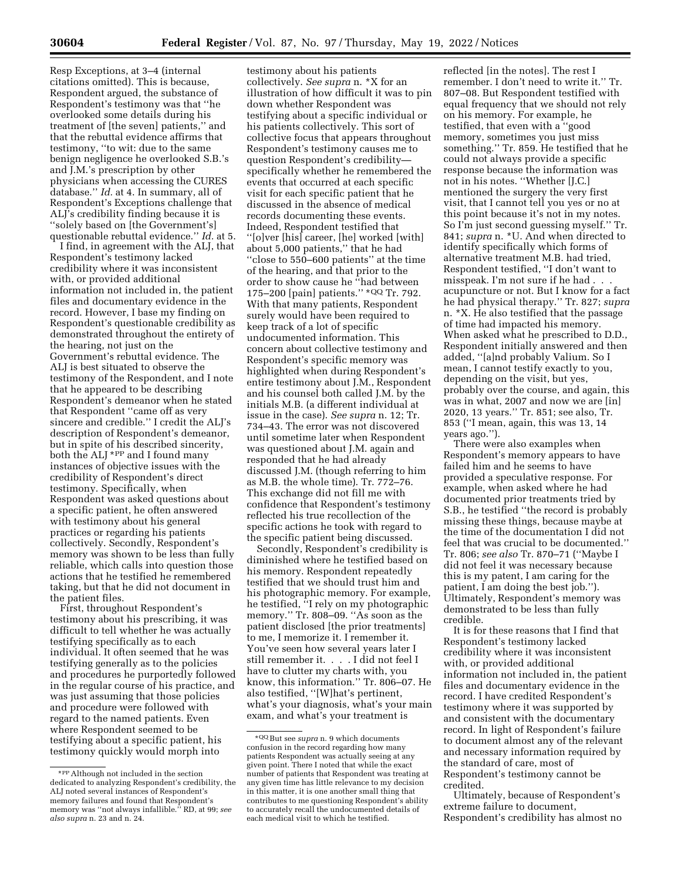Resp Exceptions, at 3–4 (internal citations omitted). This is because, Respondent argued, the substance of Respondent's testimony was that ''he overlooked some details during his treatment of [the seven] patients,'' and that the rebuttal evidence affirms that testimony, ''to wit: due to the same benign negligence he overlooked S.B.'s and J.M.'s prescription by other physicians when accessing the CURES database.'' *Id.* at 4. In summary, all of Respondent's Exceptions challenge that ALJ's credibility finding because it is ''solely based on [the Government's] questionable rebuttal evidence.'' *Id.* at 5.

I find, in agreement with the ALJ, that Respondent's testimony lacked credibility where it was inconsistent with, or provided additional information not included in, the patient files and documentary evidence in the record. However, I base my finding on Respondent's questionable credibility as demonstrated throughout the entirety of the hearing, not just on the Government's rebuttal evidence. The ALJ is best situated to observe the testimony of the Respondent, and I note that he appeared to be describing Respondent's demeanor when he stated that Respondent ''came off as very sincere and credible.'' I credit the ALJ's description of Respondent's demeanor, but in spite of his described sincerity, both the ALJ \*PP and I found many instances of objective issues with the credibility of Respondent's direct testimony. Specifically, when Respondent was asked questions about a specific patient, he often answered with testimony about his general practices or regarding his patients collectively. Secondly, Respondent's memory was shown to be less than fully reliable, which calls into question those actions that he testified he remembered taking, but that he did not document in the patient files.

First, throughout Respondent's testimony about his prescribing, it was difficult to tell whether he was actually testifying specifically as to each individual. It often seemed that he was testifying generally as to the policies and procedures he purportedly followed in the regular course of his practice, and was just assuming that those policies and procedure were followed with regard to the named patients. Even where Respondent seemed to be testifying about a specific patient, his testimony quickly would morph into

testimony about his patients collectively. *See supra* n. \*X for an illustration of how difficult it was to pin down whether Respondent was testifying about a specific individual or his patients collectively. This sort of collective focus that appears throughout Respondent's testimony causes me to question Respondent's credibility specifically whether he remembered the events that occurred at each specific visit for each specific patient that he discussed in the absence of medical records documenting these events. Indeed, Respondent testified that ''[o]ver [his] career, [he] worked [with] about 5,000 patients,'' that he had ''close to 550–600 patients'' at the time of the hearing, and that prior to the order to show cause he ''had between 175–200 [pain] patients.'' \*QQ Tr. 792. With that many patients, Respondent surely would have been required to keep track of a lot of specific undocumented information. This concern about collective testimony and Respondent's specific memory was highlighted when during Respondent's entire testimony about J.M., Respondent and his counsel both called J.M. by the initials M.B. (a different individual at issue in the case). *See supra* n. 12; Tr. 734–43. The error was not discovered until sometime later when Respondent was questioned about J.M. again and responded that he had already discussed J.M. (though referring to him as M.B. the whole time). Tr. 772–76. This exchange did not fill me with confidence that Respondent's testimony reflected his true recollection of the specific actions he took with regard to the specific patient being discussed.

Secondly, Respondent's credibility is diminished where he testified based on his memory. Respondent repeatedly testified that we should trust him and his photographic memory. For example, he testified, ''I rely on my photographic memory." Tr. 808–09. "As soon as the patient disclosed [the prior treatments] to me, I memorize it. I remember it. You've seen how several years later I still remember it. . . . I did not feel I have to clutter my charts with, you know, this information.'' Tr. 806–07. He also testified, ''[W]hat's pertinent, what's your diagnosis, what's your main exam, and what's your treatment is

reflected [in the notes]. The rest I remember. I don't need to write it.'' Tr. 807–08. But Respondent testified with equal frequency that we should not rely on his memory. For example, he testified, that even with a ''good memory, sometimes you just miss something.'' Tr. 859. He testified that he could not always provide a specific response because the information was not in his notes. ''Whether [J.C.] mentioned the surgery the very first visit, that I cannot tell you yes or no at this point because it's not in my notes. So I'm just second guessing myself.'' Tr. 841; *supra* n. \*U. And when directed to identify specifically which forms of alternative treatment M.B. had tried, Respondent testified, ''I don't want to misspeak. I'm not sure if he had . . . acupuncture or not. But I know for a fact he had physical therapy.'' Tr. 827; *supra*  n. \*X. He also testified that the passage of time had impacted his memory. When asked what he prescribed to D.D., Respondent initially answered and then added, ''[a]nd probably Valium. So I mean, I cannot testify exactly to you, depending on the visit, but yes, probably over the course, and again, this was in what, 2007 and now we are [in] 2020, 13 years.'' Tr. 851; see also, Tr. 853 (''I mean, again, this was 13, 14 years ago.'').

There were also examples when Respondent's memory appears to have failed him and he seems to have provided a speculative response. For example, when asked where he had documented prior treatments tried by S.B., he testified ''the record is probably missing these things, because maybe at the time of the documentation I did not feel that was crucial to be documented.'' Tr. 806; *see also* Tr. 870–71 (''Maybe I did not feel it was necessary because this is my patent, I am caring for the patient, I am doing the best job.''). Ultimately, Respondent's memory was demonstrated to be less than fully credible.

It is for these reasons that I find that Respondent's testimony lacked credibility where it was inconsistent with, or provided additional information not included in, the patient files and documentary evidence in the record. I have credited Respondent's testimony where it was supported by and consistent with the documentary record. In light of Respondent's failure to document almost any of the relevant and necessary information required by the standard of care, most of Respondent's testimony cannot be credited.

Ultimately, because of Respondent's extreme failure to document, Respondent's credibility has almost no

<sup>\*</sup>PPAlthough not included in the section dedicated to analyzing Respondent's credibility, the ALJ noted several instances of Respondent's memory failures and found that Respondent's memory was ''not always infallible.'' RD, at 99; *see also supra* n. 23 and n. 24.

<sup>\*</sup>QQ But see *supra* n. 9 which documents confusion in the record regarding how many patients Respondent was actually seeing at any given point. There I noted that while the exact number of patients that Respondent was treating at any given time has little relevance to my decision in this matter, it is one another small thing that contributes to me questioning Respondent's ability to accurately recall the undocumented details of each medical visit to which he testified.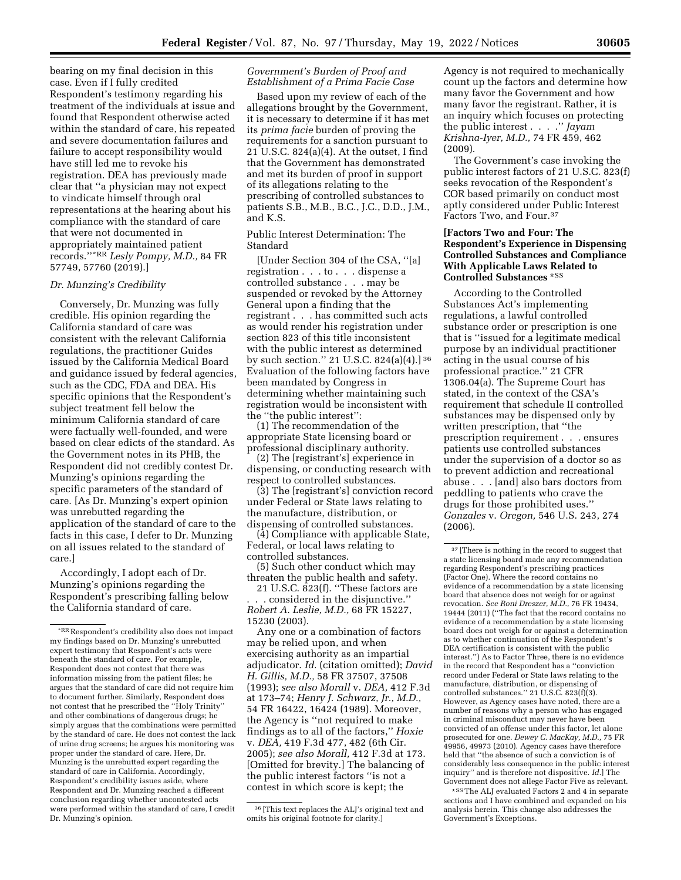bearing on my final decision in this case. Even if I fully credited Respondent's testimony regarding his treatment of the individuals at issue and found that Respondent otherwise acted within the standard of care, his repeated and severe documentation failures and failure to accept responsibility would have still led me to revoke his registration. DEA has previously made clear that ''a physician may not expect to vindicate himself through oral representations at the hearing about his compliance with the standard of care that were not documented in appropriately maintained patient records.''\*RR *Lesly Pompy, M.D.,* 84 FR 57749, 57760 (2019).]

# *Dr. Munzing's Credibility*

Conversely, Dr. Munzing was fully credible. His opinion regarding the California standard of care was consistent with the relevant California regulations, the practitioner Guides issued by the California Medical Board and guidance issued by federal agencies, such as the CDC, FDA and DEA. His specific opinions that the Respondent's subject treatment fell below the minimum California standard of care were factually well-founded, and were based on clear edicts of the standard. As the Government notes in its PHB, the Respondent did not credibly contest Dr. Munzing's opinions regarding the specific parameters of the standard of care. [As Dr. Munzing's expert opinion was unrebutted regarding the application of the standard of care to the facts in this case, I defer to Dr. Munzing on all issues related to the standard of care.]

Accordingly, I adopt each of Dr. Munzing's opinions regarding the Respondent's prescribing falling below the California standard of care.

# *Government's Burden of Proof and Establishment of a Prima Facie Case*

Based upon my review of each of the allegations brought by the Government, it is necessary to determine if it has met its *prima facie* burden of proving the requirements for a sanction pursuant to 21 U.S.C. 824(a)(4). At the outset, I find that the Government has demonstrated and met its burden of proof in support of its allegations relating to the prescribing of controlled substances to patients S.B., M.B., B.C., J.C., D.D., J.M., and K.S.

Public Interest Determination: The Standard

[Under Section 304 of the CSA, ''[a] registration . . . to . . . dispense a controlled substance . . . may be suspended or revoked by the Attorney General upon a finding that the registrant . . . has committed such acts as would render his registration under section 823 of this title inconsistent with the public interest as determined by such section.'' 21 U.S.C. 824(a)(4).] 36 Evaluation of the following factors have been mandated by Congress in determining whether maintaining such registration would be inconsistent with the ''the public interest'':

(1) The recommendation of the appropriate State licensing board or professional disciplinary authority.

(2) The [registrant's] experience in dispensing, or conducting research with respect to controlled substances.

(3) The [registrant's] conviction record under Federal or State laws relating to the manufacture, distribution, or dispensing of controlled substances.

(4) Compliance with applicable State, Federal, or local laws relating to controlled substances.

(5) Such other conduct which may threaten the public health and safety.

21 U.S.C. 823(f). ''These factors are . . . considered in the disjunctive.'' *Robert A. Leslie, M.D.,* 68 FR 15227, 15230 (2003).

Any one or a combination of factors may be relied upon, and when exercising authority as an impartial adjudicator. *Id.* (citation omitted); *David H. Gillis, M.D.,* 58 FR 37507, 37508 (1993); *see also Morall* v. *DEA,* 412 F.3d at 173–74; *Henry J. Schwarz, Jr., M.D.,*  54 FR 16422, 16424 (1989). Moreover, the Agency is ''not required to make findings as to all of the factors,'' *Hoxie*  v. *DEA,* 419 F.3d 477, 482 (6th Cir. 2005); *see also Morall,* 412 F.3d at 173. [Omitted for brevity.] The balancing of the public interest factors ''is not a contest in which score is kept; the

Agency is not required to mechanically count up the factors and determine how many favor the Government and how many favor the registrant. Rather, it is an inquiry which focuses on protecting the public interest . . . .'' *Jayam Krishna-Iyer, M.D.,* 74 FR 459, 462 (2009).

The Government's case invoking the public interest factors of 21 U.S.C. 823(f) seeks revocation of the Respondent's COR based primarily on conduct most aptly considered under Public Interest Factors Two, and Four.37

# **[Factors Two and Four: The Respondent's Experience in Dispensing Controlled Substances and Compliance With Applicable Laws Related to Controlled Substances** \*SS

According to the Controlled Substances Act's implementing regulations, a lawful controlled substance order or prescription is one that is ''issued for a legitimate medical purpose by an individual practitioner acting in the usual course of his professional practice.'' 21 CFR 1306.04(a). The Supreme Court has stated, in the context of the CSA's requirement that schedule II controlled substances may be dispensed only by written prescription, that ''the prescription requirement . . . ensures patients use controlled substances under the supervision of a doctor so as to prevent addiction and recreational abuse . . . [and] also bars doctors from peddling to patients who crave the drugs for those prohibited uses.'' *Gonzales* v. *Oregon,* 546 U.S. 243, 274 (2006).

\*SSThe ALJ evaluated Factors 2 and 4 in separate sections and I have combined and expanded on his analysis herein. This change also addresses the Government's Exceptions.

<sup>\*</sup>RR Respondent's credibility also does not impact my findings based on Dr. Munzing's unrebutted expert testimony that Respondent's acts were beneath the standard of care. For example, Respondent does not contest that there was information missing from the patient files; he argues that the standard of care did not require him to document further. Similarly, Respondent does not contest that he prescribed the ''Holy Trinity'' and other combinations of dangerous drugs; he simply argues that the combinations were permitted by the standard of care. He does not contest the lack of urine drug screens; he argues his monitoring was proper under the standard of care. Here, Dr. Munzing is the unrebutted expert regarding the standard of care in California. Accordingly, Respondent's credibility issues aside, where Respondent and Dr. Munzing reached a different conclusion regarding whether uncontested acts were performed within the standard of care, I credit Dr. Munzing's opinion.

<sup>36</sup> [This text replaces the ALJ's original text and omits his original footnote for clarity.]

 $^{\rm 37}$  [There is nothing in the record to suggest that a state licensing board made any recommendation regarding Respondent's prescribing practices (Factor One). Where the record contains no evidence of a recommendation by a state licensing board that absence does not weigh for or against revocation. *See Roni Dreszer, M.D.,* 76 FR 19434, 19444 (2011) (''The fact that the record contains no evidence of a recommendation by a state licensing board does not weigh for or against a determination as to whether continuation of the Respondent's DEA certification is consistent with the public interest.'') As to Factor Three, there is no evidence in the record that Respondent has a ''conviction record under Federal or State laws relating to the manufacture, distribution, or dispensing of controlled substances.'' 21 U.S.C. 823(f)(3). However, as Agency cases have noted, there are a number of reasons why a person who has engaged in criminal misconduct may never have been convicted of an offense under this factor, let alone prosecuted for one. *Dewey C. MacKay, M.D.,* 75 FR 49956, 49973 (2010). Agency cases have therefore held that ''the absence of such a conviction is of considerably less consequence in the public interest inquiry'' and is therefore not dispositive. *Id.*] The Government does not allege Factor Five as relevant.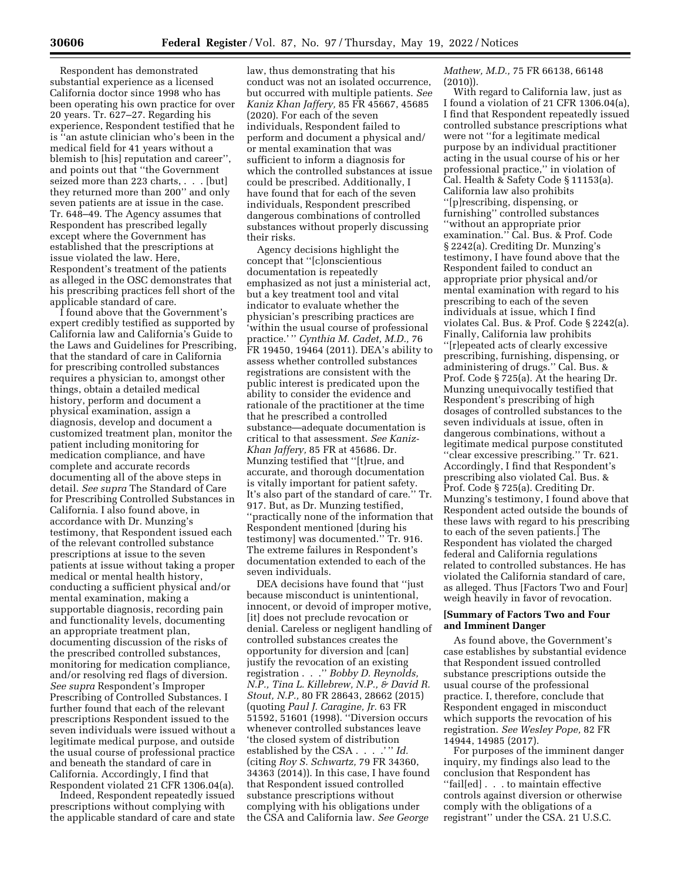Respondent has demonstrated substantial experience as a licensed California doctor since 1998 who has been operating his own practice for over 20 years. Tr. 627–27. Regarding his experience, Respondent testified that he is ''an astute clinician who's been in the medical field for 41 years without a blemish to [his] reputation and career'', and points out that ''the Government seized more than 223 charts, . . . [but] they returned more than 200'' and only seven patients are at issue in the case. Tr. 648–49. The Agency assumes that Respondent has prescribed legally except where the Government has established that the prescriptions at issue violated the law. Here, Respondent's treatment of the patients as alleged in the OSC demonstrates that his prescribing practices fell short of the applicable standard of care.

I found above that the Government's expert credibly testified as supported by California law and California's Guide to the Laws and Guidelines for Prescribing, that the standard of care in California for prescribing controlled substances requires a physician to, amongst other things, obtain a detailed medical history, perform and document a physical examination, assign a diagnosis, develop and document a customized treatment plan, monitor the patient including monitoring for medication compliance, and have complete and accurate records documenting all of the above steps in detail. *See supra* The Standard of Care for Prescribing Controlled Substances in California. I also found above, in accordance with Dr. Munzing's testimony, that Respondent issued each of the relevant controlled substance prescriptions at issue to the seven patients at issue without taking a proper medical or mental health history, conducting a sufficient physical and/or mental examination, making a supportable diagnosis, recording pain and functionality levels, documenting an appropriate treatment plan, documenting discussion of the risks of the prescribed controlled substances, monitoring for medication compliance, and/or resolving red flags of diversion. *See supra* Respondent's Improper Prescribing of Controlled Substances. I further found that each of the relevant prescriptions Respondent issued to the seven individuals were issued without a legitimate medical purpose, and outside the usual course of professional practice and beneath the standard of care in California. Accordingly, I find that Respondent violated 21 CFR 1306.04(a).

Indeed, Respondent repeatedly issued prescriptions without complying with the applicable standard of care and state

law, thus demonstrating that his conduct was not an isolated occurrence, but occurred with multiple patients. *See Kaniz Khan Jaffery,* 85 FR 45667, 45685 (2020). For each of the seven individuals, Respondent failed to perform and document a physical and/ or mental examination that was sufficient to inform a diagnosis for which the controlled substances at issue could be prescribed. Additionally, I have found that for each of the seven individuals, Respondent prescribed dangerous combinations of controlled substances without properly discussing their risks.

Agency decisions highlight the concept that ''[c]onscientious documentation is repeatedly emphasized as not just a ministerial act, but a key treatment tool and vital indicator to evaluate whether the physician's prescribing practices are 'within the usual course of professional practice.' '' *Cynthia M. Cadet, M.D.,* 76 FR 19450, 19464 (2011). DEA's ability to assess whether controlled substances registrations are consistent with the public interest is predicated upon the ability to consider the evidence and rationale of the practitioner at the time that he prescribed a controlled substance—adequate documentation is critical to that assessment. *See Kaniz-Khan Jaffery,* 85 FR at 45686. Dr. Munzing testified that ''[t]rue, and accurate, and thorough documentation is vitally important for patient safety. It's also part of the standard of care.'' Tr. 917. But, as Dr. Munzing testified, ''practically none of the information that Respondent mentioned [during his testimony] was documented.'' Tr. 916. The extreme failures in Respondent's documentation extended to each of the seven individuals.

DEA decisions have found that ''just because misconduct is unintentional, innocent, or devoid of improper motive, [it] does not preclude revocation or denial. Careless or negligent handling of controlled substances creates the opportunity for diversion and [can] justify the revocation of an existing registration . . .'' *Bobby D. Reynolds, N.P., Tina L. Killebrew, N.P., & David R. Stout, N.P.,* 80 FR 28643, 28662 (2015) (quoting *Paul J. Caragine, Jr.* 63 FR 51592, 51601 (1998). ''Diversion occurs whenever controlled substances leave 'the closed system of distribution established by the CSA . . . . " *Id.* (citing *Roy S. Schwartz,* 79 FR 34360, 34363 (2014)). In this case, I have found that Respondent issued controlled substance prescriptions without complying with his obligations under the CSA and California law. *See George* 

*Mathew, M.D.,* 75 FR 66138, 66148 (2010)).

With regard to California law, just as I found a violation of 21 CFR 1306.04(a), I find that Respondent repeatedly issued controlled substance prescriptions what were not ''for a legitimate medical purpose by an individual practitioner acting in the usual course of his or her professional practice,'' in violation of Cal. Health & Safety Code § 11153(a). California law also prohibits ''[p]rescribing, dispensing, or furnishing'' controlled substances ''without an appropriate prior examination.'' Cal. Bus. & Prof. Code § 2242(a). Crediting Dr. Munzing's testimony, I have found above that the Respondent failed to conduct an appropriate prior physical and/or mental examination with regard to his prescribing to each of the seven individuals at issue, which I find violates Cal. Bus. & Prof. Code § 2242(a). Finally, California law prohibits ''[r]epeated acts of clearly excessive prescribing, furnishing, dispensing, or administering of drugs.'' Cal. Bus. & Prof. Code § 725(a). At the hearing Dr. Munzing unequivocally testified that Respondent's prescribing of high dosages of controlled substances to the seven individuals at issue, often in dangerous combinations, without a legitimate medical purpose constituted ''clear excessive prescribing.'' Tr. 621. Accordingly, I find that Respondent's prescribing also violated Cal. Bus. & Prof. Code § 725(a). Crediting Dr. Munzing's testimony, I found above that Respondent acted outside the bounds of these laws with regard to his prescribing to each of the seven patients.] The Respondent has violated the charged federal and California regulations related to controlled substances. He has violated the California standard of care, as alleged. Thus [Factors Two and Four] weigh heavily in favor of revocation.

# **[Summary of Factors Two and Four and Imminent Danger**

As found above, the Government's case establishes by substantial evidence that Respondent issued controlled substance prescriptions outside the usual course of the professional practice. I, therefore, conclude that Respondent engaged in misconduct which supports the revocation of his registration. *See Wesley Pope,* 82 FR 14944, 14985 (2017).

For purposes of the imminent danger inquiry, my findings also lead to the conclusion that Respondent has ''fail[ed] . . . to maintain effective controls against diversion or otherwise comply with the obligations of a registrant'' under the CSA. 21 U.S.C.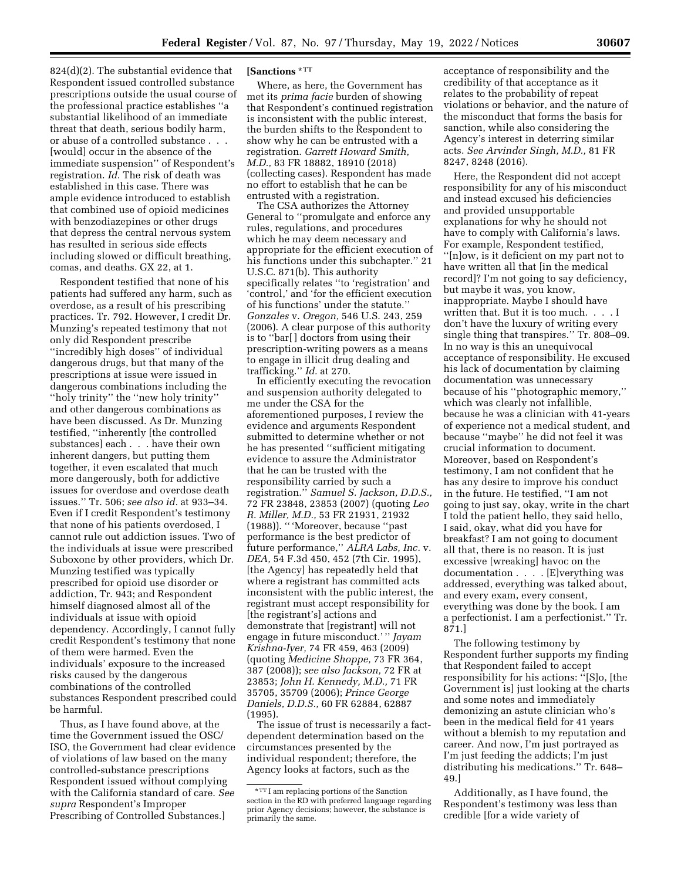824(d)(2). The substantial evidence that Respondent issued controlled substance prescriptions outside the usual course of the professional practice establishes ''a substantial likelihood of an immediate threat that death, serious bodily harm, or abuse of a controlled substance . . . [would] occur in the absence of the immediate suspension'' of Respondent's registration. *Id.* The risk of death was established in this case. There was ample evidence introduced to establish that combined use of opioid medicines with benzodiazepines or other drugs that depress the central nervous system has resulted in serious side effects including slowed or difficult breathing, comas, and deaths. GX 22, at 1.

Respondent testified that none of his patients had suffered any harm, such as overdose, as a result of his prescribing practices. Tr. 792. However, I credit Dr. Munzing's repeated testimony that not only did Respondent prescribe ''incredibly high doses'' of individual dangerous drugs, but that many of the prescriptions at issue were issued in dangerous combinations including the ''holy trinity'' the ''new holy trinity'' and other dangerous combinations as have been discussed. As Dr. Munzing testified, ''inherently [the controlled substances] each . . . have their own inherent dangers, but putting them together, it even escalated that much more dangerously, both for addictive issues for overdose and overdose death issues.'' Tr. 506; *see also id.* at 933–34. Even if I credit Respondent's testimony that none of his patients overdosed, I cannot rule out addiction issues. Two of the individuals at issue were prescribed Suboxone by other providers, which Dr. Munzing testified was typically prescribed for opioid use disorder or addiction, Tr. 943; and Respondent himself diagnosed almost all of the individuals at issue with opioid dependency. Accordingly, I cannot fully credit Respondent's testimony that none of them were harmed. Even the individuals' exposure to the increased risks caused by the dangerous combinations of the controlled substances Respondent prescribed could be harmful.

Thus, as I have found above, at the time the Government issued the OSC/ ISO, the Government had clear evidence of violations of law based on the many controlled-substance prescriptions Respondent issued without complying with the California standard of care. *See supra* Respondent's Improper Prescribing of Controlled Substances.]

# **[Sanctions** \*TT

Where, as here, the Government has met its *prima facie* burden of showing that Respondent's continued registration is inconsistent with the public interest, the burden shifts to the Respondent to show why he can be entrusted with a registration. *Garrett Howard Smith, M.D.,* 83 FR 18882, 18910 (2018) (collecting cases). Respondent has made no effort to establish that he can be entrusted with a registration.

The CSA authorizes the Attorney General to ''promulgate and enforce any rules, regulations, and procedures which he may deem necessary and appropriate for the efficient execution of his functions under this subchapter.'' 21 U.S.C. 871(b). This authority specifically relates ''to 'registration' and 'control,' and 'for the efficient execution of his functions' under the statute.'' *Gonzales* v. *Oregon,* 546 U.S. 243, 259 (2006). A clear purpose of this authority is to ''bar[ ] doctors from using their prescription-writing powers as a means to engage in illicit drug dealing and trafficking.'' *Id.* at 270.

In efficiently executing the revocation and suspension authority delegated to me under the CSA for the aforementioned purposes, I review the evidence and arguments Respondent submitted to determine whether or not he has presented ''sufficient mitigating evidence to assure the Administrator that he can be trusted with the responsibility carried by such a registration.'' *Samuel S. Jackson, D.D.S.,*  72 FR 23848, 23853 (2007) (quoting *Leo R. Miller, M.D.,* 53 FR 21931, 21932 (1988)). '' 'Moreover, because ''past performance is the best predictor of future performance,'' *ALRA Labs, Inc.* v. *DEA,* 54 F.3d 450, 452 (7th Cir. 1995), [the Agency] has repeatedly held that where a registrant has committed acts inconsistent with the public interest, the registrant must accept responsibility for [the registrant's] actions and demonstrate that [registrant] will not engage in future misconduct.' '' *Jayam Krishna-Iyer,* 74 FR 459, 463 (2009) (quoting *Medicine Shoppe,* 73 FR 364, 387 (2008)); *see also Jackson,* 72 FR at 23853; *John H. Kennedy, M.D.,* 71 FR 35705, 35709 (2006); *Prince George Daniels, D.D.S.,* 60 FR 62884, 62887 (1995).

The issue of trust is necessarily a factdependent determination based on the circumstances presented by the individual respondent; therefore, the Agency looks at factors, such as the

acceptance of responsibility and the credibility of that acceptance as it relates to the probability of repeat violations or behavior, and the nature of the misconduct that forms the basis for sanction, while also considering the Agency's interest in deterring similar acts. *See Arvinder Singh, M.D.,* 81 FR 8247, 8248 (2016).

Here, the Respondent did not accept responsibility for any of his misconduct and instead excused his deficiencies and provided unsupportable explanations for why he should not have to comply with California's laws. For example, Respondent testified, ''[n]ow, is it deficient on my part not to have written all that [in the medical record]? I'm not going to say deficiency, but maybe it was, you know, inappropriate. Maybe I should have written that. But it is too much. . . . I don't have the luxury of writing every single thing that transpires.'' Tr. 808–09. In no way is this an unequivocal acceptance of responsibility. He excused his lack of documentation by claiming documentation was unnecessary because of his ''photographic memory,'' which was clearly not infallible, because he was a clinician with 41-years of experience not a medical student, and because ''maybe'' he did not feel it was crucial information to document. Moreover, based on Respondent's testimony, I am not confident that he has any desire to improve his conduct in the future. He testified, ''I am not going to just say, okay, write in the chart I told the patient hello, they said hello, I said, okay, what did you have for breakfast? I am not going to document all that, there is no reason. It is just excessive [wreaking] havoc on the documentation . . . . [E]verything was addressed, everything was talked about, and every exam, every consent, everything was done by the book. I am a perfectionist. I am a perfectionist.'' Tr. 871.]

The following testimony by Respondent further supports my finding that Respondent failed to accept responsibility for his actions: ''[S]o, [the Government is] just looking at the charts and some notes and immediately demonizing an astute clinician who's been in the medical field for 41 years without a blemish to my reputation and career. And now, I'm just portrayed as I'm just feeding the addicts; I'm just distributing his medications.'' Tr. 648– 49.]

Additionally, as I have found, the Respondent's testimony was less than credible [for a wide variety of

<sup>\*</sup>TT I am replacing portions of the Sanction section in the RD with preferred language regarding prior Agency decisions; however, the substance is primarily the same.